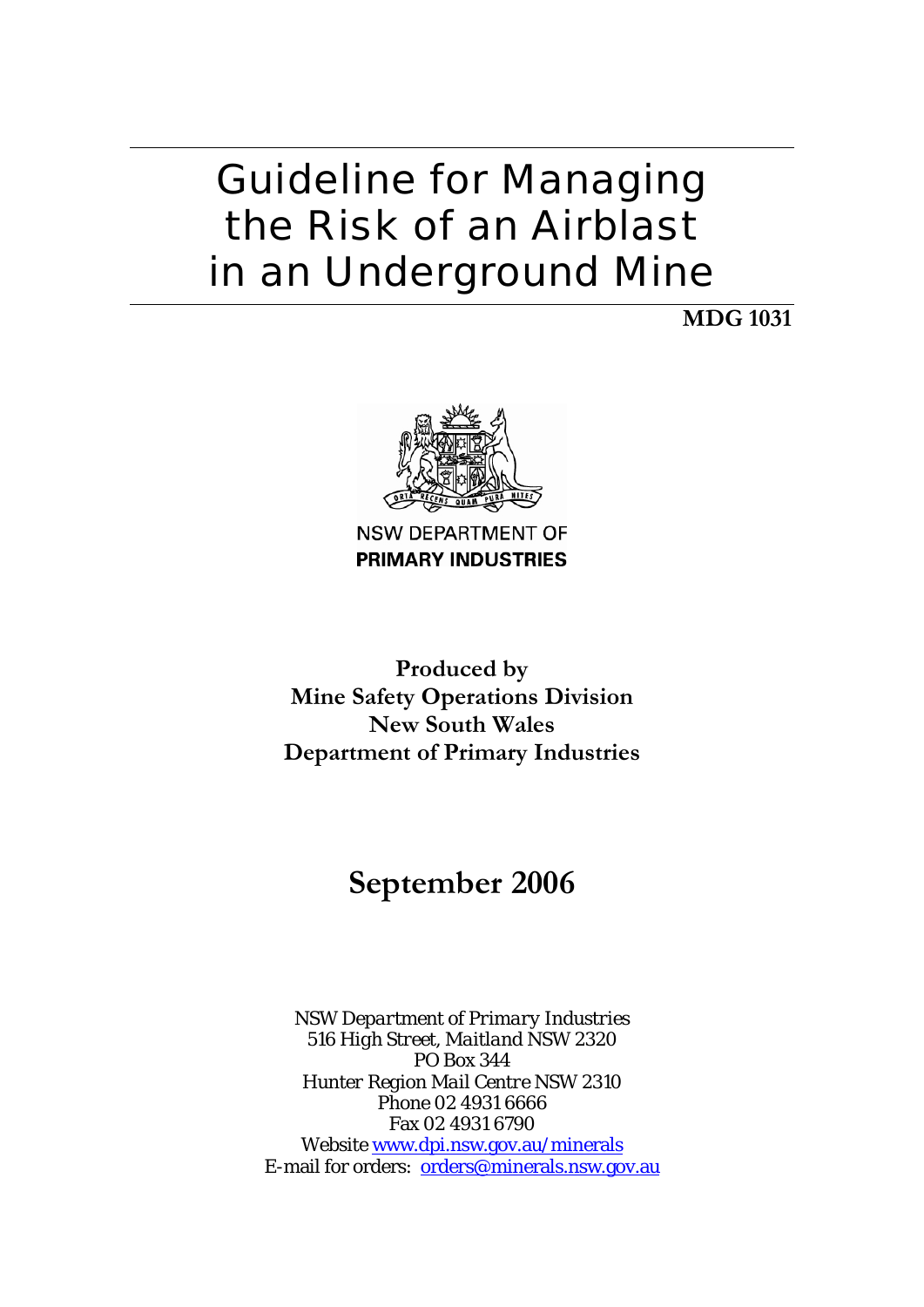# Guideline for Managing the Risk of an Airblast in an Underground Mine

**MDG 1031** 



NSW DEPARTMENT OF **PRIMARY INDUSTRIES** 

**Produced by Mine Safety Operations Division New South Wales Department of Primary Industries** 

# **September 2006**

*NSW Department of Primary Industries 516 High Street, Maitland NSW 2320 PO Box 344 Hunter Region Mail Centre NSW 2310*  Phone 02 4931 6666 Fax 02 4931 6790 Website www.dpi.nsw.gov.au/minerals E-mail for orders: orders@minerals.nsw.gov.au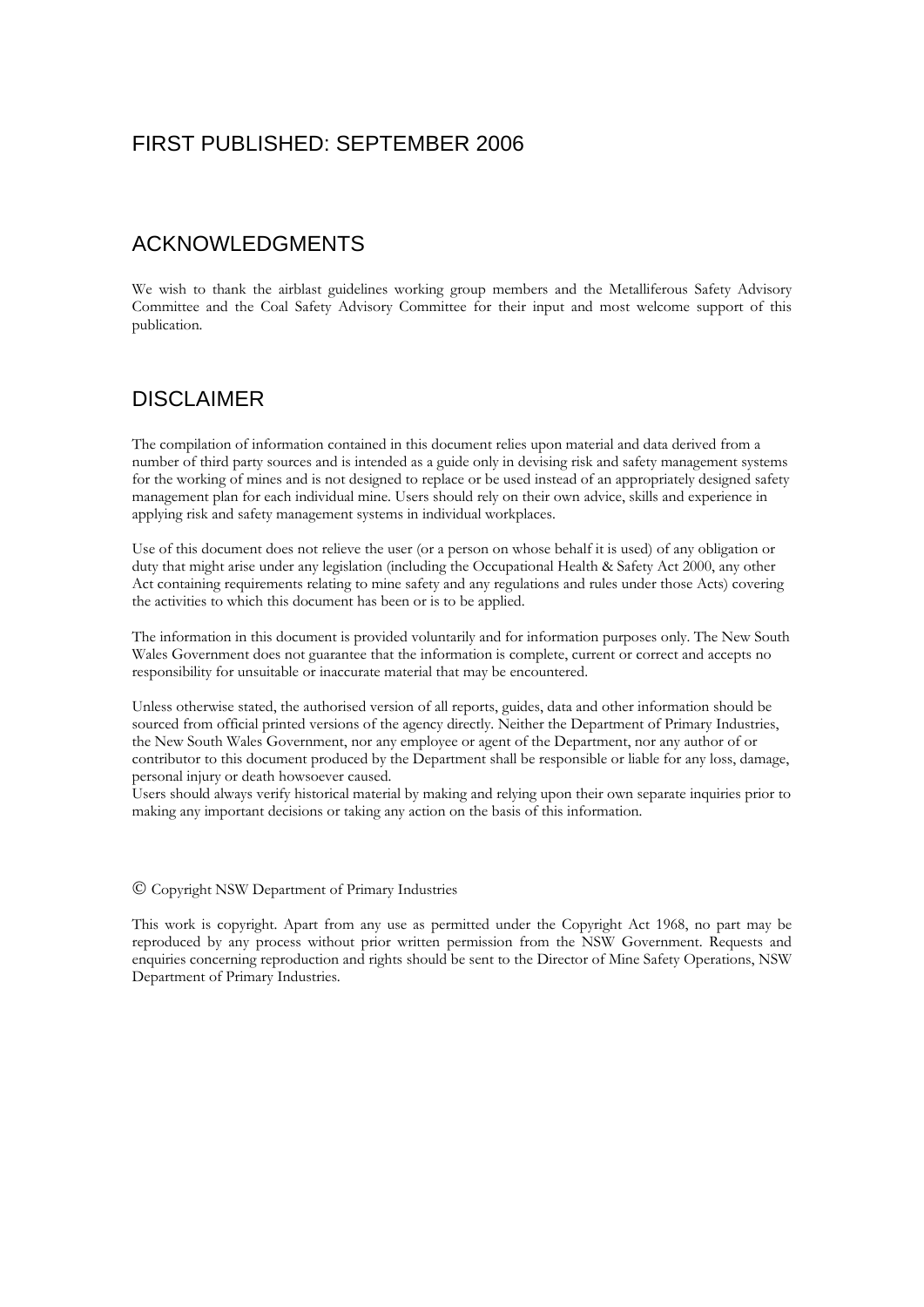### FIRST PUBLISHED: SEPTEMBER 2006

## ACKNOWLEDGMENTS

We wish to thank the airblast guidelines working group members and the Metalliferous Safety Advisory Committee and the Coal Safety Advisory Committee for their input and most welcome support of this publication.

## DISCLAIMER

The compilation of information contained in this document relies upon material and data derived from a number of third party sources and is intended as a guide only in devising risk and safety management systems for the working of mines and is not designed to replace or be used instead of an appropriately designed safety management plan for each individual mine. Users should rely on their own advice, skills and experience in applying risk and safety management systems in individual workplaces.

Use of this document does not relieve the user (or a person on whose behalf it is used) of any obligation or duty that might arise under any legislation (including the Occupational Health & Safety Act 2000, any other Act containing requirements relating to mine safety and any regulations and rules under those Acts) covering the activities to which this document has been or is to be applied.

 Wales Government does not guarantee that the information is complete, current or correct and accepts no The information in this document is provided voluntarily and for information purposes only. The New South responsibility for unsuitable or inaccurate material that may be encountered.

Unless otherwise stated, the authorised version of all reports, guides, data and other information should be sourced from official printed versions of the agency directly. Neither the Department of Primary Industries, the New South Wales Government, nor any employee or agent of the Department, nor any author of or contributor to this document produced by the Department shall be responsible or liable for any loss, damage, personal injury or death howsoever caused.

Users should always verify historical material by making and relying upon their own separate inquiries prior to making any important decisions or taking any action on the basis of this information.

#### © Copyright NSW Department of Primary Industries

This work is copyright. Apart from any use as permitted under the Copyright Act 1968, no part may be reproduced by any process without prior written permission from the NSW Government. Requests and enquiries concerning reproduction and rights should be sent to the Director of Mine Safety Operations, NSW Department of Primary Industries.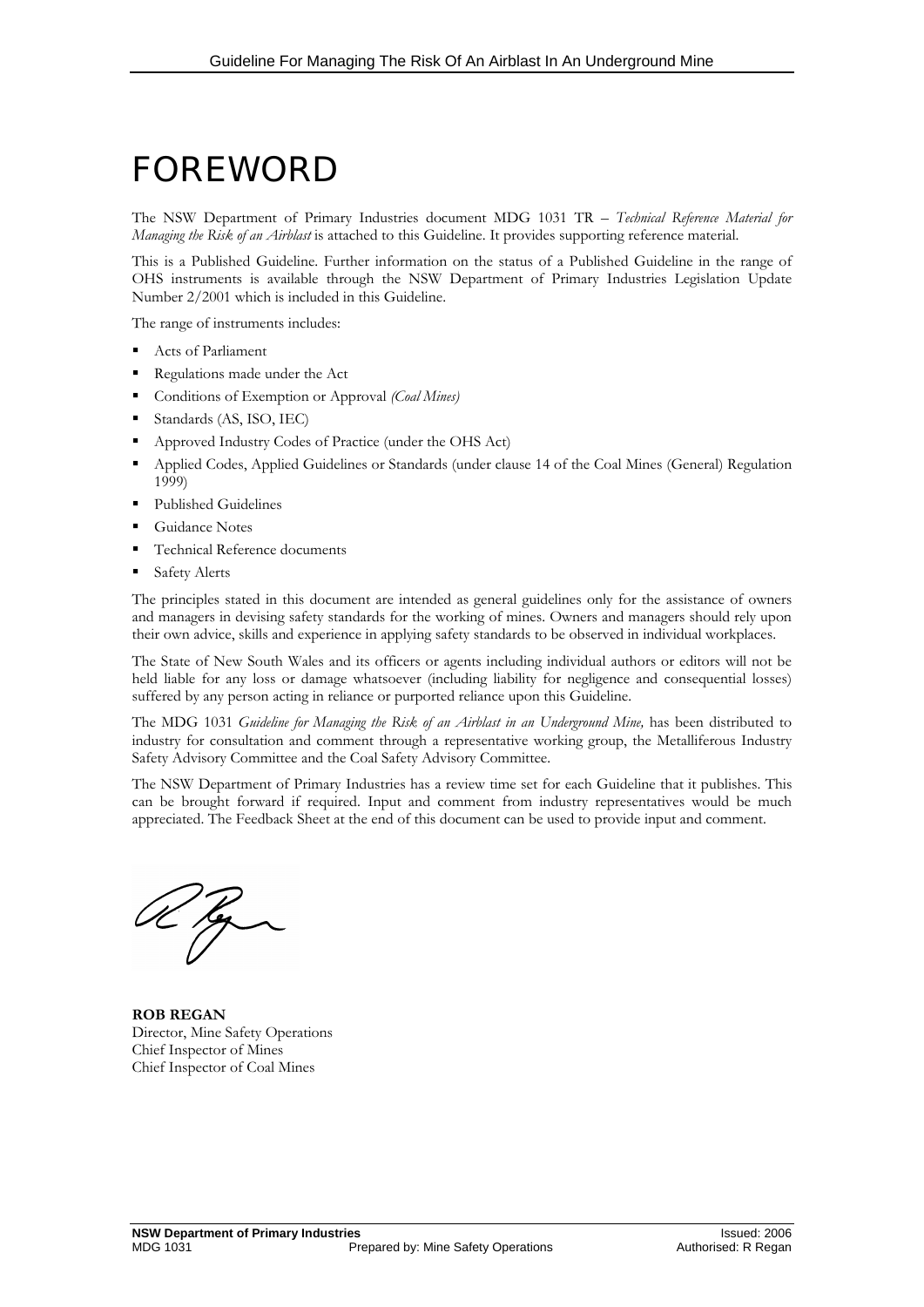# FOREWORD

The NSW Department of Primary Industries document MDG 1031 TR – *Technical Reference Material for Managing the Risk of an Airblast* is attached to this Guideline. It provides supporting reference material.

This is a Published Guideline. Further information on the status of a Published Guideline in the range of OHS instruments is available through the NSW Department of Primary Industries Legislation Update Number 2/2001 which is included in this Guideline.

The range of instruments includes:

- Acts of Parliament
- Regulations made under the Act
- Conditions of Exemption or Approval *(Coal Mines)*
- Standards (AS, ISO, IEC)
- Approved Industry Codes of Practice (under the OHS Act)
- Applied Codes, Applied Guidelines or Standards (under clause 14 of the Coal Mines (General) Regulation 1999)
- Published Guidelines
- Guidance Notes
- Technical Reference documents
- Safety Alerts

 and managers in devising safety standards for the working of mines. Owners and managers should rely upon The principles stated in this document are intended as general guidelines only for the assistance of owners their own advice, skills and experience in applying safety standards to be observed in individual workplaces.

The State of New South Wales and its officers or agents including individual authors or editors will not be held liable for any loss or damage whatsoever (including liability for negligence and consequential losses) suffered by any person acting in reliance or purported reliance upon this Guideline.

The MDG 1031 *Guideline for Managing the Risk of an Airblast in an Underground Mine*, has been distributed to industry for consultation and comment through a representative working group, the Metalliferous Industry Safety Advisory Committee and the Coal Safety Advisory Committee.

 appreciated. The Feedback Sheet at the end of this document can be used to provide input and comment. The NSW Department of Primary Industries has a review time set for each Guideline that it publishes. This can be brought forward if required. Input and comment from industry representatives would be much

**ROB REGAN**  Director, Mine Safety Operations Chief Inspector of Mines Chief Inspector of Coal Mines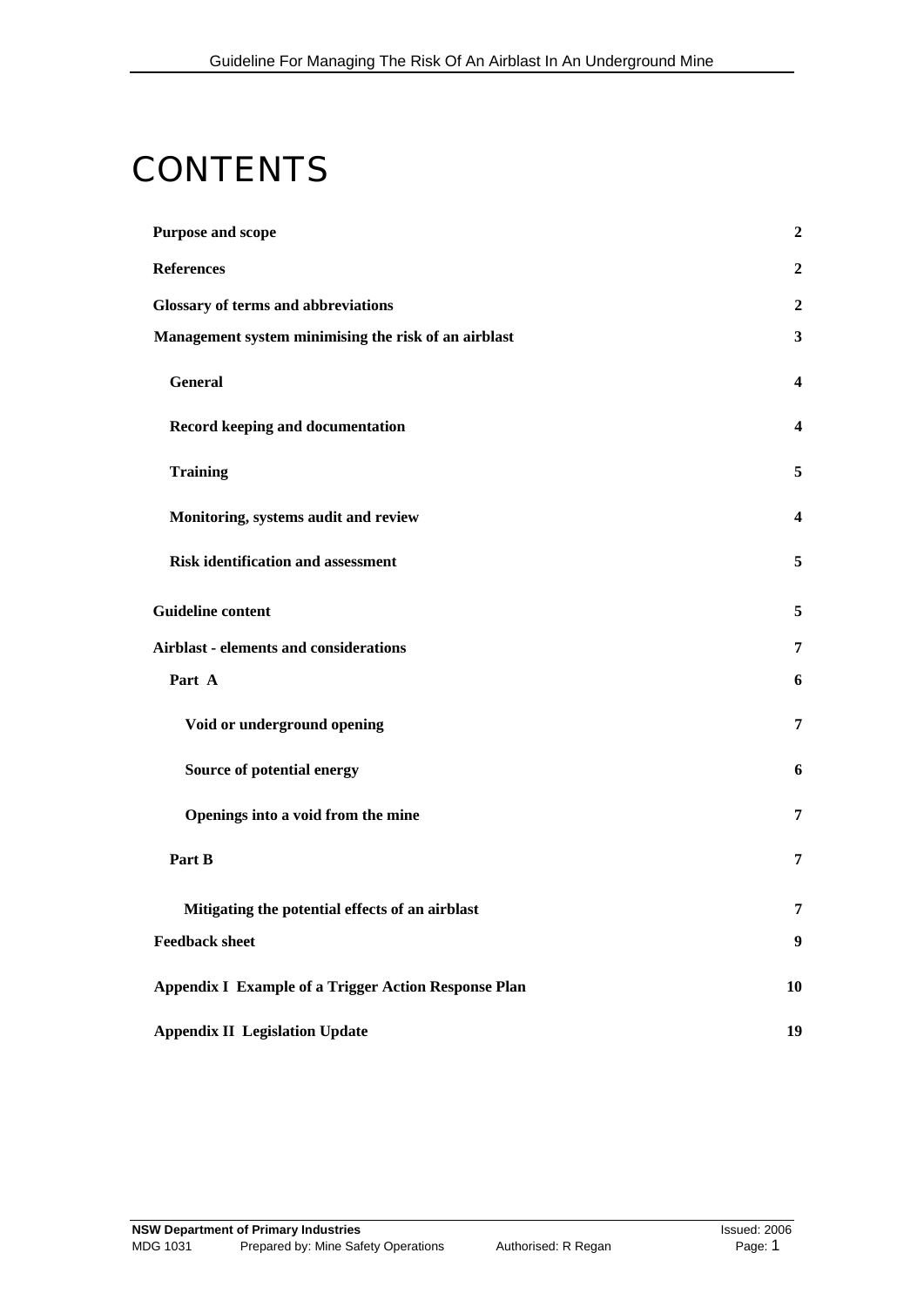# **CONTENTS**

| <b>Purpose and scope</b>                                    | $\overline{2}$          |
|-------------------------------------------------------------|-------------------------|
| <b>References</b>                                           | $\boldsymbol{2}$        |
| <b>Glossary of terms and abbreviations</b>                  | $\overline{2}$          |
| Management system minimising the risk of an airblast        | $\mathbf{3}$            |
| General                                                     | $\overline{\mathbf{4}}$ |
| Record keeping and documentation                            | $\overline{\mathbf{4}}$ |
| <b>Training</b>                                             | 5                       |
| Monitoring, systems audit and review                        | $\overline{\mathbf{4}}$ |
| <b>Risk identification and assessment</b>                   | 5                       |
| <b>Guideline content</b>                                    | 5                       |
| <b>Airblast - elements and considerations</b>               | 7                       |
| Part A                                                      | 6                       |
| Void or underground opening                                 | 7                       |
| Source of potential energy                                  | 6                       |
| Openings into a void from the mine                          | 7                       |
| Part B                                                      | 7                       |
| Mitigating the potential effects of an airblast             | 7                       |
| <b>Feedback sheet</b>                                       | 9                       |
| <b>Appendix I Example of a Trigger Action Response Plan</b> | 10                      |
| <b>Appendix II Legislation Update</b>                       | 19                      |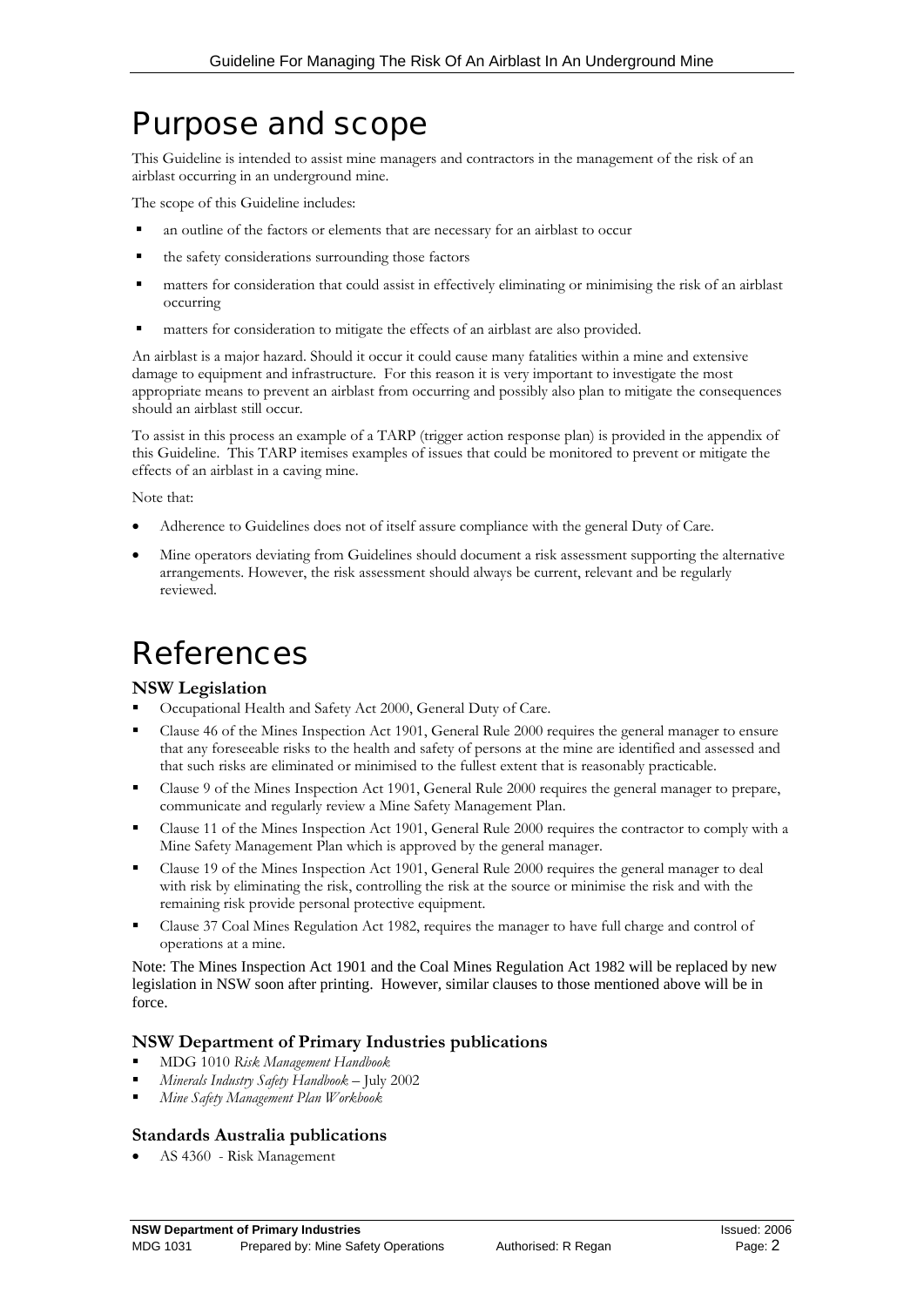## Purpose and scope

This Guideline is intended to assist mine managers and contractors in the management of the risk of an airblast occurring in an underground mine.

The scope of this Guideline includes:

- an outline of the factors or elements that are necessary for an airblast to occur
- the safety considerations surrounding those factors
- matters for consideration that could assist in effectively eliminating or minimising the risk of an airblast occurring
- matters for consideration to mitigate the effects of an airblast are also provided.

An airblast is a major hazard. Should it occur it could cause many fatalities within a mine and extensive damage to equipment and infrastructure. For this reason it is very important to investigate the most appropriate means to prevent an airblast from occurring and possibly also plan to mitigate the consequences should an airblast still occur.

 this Guideline. This TARP itemises examples of issues that could be monitored to prevent or mitigate the To assist in this process an example of a TARP (trigger action response plan) is provided in the appendix of effects of an airblast in a caving mine.

Note that:

- Adherence to Guidelines does not of itself assure compliance with the general Duty of Care.
- Mine operators deviating from Guidelines should document a risk assessment supporting the alternative arrangements. However, the risk assessment should always be current, relevant and be regularly reviewed.

# **References**

#### **NSW Legislation**

- Occupational Health and Safety Act 2000, General Duty of Care.
- Clause 46 of the Mines Inspection Act 1901, General Rule 2000 requires the general manager to ensure that any foreseeable risks to the health and safety of persons at the mine are identified and assessed and that such risks are eliminated or minimised to the fullest extent that is reasonably practicable.
- Clause 9 of the Mines Inspection Act 1901, General Rule 2000 requires the general manager to prepare, communicate and regularly review a Mine Safety Management Plan.
- Clause 11 of the Mines Inspection Act 1901, General Rule 2000 requires the contractor to comply with a Mine Safety Management Plan which is approved by the general manager.
- Clause 19 of the Mines Inspection Act 1901, General Rule 2000 requires the general manager to deal with risk by eliminating the risk, controlling the risk at the source or minimise the risk and with the remaining risk provide personal protective equipment.
- Clause 37 Coal Mines Regulation Act 1982, requires the manager to have full charge and control of operations at a mine.

Note: The Mines Inspection Act 1901 and the Coal Mines Regulation Act 1982 will be replaced by new legislation in NSW soon after printing. However, similar clauses to those mentioned above will be in force.

#### **NSW Department of Primary Industries publications**

- MDG 1010 *Risk Management Handbook*
- *Minerals Industry Safety Handbook* July 2002
- *Mine Safety Management Plan Workbook*

#### **Standards Australia publications**

AS 4360 - Risk Management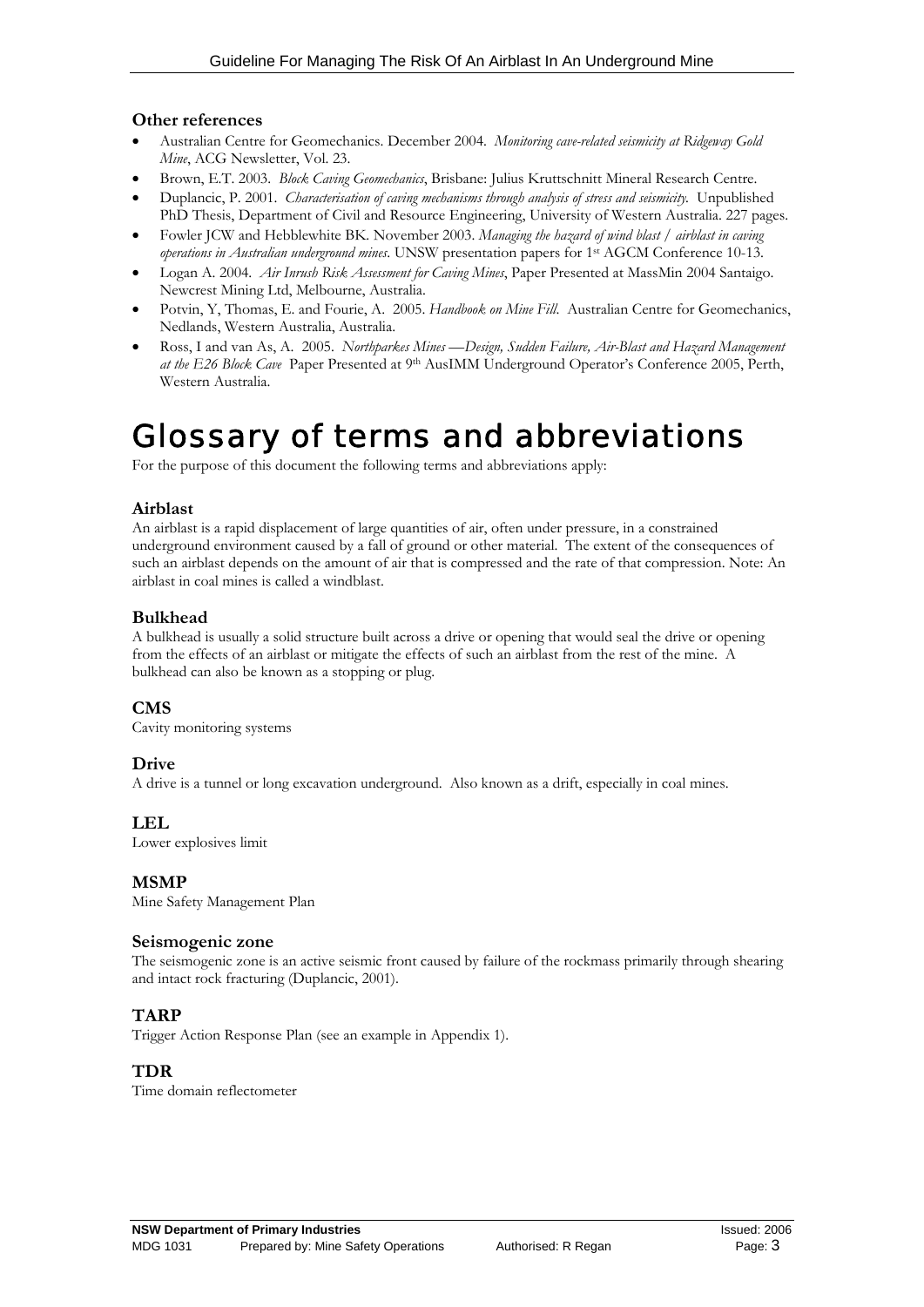#### **Other references**

- Australian Centre for Geomechanics. December 2004. *Monitoring cave-related seismicity at Ridgeway Gold Mine*, ACG Newsletter, Vol. 23.
- • Brown, E.T. 2003. *Block Caving Geomechanics*, Brisbane: Julius Kruttschnitt Mineral Research Centre.
- Duplancic, P. 2001. *Characterisation of caving mechanisms through analysis of stress and seismicity*. Unpublished PhD Thesis, Department of Civil and Resource Engineering, University of Western Australia. 227 pages.
- Fowler JCW and Hebblewhite BK. November 2003. *Managing the hazard of wind blast / airblast in caving operations in Australian underground mines*. UNSW presentation papers for 1st AGCM Conference 10-13.
- Logan A. 2004. *Air Inrush Risk Assessment for Caving Mines*, Paper Presented at MassMin 2004 Santaigo. Newcrest Mining Ltd, Melbourne, Australia.
- Potvin, Y, Thomas, E. and Fourie, A. 2005. *Handbook on Mine Fill.* Australian Centre for Geomechanics, Nedlands, Western Australia, Australia.
- *at the E26 Block Cave* Paper Presented at 9th AusIMM Underground Operator's Conference 2005, Perth, Ross, I and van As, A. 2005. *Northparkes Mines -- Design, Sudden Failure, Air-Blast and Hazard Management* Western Australia.

# Glossary of terms and abbreviations

For the purpose of this document the following terms and abbreviations apply:

#### **Airblast**

An airblast is a rapid displacement of large quantities of air, often under pressure, in a constrained underground environment caused by a fall of ground or other material. The extent of the consequences of such an airblast depends on the amount of air that is compressed and the rate of that compression. Note: An airblast in coal mines is called a windblast.

#### **Bulkhead**

 from the effects of an airblast or mitigate the effects of such an airblast from the rest of the mine. A A bulkhead is usually a solid structure built across a drive or opening that would seal the drive or opening bulkhead can also be known as a stopping or plug.

#### **CMS**

Cavity monitoring systems

#### **Drive**

A drive is a tunnel or long excavation underground. Also known as a drift, especially in coal mines.

#### **LEL**

Lower explosives limit

#### **MSMP**

Mine Safety Management Plan

#### **Seismogenic zone**

The seismogenic zone is an active seismic front caused by failure of the rockmass primarily through shearing and intact rock fracturing (Duplancic, 2001).

#### **TARP**

Trigger Action Response Plan (see an example in Appendix 1).

#### **TDR**

Time domain reflectometer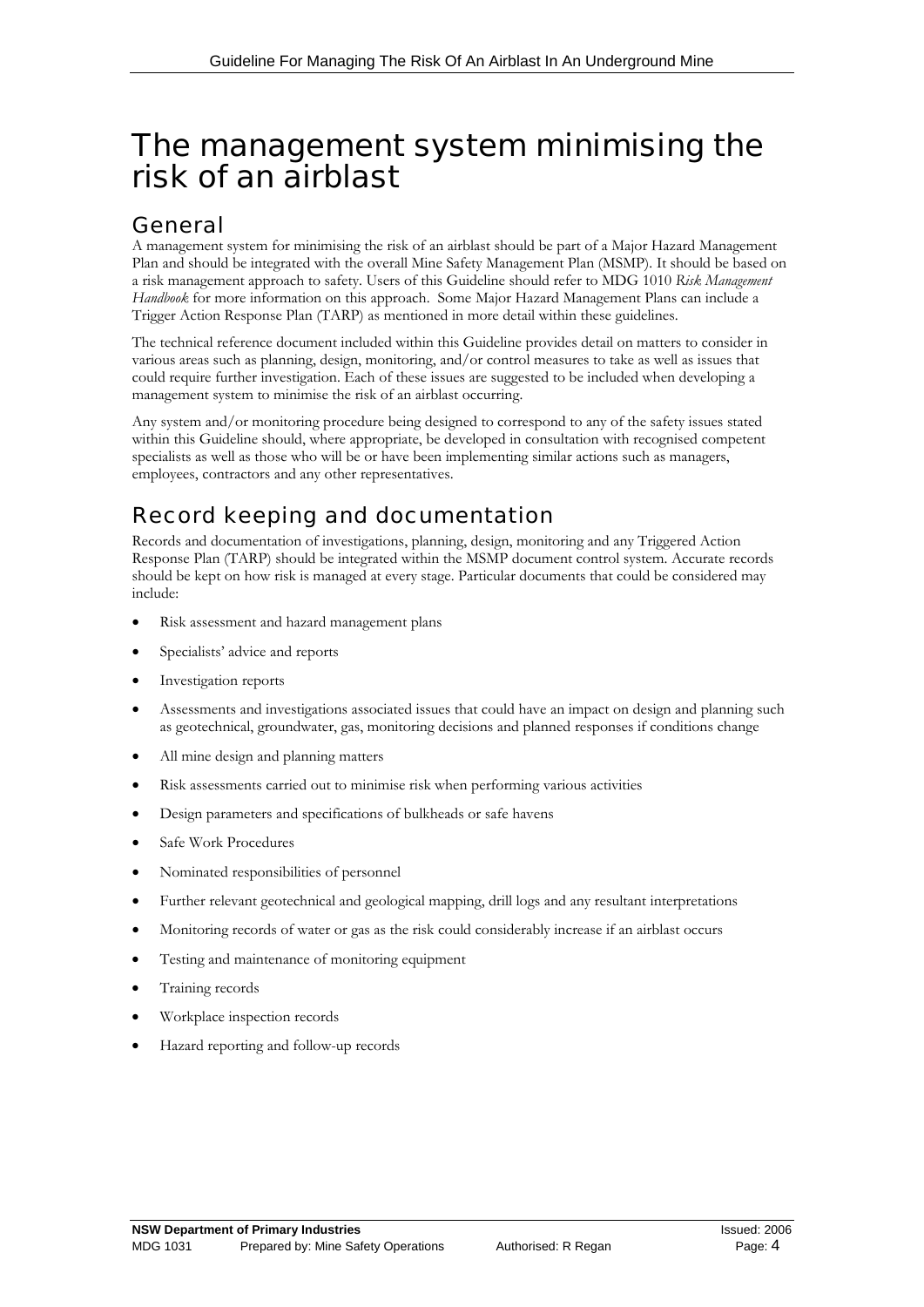# The management system minimising the risk of an airblast

## General

A management system for minimising the risk of an airblast should be part of a Major Hazard Management Plan and should be integrated with the overall Mine Safety Management Plan (MSMP). It should be based on a risk management approach to safety. Users of this Guideline should refer to MDG 1010 *Risk Management Handbook* for more information on this approach. Some Major Hazard Management Plans can include a Trigger Action Response Plan (TARP) as mentioned in more detail within these guidelines.

 could require further investigation. Each of these issues are suggested to be included when developing a The technical reference document included within this Guideline provides detail on matters to consider in various areas such as planning, design, monitoring, and/or control measures to take as well as issues that management system to minimise the risk of an airblast occurring.

Any system and/or monitoring procedure being designed to correspond to any of the safety issues stated within this Guideline should, where appropriate, be developed in consultation with recognised competent specialists as well as those who will be or have been implementing similar actions such as managers, employees, contractors and any other representatives.

## Record keeping and documentation

 should be kept on how risk is managed at every stage. Particular documents that could be considered may Records and documentation of investigations, planning, design, monitoring and any Triggered Action Response Plan (TARP) should be integrated within the MSMP document control system. Accurate records include:

- Risk assessment and hazard management plans
- Specialists' advice and reports
- Investigation reports
- Assessments and investigations associated issues that could have an impact on design and planning such as geotechnical, groundwater, gas, monitoring decisions and planned responses if conditions change
- All mine design and planning matters
- Risk assessments carried out to minimise risk when performing various activities
- Design parameters and specifications of bulkheads or safe havens
- Safe Work Procedures
- Nominated responsibilities of personnel
- Further relevant geotechnical and geological mapping, drill logs and any resultant interpretations
- Monitoring records of water or gas as the risk could considerably increase if an airblast occurs
- Testing and maintenance of monitoring equipment
- Training records
- Workplace inspection records
- Hazard reporting and follow-up records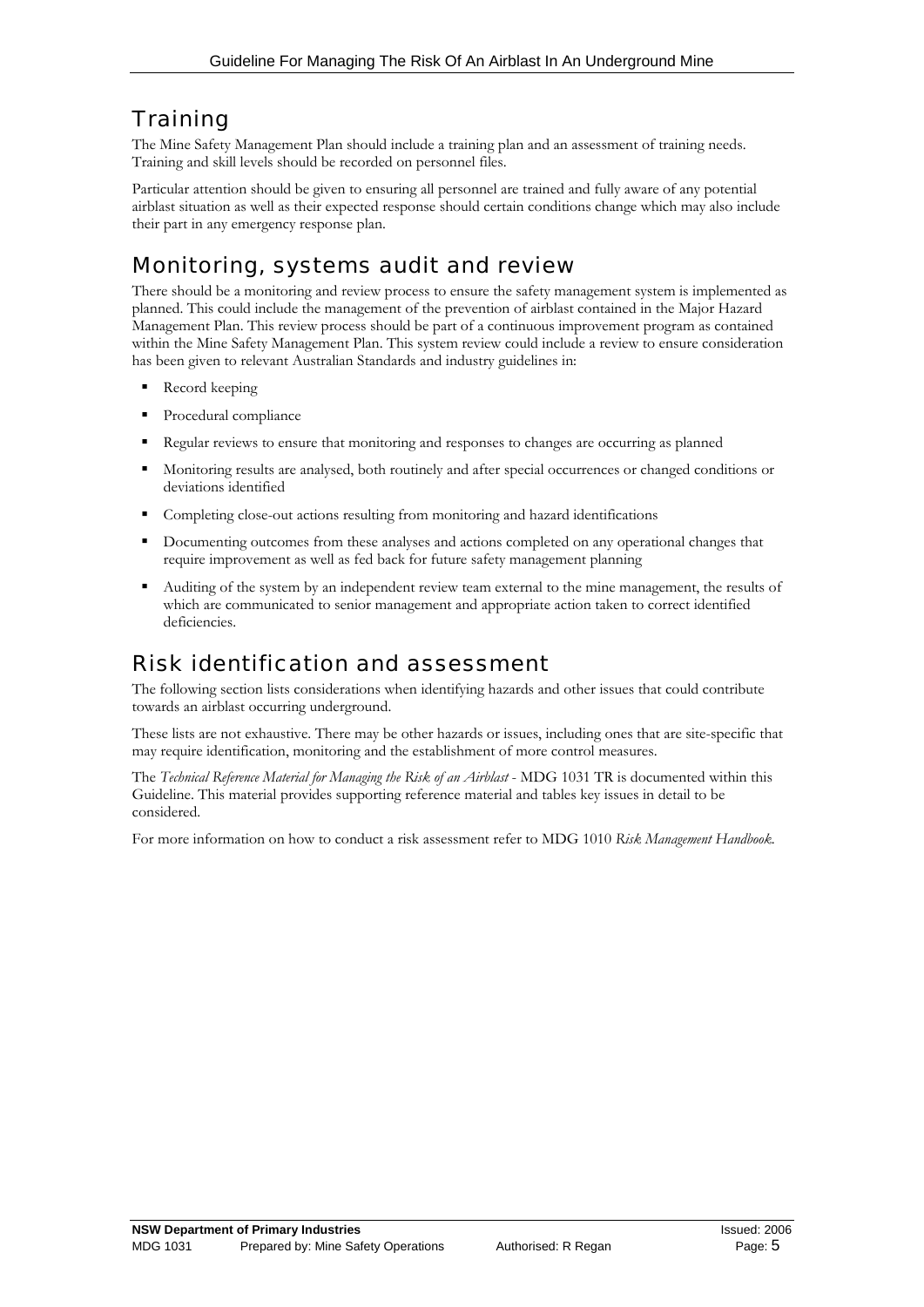## **Training**

The Mine Safety Management Plan should include a training plan and an assessment of training needs. Training and skill levels should be recorded on personnel files.

Particular attention should be given to ensuring all personnel are trained and fully aware of any potential airblast situation as well as their expected response should certain conditions change which may also include their part in any emergency response plan.

## Monitoring, systems audit and review

There should be a monitoring and review process to ensure the safety management system is implemented as planned. This could include the management of the prevention of airblast contained in the Major Hazard Management Plan. This review process should be part of a continuous improvement program as contained within the Mine Safety Management Plan. This system review could include a review to ensure consideration has been given to relevant Australian Standards and industry guidelines in:

- Record keeping
- **Procedural compliance**
- Regular reviews to ensure that monitoring and responses to changes are occurring as planned
- Monitoring results are analysed, both routinely and after special occurrences or changed conditions or deviations identified
- Completing close-out actions resulting from monitoring and hazard identifications
- Documenting outcomes from these analyses and actions completed on any operational changes that require improvement as well as fed back for future safety management planning
- Auditing of the system by an independent review team external to the mine management, the results of which are communicated to senior management and appropriate action taken to correct identified deficiencies.

## Risk identification and assessment

The following section lists considerations when identifying hazards and other issues that could contribute towards an airblast occurring underground.

 These lists are not exhaustive. There may be other hazards or issues, including ones that are site-specific that may require identification, monitoring and the establishment of more control measures.

The *Technical Reference Material for Managing the Risk of an Airblast* - MDG 1031 TR is documented within this Guideline. This material provides supporting reference material and tables key issues in detail to be considered.

For more information on how to conduct a risk assessment refer to MDG 1010 *Risk Management Handbook.*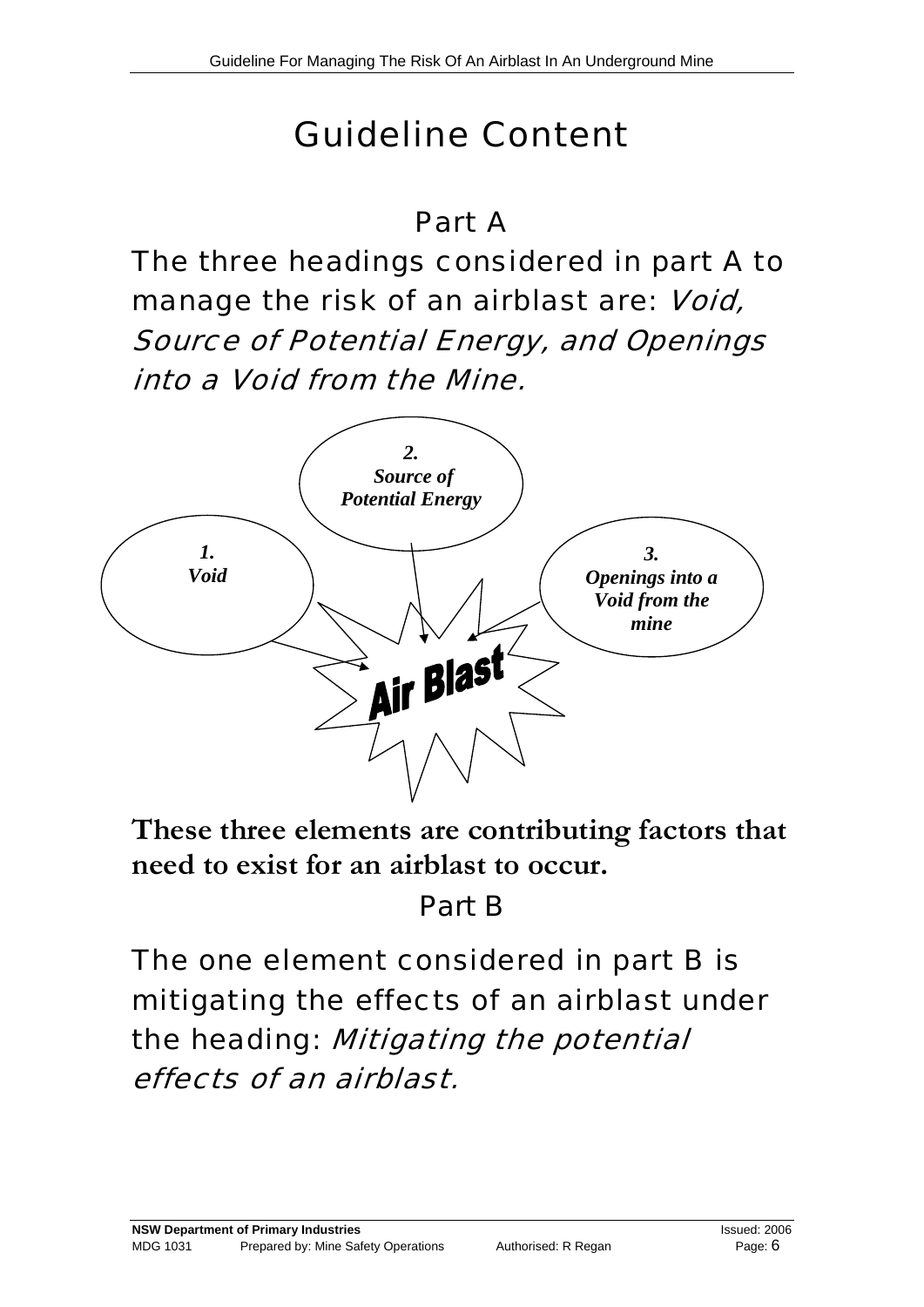# Guideline Content

## Part A

The three headings considered in part A to manage the risk of an airblast are: Void, Source of Potential Energy, and Openings into a Void from the Mine.



**These three elements are contributing factors that need to exist for an airblast to occur.** 

# Part B

The one element considered in part B is mitigating the effects of an airblast under the heading: Mitigating the potential effects of an airblast.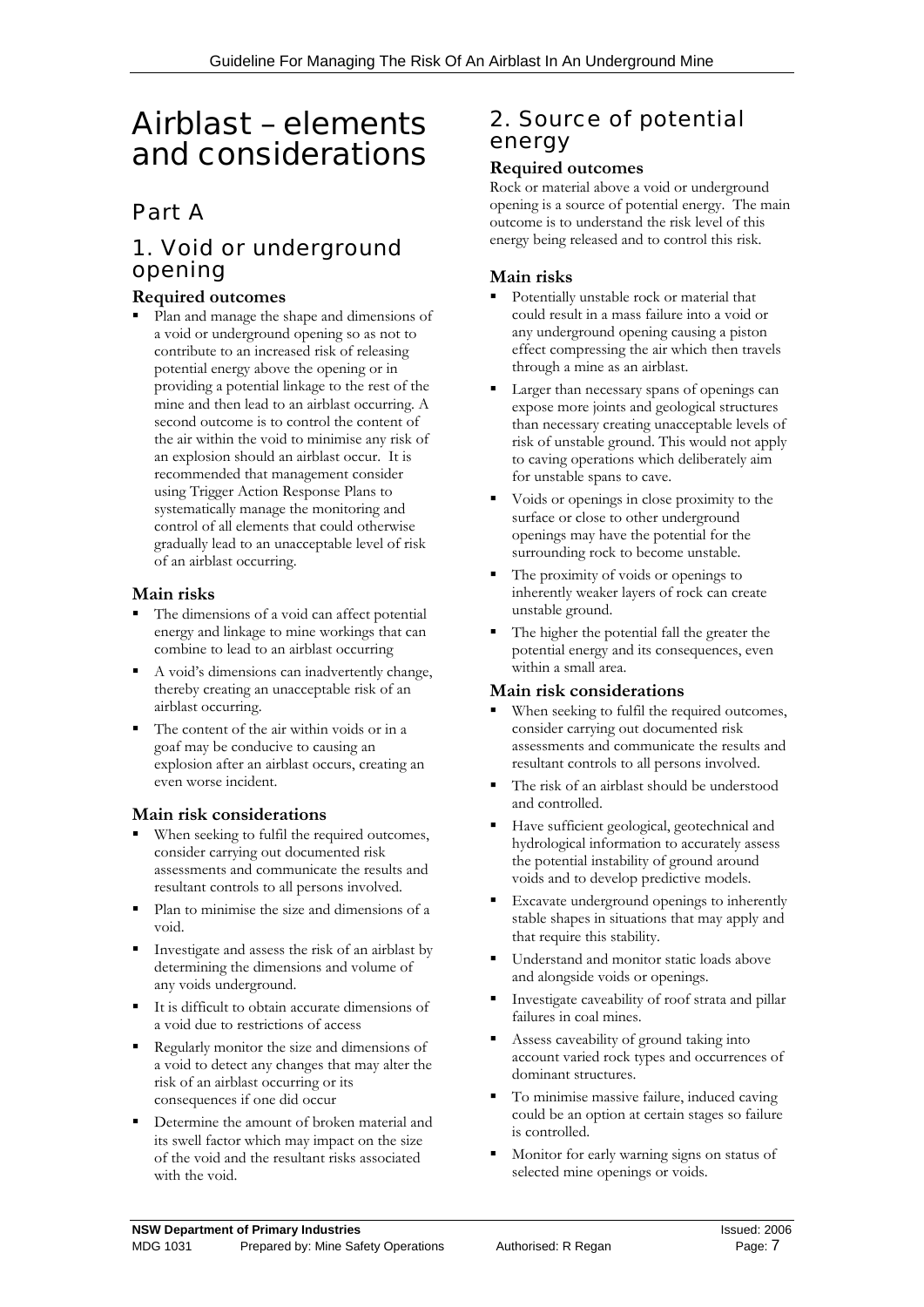# Airblast – elements and considerations

## Part A

## 1. Void or underground opening

#### **Required outcomes**

 Plan and manage the shape and dimensions of a void or underground opening so as not to contribute to an increased risk of releasing potential energy above the opening or in providing a potential linkage to the rest of the mine and then lead to an airblast occurring. A second outcome is to control the content of the air within the void to minimise any risk of an explosion should an airblast occur. It is recommended that management consider using Trigger Action Response Plans to systematically manage the monitoring and control of all elements that could otherwise gradually lead to an unacceptable level of risk of an airblast occurring.

#### **Main risks**

- combine to lead to an airblast occurring The dimensions of a void can affect potential energy and linkage to mine workings that can
- A void's dimensions can inadvertently change, thereby creating an unacceptable risk of an airblast occurring.
- The content of the air within voids or in a goaf may be conducive to causing an explosion after an airblast occurs, creating an even worse incident.

#### **Main risk considerations**

- When seeking to fulfil the required outcomes, consider carrying out documented risk assessments and communicate the results and resultant controls to all persons involved.
- Plan to minimise the size and dimensions of a void.
- Investigate and assess the risk of an airblast by determining the dimensions and volume of any voids underground.
- It is difficult to obtain accurate dimensions of a void due to restrictions of access
- Regularly monitor the size and dimensions of a void to detect any changes that may alter the risk of an airblast occurring or its consequences if one did occur
- Determine the amount of broken material and its swell factor which may impact on the size of the void and the resultant risks associated with the void.

## 2. Source of potential energy

#### **Required outcomes**

Rock or material above a void or underground opening is a source of potential energy. The main outcome is to understand the risk level of this energy being released and to control this risk.

#### **Main risks**

- Potentially unstable rock or material that could result in a mass failure into a void or any underground opening causing a piston effect compressing the air which then travels through a mine as an airblast.
- Larger than necessary spans of openings can expose more joints and geological structures than necessary creating unacceptable levels of risk of unstable ground. This would not apply to caving operations which deliberately aim for unstable spans to cave.
- Voids or openings in close proximity to the surface or close to other underground openings may have the potential for the surrounding rock to become unstable.
- The proximity of voids or openings to inherently weaker layers of rock can create unstable ground.
- The higher the potential fall the greater the potential energy and its consequences, even within a small area.

#### **Main risk considerations**

- When seeking to fulfil the required outcomes, consider carrying out documented risk assessments and communicate the results and resultant controls to all persons involved.
- The risk of an airblast should be understood and controlled.
- hydrological information to accurately assess Have sufficient geological, geotechnical and the potential instability of ground around voids and to develop predictive models.
- Excavate underground openings to inherently stable shapes in situations that may apply and that require this stability.
- Understand and monitor static loads above and alongside voids or openings.
- Investigate caveability of roof strata and pillar failures in coal mines.
- Assess caveability of ground taking into account varied rock types and occurrences of dominant structures.
- To minimise massive failure, induced caving could be an option at certain stages so failure is controlled.
- **Monitor for early warning signs on status of** selected mine openings or voids.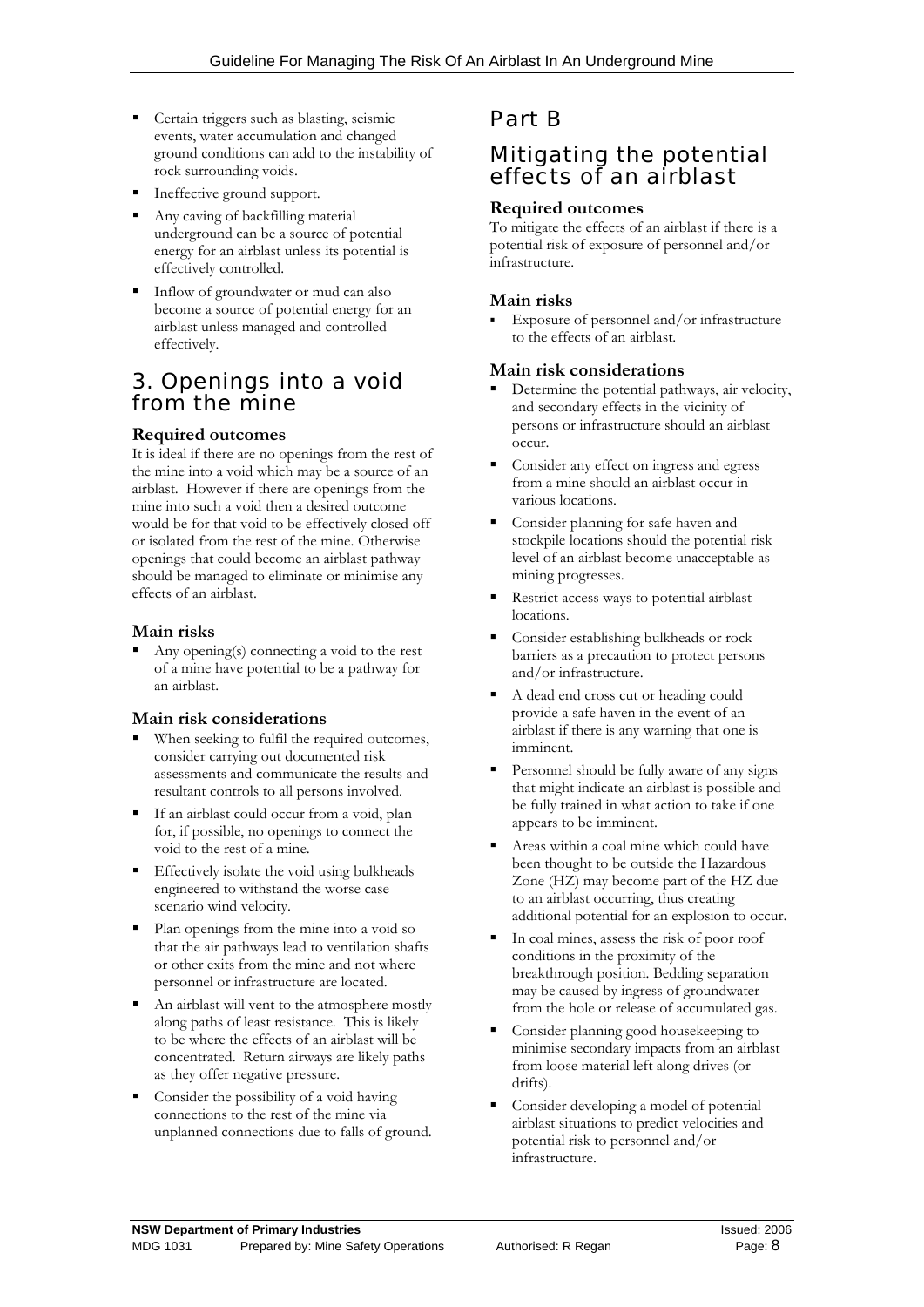- Certain triggers such as blasting, seismic events, water accumulation and changed ground conditions can add to the instability of rock surrounding voids.
- Ineffective ground support.
- Any caving of backfilling material underground can be a source of potential energy for an airblast unless its potential is effectively controlled.
- Inflow of groundwater or mud can also become a source of potential energy for an airblast unless managed and controlled effectively.

### 3. Openings into a void from the mine

#### **Required outcomes**

It is ideal if there are no openings from the rest of the mine into a void which may be a source of an airblast. However if there are openings from the mine into such a void then a desired outcome would be for that void to be effectively closed off or isolated from the rest of the mine. Otherwise openings that could become an airblast pathway should be managed to eliminate or minimise any effects of an airblast.

#### **Main risks**

 Any opening(s) connecting a void to the rest of a mine have potential to be a pathway for an airblast.

#### **Main risk considerations**

- When seeking to fulfil the required outcomes, consider carrying out documented risk assessments and communicate the results and resultant controls to all persons involved.
- If an airblast could occur from a void, plan for, if possible, no openings to connect the void to the rest of a mine.
- scenario wind velocity. Effectively isolate the void using bulkheads engineered to withstand the worse case
- Plan openings from the mine into a void so that the air pathways lead to ventilation shafts or other exits from the mine and not where personnel or infrastructure are located.
- An airblast will vent to the atmosphere mostly along paths of least resistance. This is likely to be where the effects of an airblast will be concentrated. Return airways are likely paths as they offer negative pressure.
- Consider the possibility of a void having connections to the rest of the mine via unplanned connections due to falls of ground.

## Part B

### Mitigating the potential effects of an airblast

#### **Required outcomes**

To mitigate the effects of an airblast if there is a potential risk of exposure of personnel and/or infrastructure.

#### **Main risks**

 Exposure of personnel and/or infrastructure to the effects of an airblast.

#### **Main risk considerations**

- Determine the potential pathways, air velocity, and secondary effects in the vicinity of persons or infrastructure should an airblast occur.
- **Consider any effect on ingress and egress** from a mine should an airblast occur in various locations.
- Consider planning for safe haven and stockpile locations should the potential risk level of an airblast become unacceptable as mining progresses.
- Restrict access ways to potential airblast locations.
- Consider establishing bulkheads or rock barriers as a precaution to protect persons and/or infrastructure.
- A dead end cross cut or heading could provide a safe haven in the event of an airblast if there is any warning that one is imminent.
- Personnel should be fully aware of any signs that might indicate an airblast is possible and be fully trained in what action to take if one appears to be imminent.
- Zone (HZ) may become part of the HZ due Areas within a coal mine which could have been thought to be outside the Hazardous to an airblast occurring, thus creating additional potential for an explosion to occur.
- from the hole or release of accumulated gas. In coal mines, assess the risk of poor roof conditions in the proximity of the breakthrough position. Bedding separation may be caused by ingress of groundwater
- Consider planning good housekeeping to minimise secondary impacts from an airblast from loose material left along drives (or drifts).
- Consider developing a model of potential airblast situations to predict velocities and potential risk to personnel and/or infrastructure.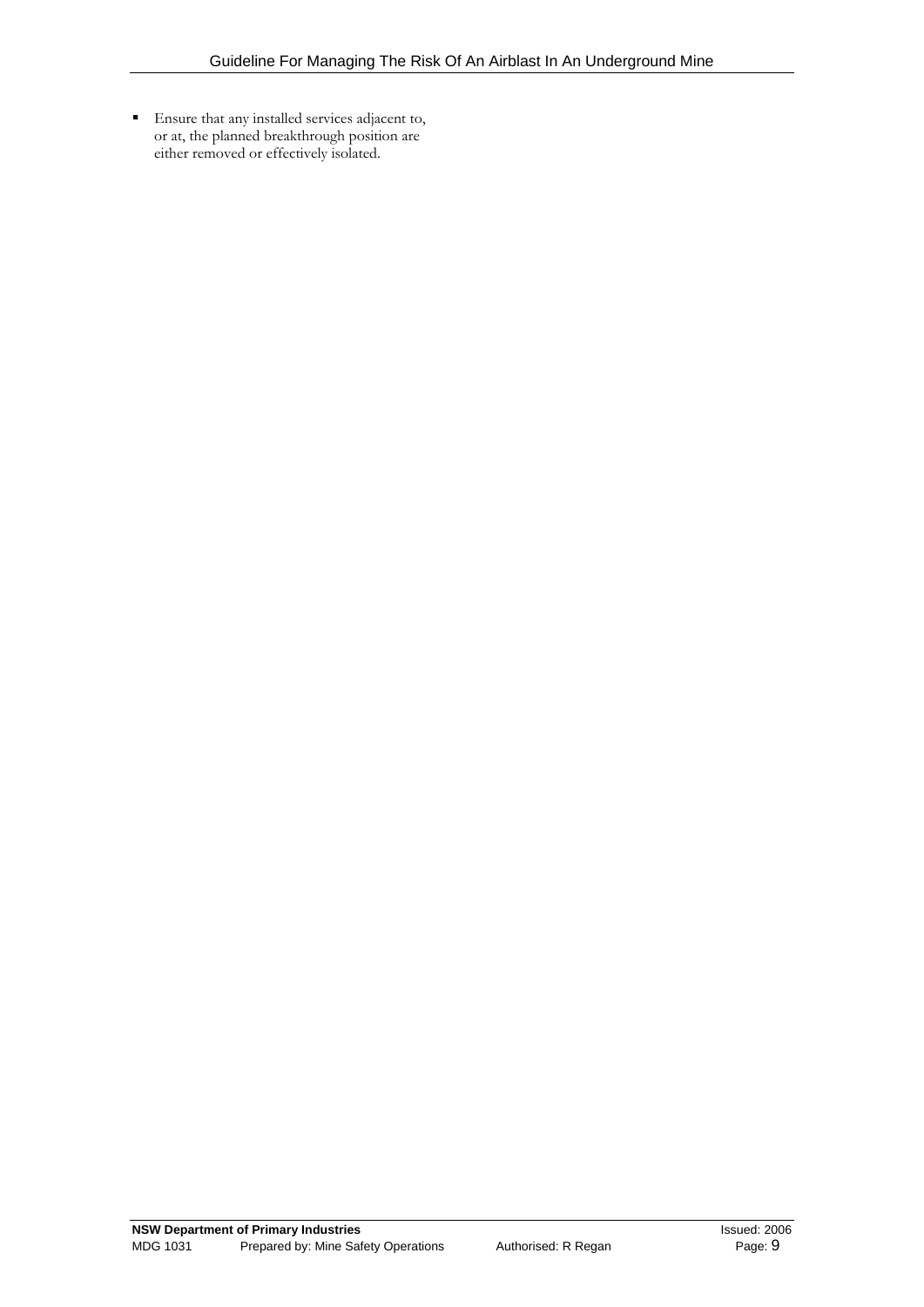Ensure that any installed services adjacent to, or at, the planned breakthrough position are either removed or effectively isolated.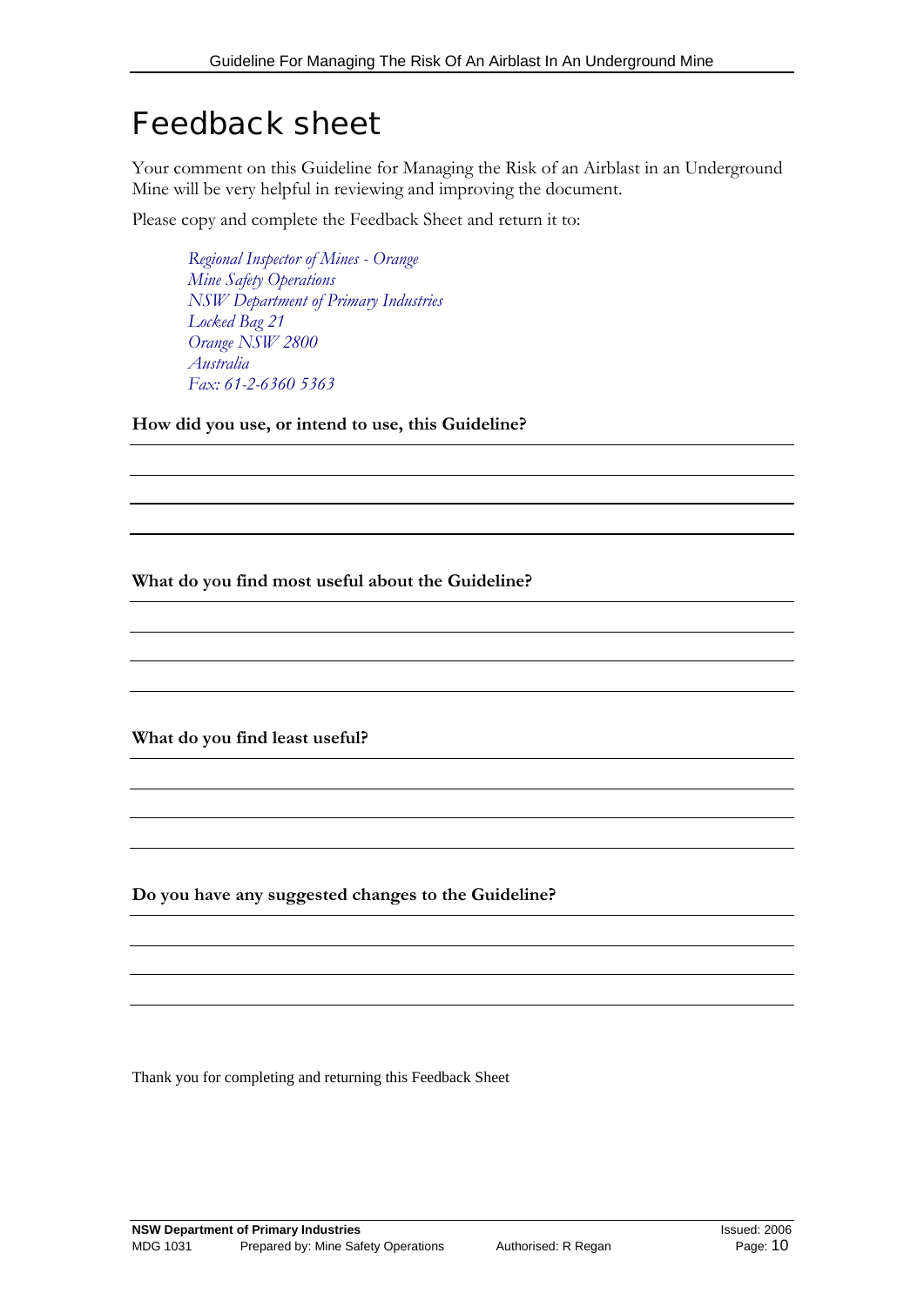## Feedback sheet

Your comment on this Guideline for Managing the Risk of an Airblast in an Underground Mine will be very helpful in reviewing and improving the document.

Please copy and complete the Feedback Sheet and return it to:

*Regional Inspector of Mines - Orange Mine Safety Operations NSW Department of Primary Industries Locked Bag 21 Orange NSW 2800 Australia Fax: 61-2-6360 5363*

**How did you use, or intend to use, this Guideline?** 

**What do you find most useful about the Guideline?** 

**What do you find least useful?** 

**Do you have any suggested changes to the Guideline?** 

Thank you for completing and returning this Feedback Sheet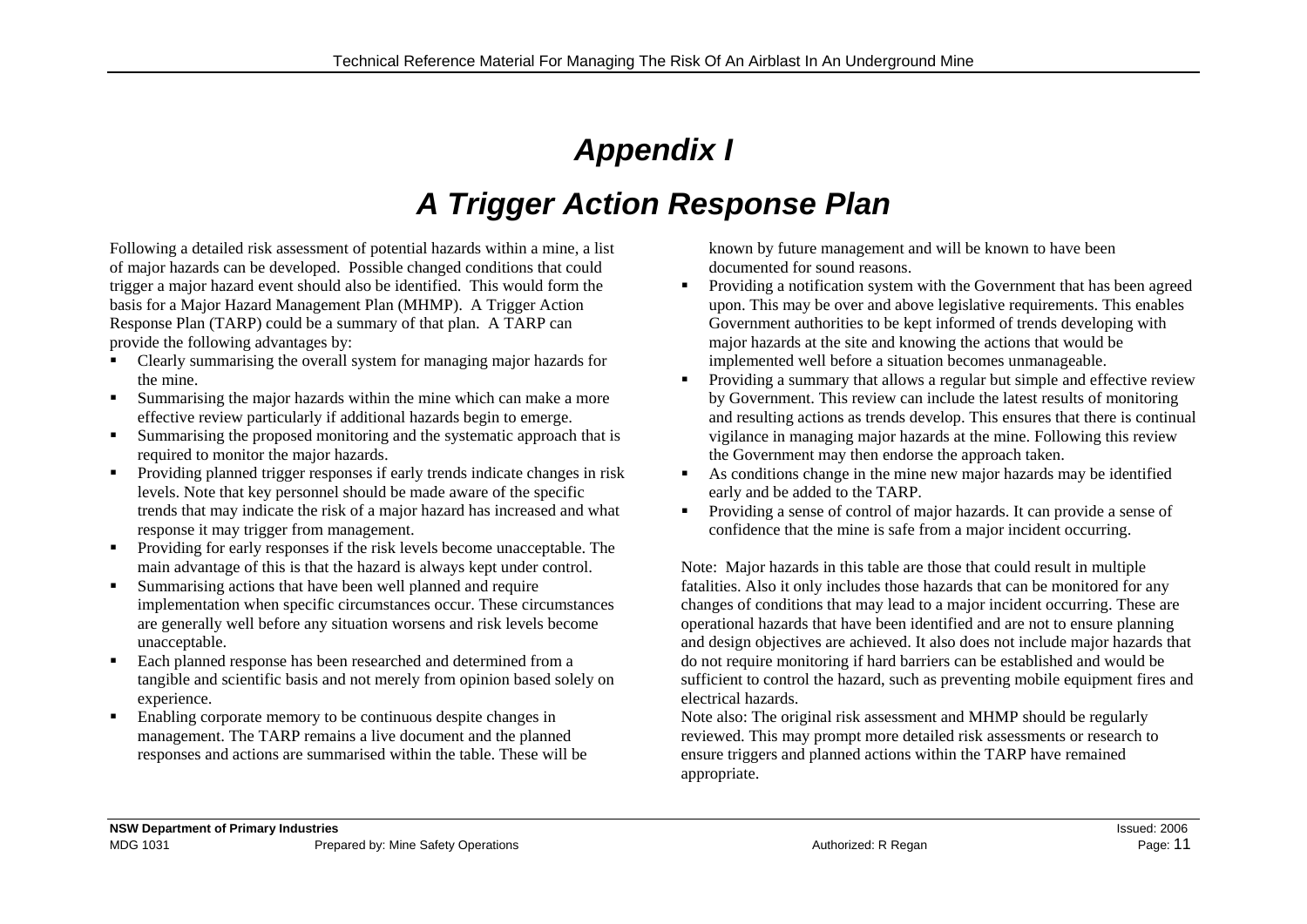# *Appendix I*

# *A Trigger Action Response Plan*

Following a detailed risk assessment of potential hazards within a mine, a list of major hazards can be developed. Possible changed conditions that could trigger a major hazard event should also be identified. This would form the basis for a Major Hazard Management Plan (MHMP). A Trigger Action Response Plan (TARP) could be a summary of that plan. A TARP can provide the following advantages by:

- Clearly summarising the overall system for managing major hazards for the mine.
- $\mathbf{H}^{\text{max}}$  Summarising the major hazards within the mine which can make a more effective review particularly if additional hazards begin to emerge.
- $\mathbf{R}^{\prime}$  Summarising the proposed monitoring and the systematic approach that is required to monitor the major hazards.
- Providing planned trigger responses if early trends indicate changes in risk levels. Note that key personnel should be made aware of the specific trends that may indicate the risk of a major hazard has increased and what response it may trigger from management.
- $\mathbf{H}^{\prime}$  . Providing for early responses if the risk levels become unacceptable. The main advantage of this is that the hazard is always kept under control.
- $\mathbf{u}$  . Summarising actions that have been well planned and require implementation when specific circumstances occur. These circumstances are generally well before any situation worsens and risk levels become unacceptable.
- $\blacksquare$  Each planned response has been researched and determined from a tangible and scientific basis and not merely from opinion based solely on experience.
- $\blacksquare$  Enabling corporate memory to be continuous despite changes in management. The TARP remains a live document and the planned responses and actions are summarised within the table. These will be

known by future management and will be known to have been documented for sound reasons.

- Providing a notification system with the Government that has been agreed upon. This may be over and above legislative requirements. This enables Government authorities to be kept informed of trends developing with major hazards at the site and knowing the actions that would be implemented well before a situation becomes unmanageable.
- $\blacksquare$  . Providing a summary that allows a regular but simple and effective review by Government. This review can include the latest results of monitoring and resulting actions as trends develop. This ensures that there is continual vigilance in managing major hazards at the mine. Following this review the Government may then endorse the approach taken.
- $\mathbf{r}$  . As conditions change in the mine new major hazards may be identified early and be added to the TARP.
- Providing a sense of control of major hazards. It can provide a sense of confidence that the mine is safe from a major incident occurring.

Note: Major hazards in this table are those that could result in multiple fatalities. Also it only includes those hazards that can be monitored for any changes of conditions that may lead to a major incident occurring. These are operational hazards that have been identified and are not to ensure planning and design objectives are achieved. It also does not include major hazards that do not require monitoring if hard barriers can be established and would be sufficient to control the hazard, such as preventing mobile equipment fires and electrical hazards.

Note also: The original risk assessment and MHMP should be regularly reviewed. This may prompt more detailed risk assessments or research to ensure triggers and planned actions within the TARP have remained appropriate.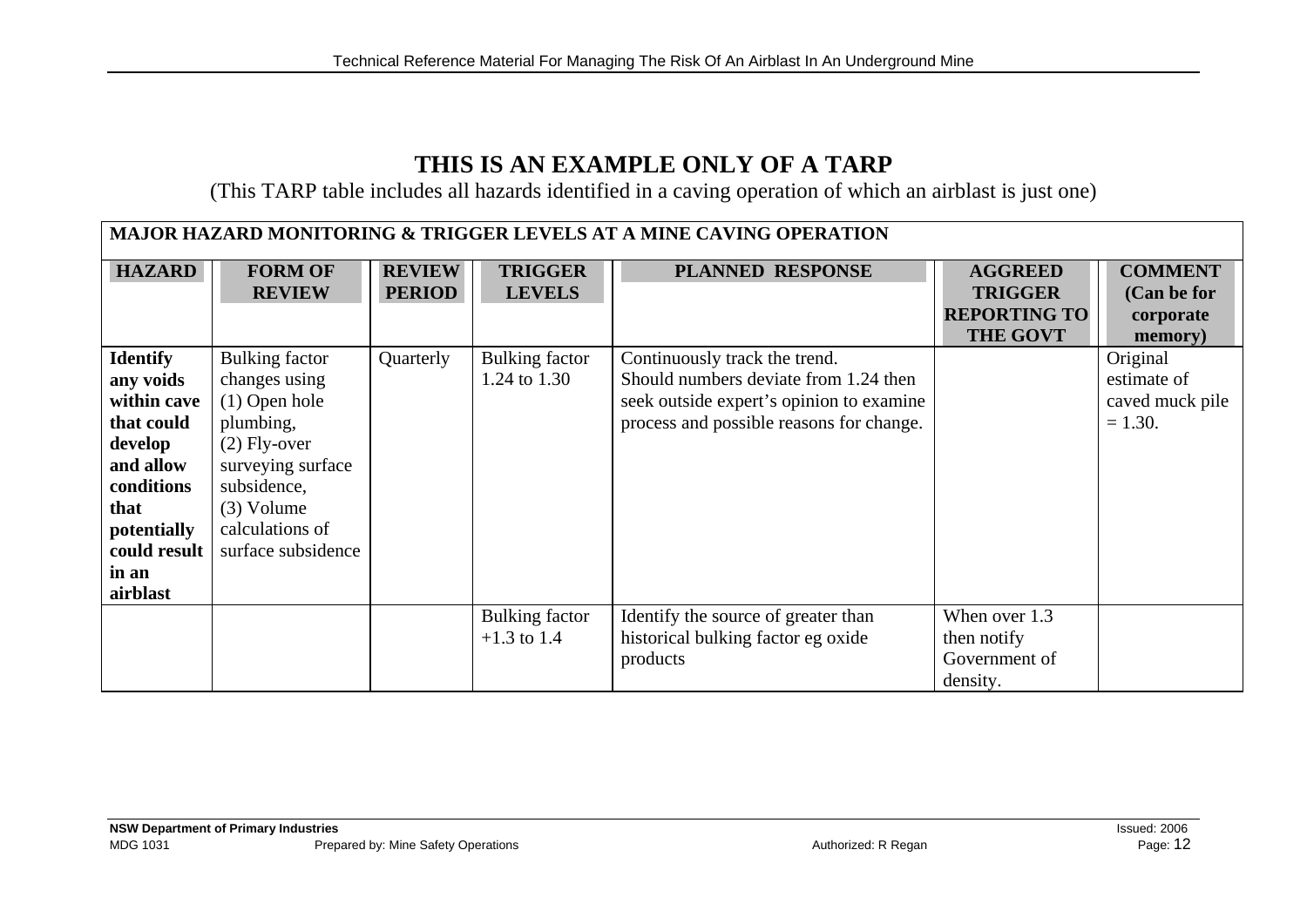## **THIS IS AN EXAMPLE ONLY OF A TARP**

(This TARP table includes all hazards identified in a caving operation of which an airblast is just one)

| <b>MAJOR HAZARD MONITORING &amp; TRIGGER LEVELS AT A MINE CAVING OPERATION</b>                                                                              |                                                                                                                                                                                       |                                |                                 |                                                                                                                                                                |                                                                            |                                                         |  |
|-------------------------------------------------------------------------------------------------------------------------------------------------------------|---------------------------------------------------------------------------------------------------------------------------------------------------------------------------------------|--------------------------------|---------------------------------|----------------------------------------------------------------------------------------------------------------------------------------------------------------|----------------------------------------------------------------------------|---------------------------------------------------------|--|
| <b>HAZARD</b>                                                                                                                                               | <b>FORM OF</b><br><b>REVIEW</b>                                                                                                                                                       | <b>REVIEW</b><br><b>PERIOD</b> | <b>TRIGGER</b><br><b>LEVELS</b> | <b>PLANNED RESPONSE</b>                                                                                                                                        | <b>AGGREED</b><br><b>TRIGGER</b><br><b>REPORTING TO</b><br><b>THE GOVT</b> | <b>COMMENT</b><br>(Can be for<br>corporate<br>memory)   |  |
| <b>Identify</b><br>any voids<br>within cave<br>that could<br>develop<br>and allow<br>conditions<br>that<br>potentially<br>could result<br>in an<br>airblast | <b>Bulking factor</b><br>changes using<br>$(1)$ Open hole<br>plumbing,<br>$(2)$ Fly-over<br>surveying surface<br>subsidence,<br>$(3)$ Volume<br>calculations of<br>surface subsidence | Quarterly                      | Bulking factor<br>1.24 to 1.30  | Continuously track the trend.<br>Should numbers deviate from 1.24 then<br>seek outside expert's opinion to examine<br>process and possible reasons for change. |                                                                            | Original<br>estimate of<br>caved muck pile<br>$= 1.30.$ |  |
|                                                                                                                                                             |                                                                                                                                                                                       |                                | Bulking factor<br>$+1.3$ to 1.4 | Identify the source of greater than<br>historical bulking factor eg oxide<br>products                                                                          | When over 1.3<br>then notify<br>Government of<br>density.                  |                                                         |  |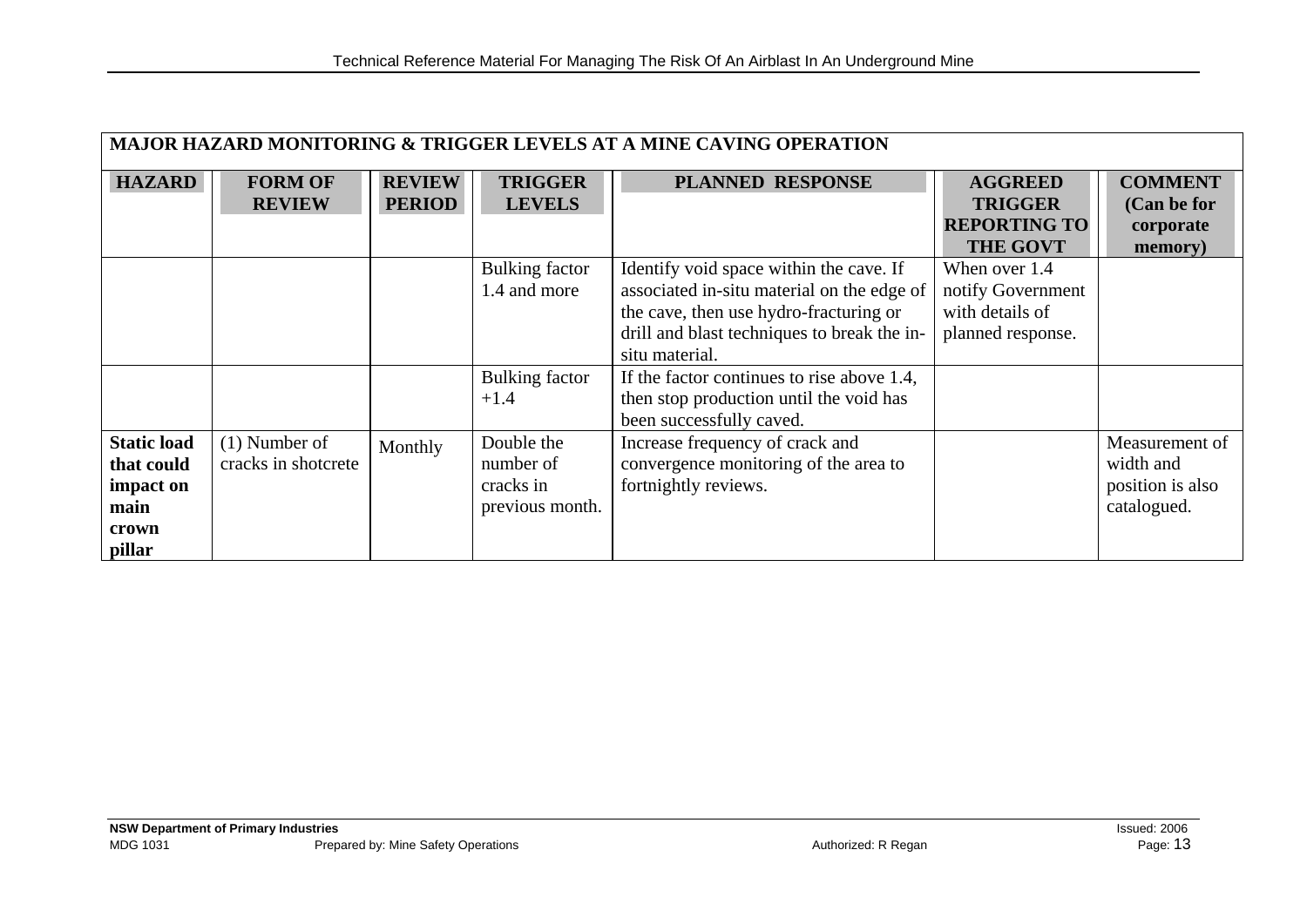| MAJOR HAZARD MONITORING & TRIGGER LEVELS AT A MINE CAVING OPERATION |                     |               |                 |                                             |                     |                  |
|---------------------------------------------------------------------|---------------------|---------------|-----------------|---------------------------------------------|---------------------|------------------|
| <b>HAZARD</b>                                                       | <b>FORM OF</b>      | <b>REVIEW</b> | <b>TRIGGER</b>  | <b>PLANNED RESPONSE</b>                     | <b>AGGREED</b>      | <b>COMMENT</b>   |
|                                                                     | <b>REVIEW</b>       | <b>PERIOD</b> | <b>LEVELS</b>   |                                             | <b>TRIGGER</b>      | (Can be for      |
|                                                                     |                     |               |                 |                                             | <b>REPORTING TO</b> | corporate        |
|                                                                     |                     |               |                 |                                             | <b>THE GOVT</b>     | memory)          |
|                                                                     |                     |               | Bulking factor  | Identify void space within the cave. If     | When over 1.4       |                  |
|                                                                     |                     |               | 1.4 and more    | associated in-situ material on the edge of  | notify Government   |                  |
|                                                                     |                     |               |                 | the cave, then use hydro-fracturing or      | with details of     |                  |
|                                                                     |                     |               |                 | drill and blast techniques to break the in- | planned response.   |                  |
|                                                                     |                     |               |                 | situ material.                              |                     |                  |
|                                                                     |                     |               | Bulking factor  | If the factor continues to rise above 1.4,  |                     |                  |
|                                                                     |                     |               | $+1.4$          | then stop production until the void has     |                     |                  |
|                                                                     |                     |               |                 | been successfully caved.                    |                     |                  |
| <b>Static load</b>                                                  | $(1)$ Number of     | Monthly       | Double the      | Increase frequency of crack and             |                     | Measurement of   |
| that could                                                          | cracks in shotcrete |               | number of       | convergence monitoring of the area to       |                     | width and        |
| impact on                                                           |                     |               | cracks in       | fortnightly reviews.                        |                     | position is also |
| main                                                                |                     |               | previous month. |                                             |                     | catalogued.      |
| crown                                                               |                     |               |                 |                                             |                     |                  |
| pillar                                                              |                     |               |                 |                                             |                     |                  |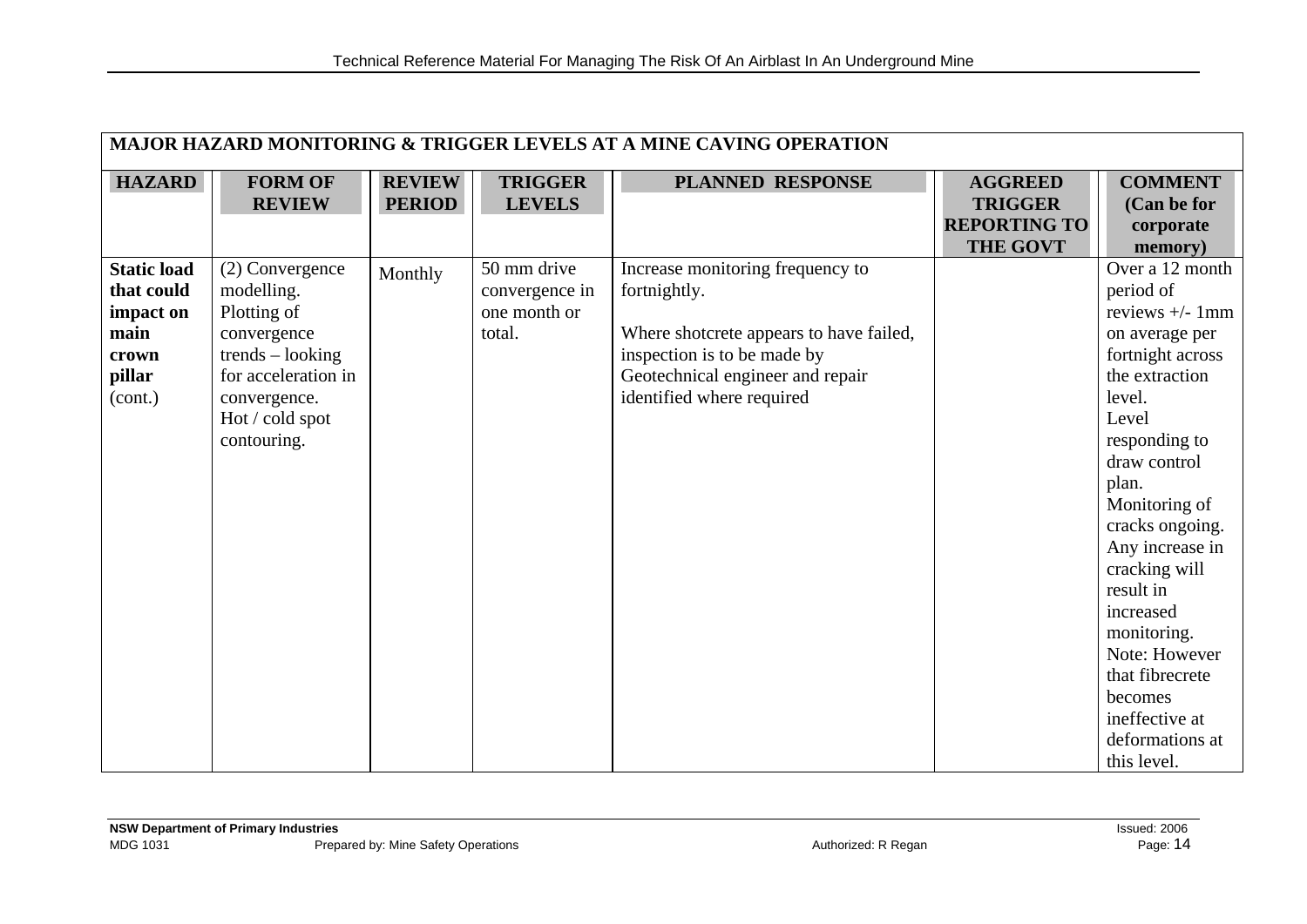| <b>MAJOR HAZARD MONITORING &amp; TRIGGER LEVELS AT A MINE CAVING OPERATION</b>      |                                                                                                                                                            |                                |                                                         |                                                                                                                                                                                             |                                                                            |                                                                                                                                                                                                                                                                                                                                                                                             |  |
|-------------------------------------------------------------------------------------|------------------------------------------------------------------------------------------------------------------------------------------------------------|--------------------------------|---------------------------------------------------------|---------------------------------------------------------------------------------------------------------------------------------------------------------------------------------------------|----------------------------------------------------------------------------|---------------------------------------------------------------------------------------------------------------------------------------------------------------------------------------------------------------------------------------------------------------------------------------------------------------------------------------------------------------------------------------------|--|
| <b>HAZARD</b>                                                                       | <b>FORM OF</b><br><b>REVIEW</b>                                                                                                                            | <b>REVIEW</b><br><b>PERIOD</b> | <b>TRIGGER</b><br><b>LEVELS</b>                         | <b>PLANNED RESPONSE</b>                                                                                                                                                                     | <b>AGGREED</b><br><b>TRIGGER</b><br><b>REPORTING TO</b><br><b>THE GOVT</b> | <b>COMMENT</b><br>(Can be for<br>corporate<br>memory)                                                                                                                                                                                                                                                                                                                                       |  |
| <b>Static load</b><br>that could<br>impact on<br>main<br>crown<br>pillar<br>(cont.) | (2) Convergence<br>modelling.<br>Plotting of<br>convergence<br>$trends - looking$<br>for acceleration in<br>convergence.<br>Hot / cold spot<br>contouring. | Monthly                        | 50 mm drive<br>convergence in<br>one month or<br>total. | Increase monitoring frequency to<br>fortnightly.<br>Where shotcrete appears to have failed,<br>inspection is to be made by<br>Geotechnical engineer and repair<br>identified where required |                                                                            | Over a 12 month<br>period of<br>reviews $+/- 1$ mm<br>on average per<br>fortnight across<br>the extraction<br>level.<br>Level<br>responding to<br>draw control<br>plan.<br>Monitoring of<br>cracks ongoing.<br>Any increase in<br>cracking will<br>result in<br>increased<br>monitoring.<br>Note: However<br>that fibrecrete<br>becomes<br>ineffective at<br>deformations at<br>this level. |  |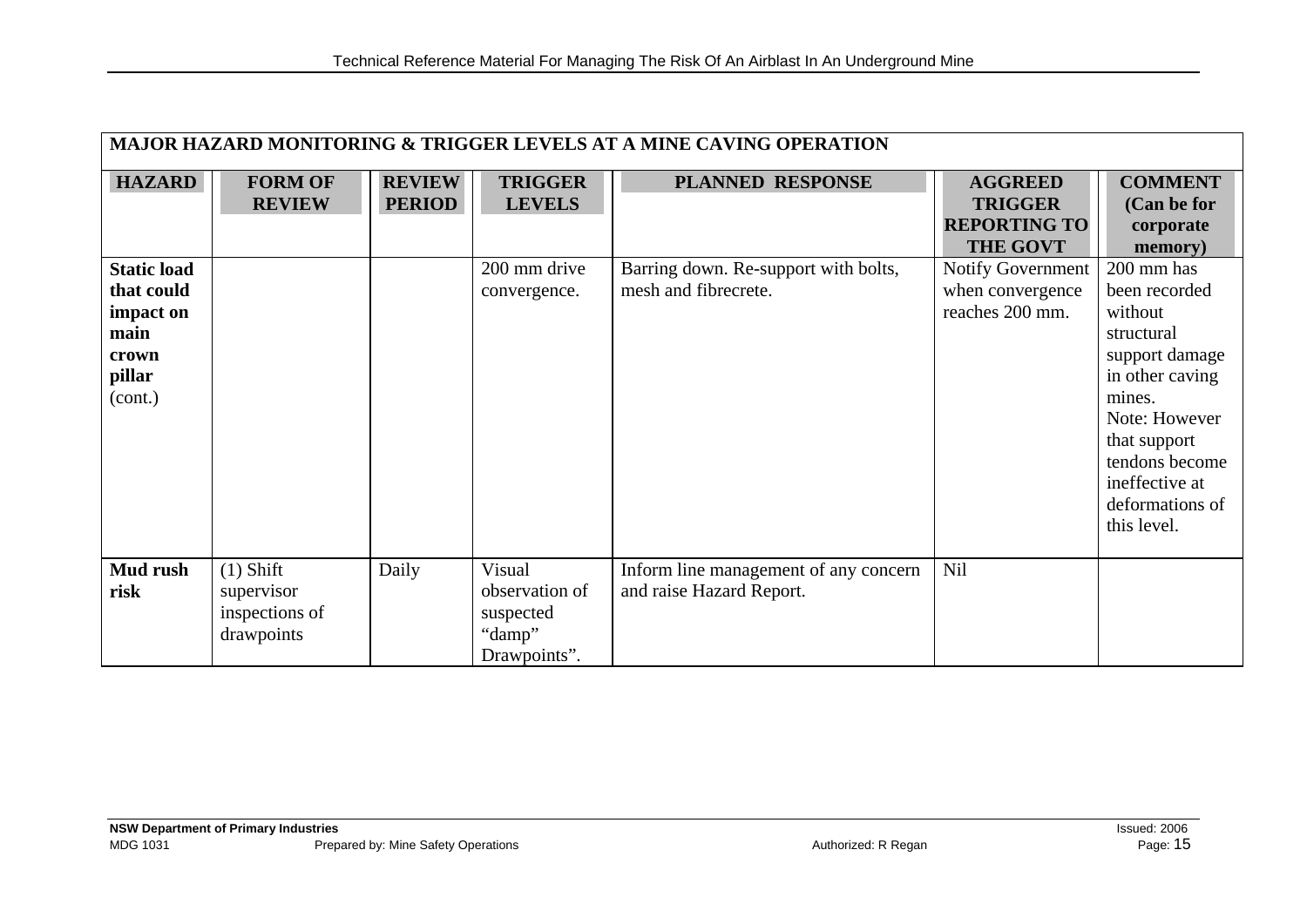| <b>MAJOR HAZARD MONITORING &amp; TRIGGER LEVELS AT A MINE CAVING OPERATION</b>      |                                                           |                                |                                                                 |                                                                   |                                                                            |                                                                                                                                                                                                            |  |
|-------------------------------------------------------------------------------------|-----------------------------------------------------------|--------------------------------|-----------------------------------------------------------------|-------------------------------------------------------------------|----------------------------------------------------------------------------|------------------------------------------------------------------------------------------------------------------------------------------------------------------------------------------------------------|--|
| <b>HAZARD</b>                                                                       | <b>FORM OF</b><br><b>REVIEW</b>                           | <b>REVIEW</b><br><b>PERIOD</b> | <b>TRIGGER</b><br><b>LEVELS</b>                                 | <b>PLANNED RESPONSE</b>                                           | <b>AGGREED</b><br><b>TRIGGER</b><br><b>REPORTING TO</b><br><b>THE GOVT</b> | <b>COMMENT</b><br>(Can be for<br>corporate<br>memory)                                                                                                                                                      |  |
| <b>Static load</b><br>that could<br>impact on<br>main<br>crown<br>pillar<br>(cont.) |                                                           |                                | 200 mm drive<br>convergence.                                    | Barring down. Re-support with bolts,<br>mesh and fibrecrete.      | <b>Notify Government</b><br>when convergence<br>reaches 200 mm.            | 200 mm has<br>been recorded<br>without<br>structural<br>support damage<br>in other caving<br>mines.<br>Note: However<br>that support<br>tendons become<br>ineffective at<br>deformations of<br>this level. |  |
| Mud rush<br>risk                                                                    | $(1)$ Shift<br>supervisor<br>inspections of<br>drawpoints | Daily                          | Visual<br>observation of<br>suspected<br>"damp"<br>Drawpoints". | Inform line management of any concern<br>and raise Hazard Report. | Nil                                                                        |                                                                                                                                                                                                            |  |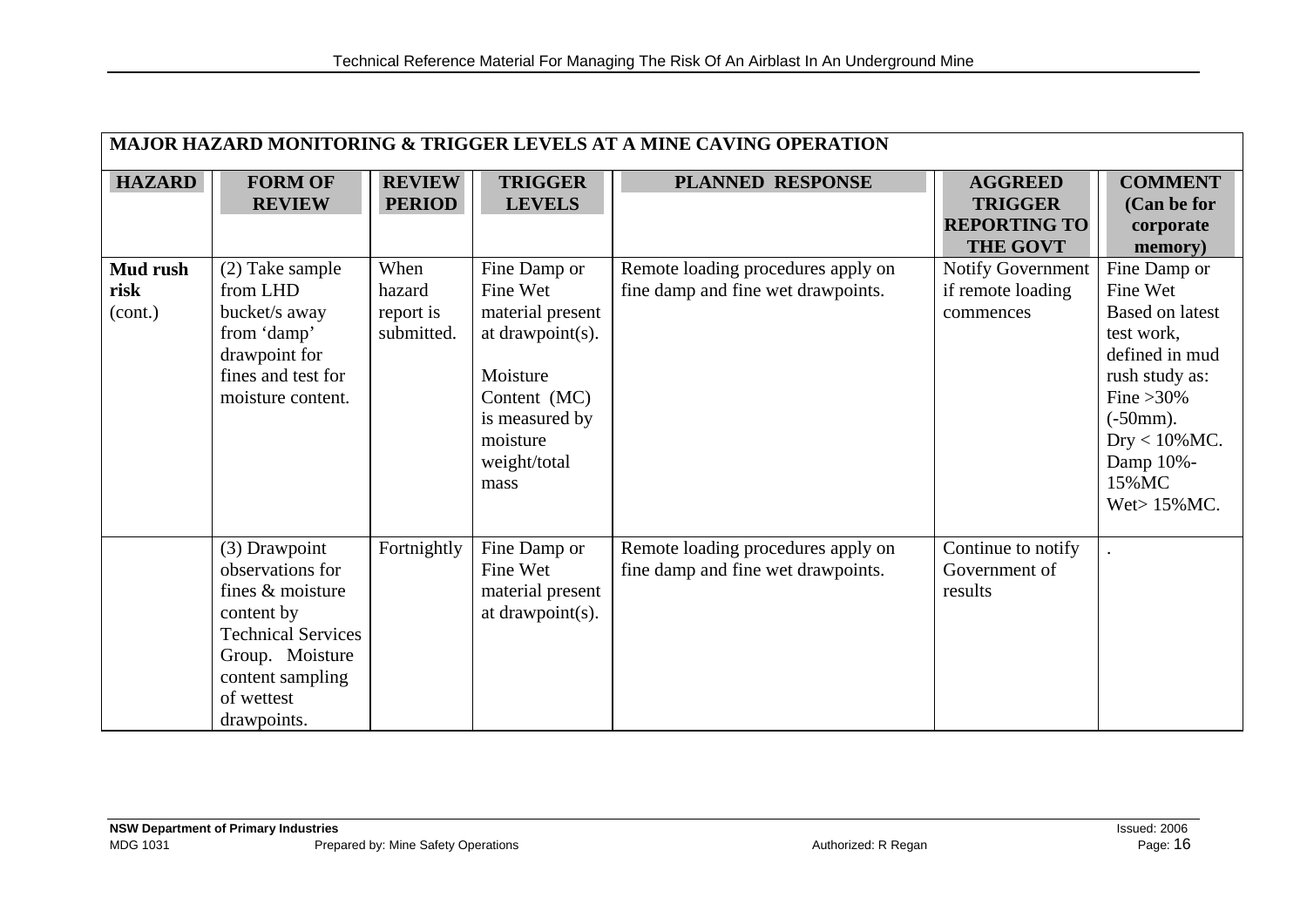| <b>MAJOR HAZARD MONITORING &amp; TRIGGER LEVELS AT A MINE CAVING OPERATION</b> |                                                                                                                                                                      |                                           |                                                                                                                                                    |                                                                          |                                                                            |                                                                                                                                                                                                    |  |
|--------------------------------------------------------------------------------|----------------------------------------------------------------------------------------------------------------------------------------------------------------------|-------------------------------------------|----------------------------------------------------------------------------------------------------------------------------------------------------|--------------------------------------------------------------------------|----------------------------------------------------------------------------|----------------------------------------------------------------------------------------------------------------------------------------------------------------------------------------------------|--|
| <b>HAZARD</b>                                                                  | <b>FORM OF</b><br><b>REVIEW</b>                                                                                                                                      | <b>REVIEW</b><br><b>PERIOD</b>            | <b>TRIGGER</b><br><b>LEVELS</b>                                                                                                                    | <b>PLANNED RESPONSE</b>                                                  | <b>AGGREED</b><br><b>TRIGGER</b><br><b>REPORTING TO</b><br><b>THE GOVT</b> | <b>COMMENT</b><br>(Can be for<br>corporate<br>memory)                                                                                                                                              |  |
| Mud rush<br>risk<br>(cont.)                                                    | (2) Take sample<br>from LHD<br>bucket/s away<br>from 'damp'<br>drawpoint for<br>fines and test for<br>moisture content.                                              | When<br>hazard<br>report is<br>submitted. | Fine Damp or<br>Fine Wet<br>material present<br>at drawpoint(s).<br>Moisture<br>Content (MC)<br>is measured by<br>moisture<br>weight/total<br>mass | Remote loading procedures apply on<br>fine damp and fine wet drawpoints. | Notify Government<br>if remote loading<br>commences                        | Fine Damp or<br>Fine Wet<br><b>Based on latest</b><br>test work,<br>defined in mud<br>rush study as:<br>Fine $>30\%$<br>$(-50mm)$ .<br>$Dry < 10\%$ MC.<br>Damp 10%-<br>15% MC<br>Wet $> 15\%$ MC. |  |
|                                                                                | (3) Drawpoint<br>observations for<br>fines & moisture<br>content by<br><b>Technical Services</b><br>Group. Moisture<br>content sampling<br>of wettest<br>drawpoints. | Fortnightly                               | Fine Damp or<br>Fine Wet<br>material present<br>at drawpoint(s).                                                                                   | Remote loading procedures apply on<br>fine damp and fine wet drawpoints. | Continue to notify<br>Government of<br>results                             |                                                                                                                                                                                                    |  |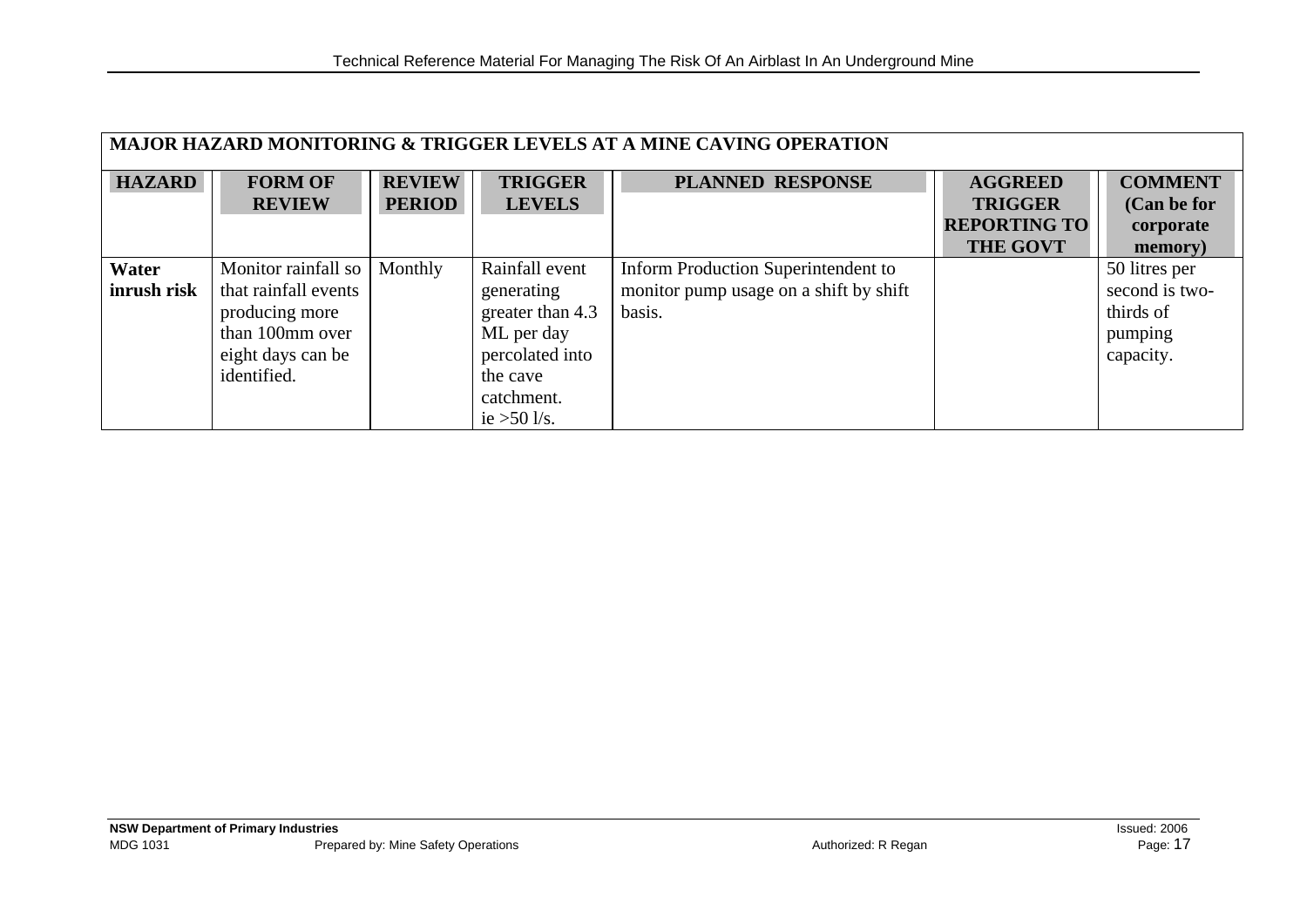| <b>MAJOR HAZARD MONITORING &amp; TRIGGER LEVELS AT A MINE CAVING OPERATION</b> |                      |               |                  |                                        |                     |                |  |
|--------------------------------------------------------------------------------|----------------------|---------------|------------------|----------------------------------------|---------------------|----------------|--|
| <b>HAZARD</b>                                                                  | <b>FORM OF</b>       | <b>REVIEW</b> | <b>TRIGGER</b>   | <b>PLANNED RESPONSE</b>                | <b>AGGREED</b>      | <b>COMMENT</b> |  |
|                                                                                | <b>REVIEW</b>        | <b>PERIOD</b> | <b>LEVELS</b>    |                                        | <b>TRIGGER</b>      | (Can be for    |  |
|                                                                                |                      |               |                  |                                        | <b>REPORTING TO</b> | corporate      |  |
|                                                                                |                      |               |                  |                                        | <b>THE GOVT</b>     | memory)        |  |
| Water                                                                          | Monitor rainfall so  | Monthly       | Rainfall event   | Inform Production Superintendent to    |                     | 50 litres per  |  |
| inrush risk                                                                    | that rainfall events |               | generating       | monitor pump usage on a shift by shift |                     | second is two- |  |
|                                                                                | producing more       |               | greater than 4.3 | basis.                                 |                     | thirds of      |  |
|                                                                                | than 100mm over      |               | ML per day       |                                        |                     | pumping        |  |
|                                                                                | eight days can be    |               | percolated into  |                                        |                     | capacity.      |  |
|                                                                                | identified.          |               | the cave         |                                        |                     |                |  |
|                                                                                |                      |               | catchment.       |                                        |                     |                |  |
|                                                                                |                      |               | ie $>50$ l/s.    |                                        |                     |                |  |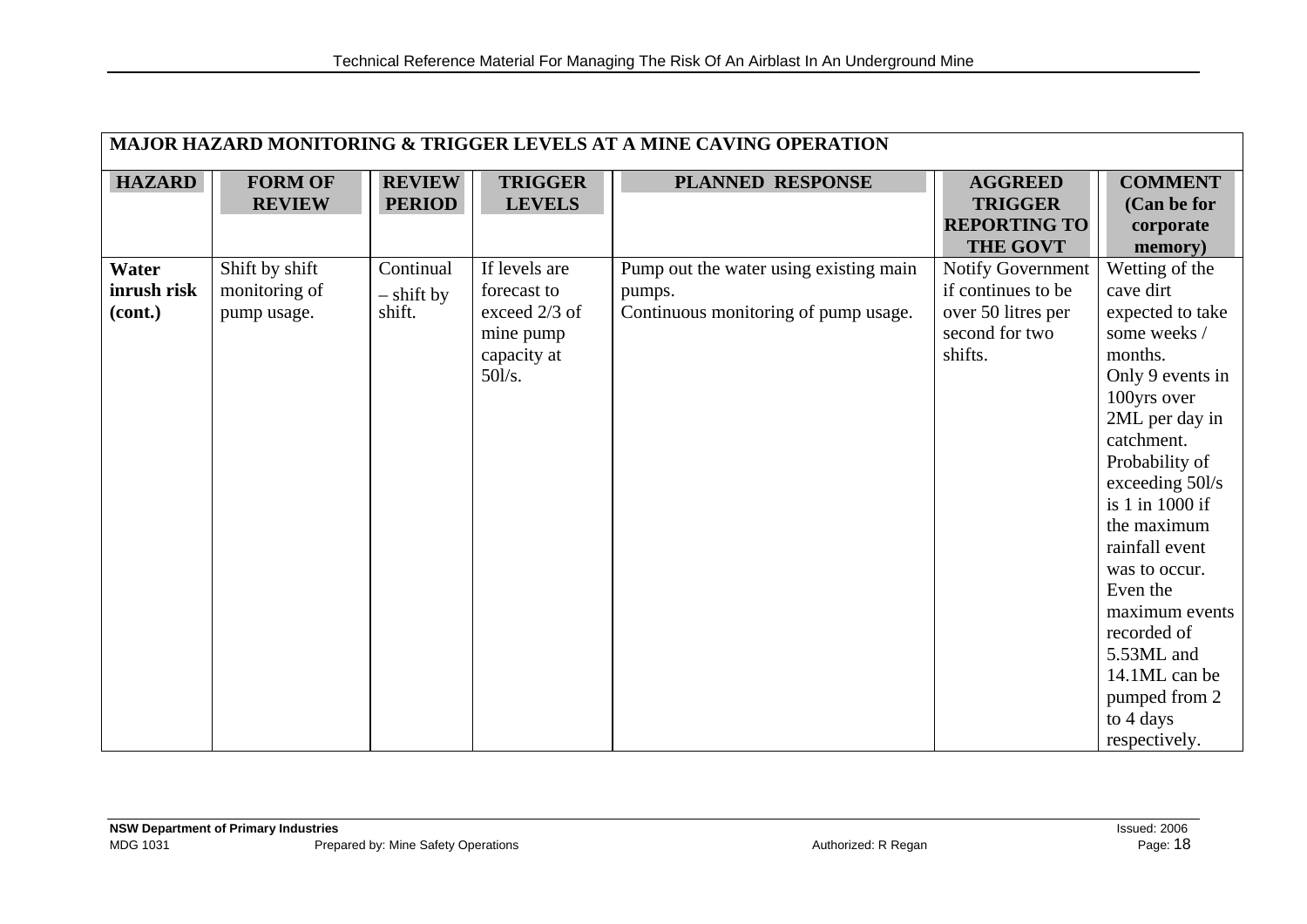|                                 | <b>MAJOR HAZARD MONITORING &amp; TRIGGER LEVELS AT A MINE CAVING OPERATION</b> |                                     |                                                                                     |                                                                                          |                                                                                            |                                                                                                                                                                                                                                                                                                                                                                                    |  |  |
|---------------------------------|--------------------------------------------------------------------------------|-------------------------------------|-------------------------------------------------------------------------------------|------------------------------------------------------------------------------------------|--------------------------------------------------------------------------------------------|------------------------------------------------------------------------------------------------------------------------------------------------------------------------------------------------------------------------------------------------------------------------------------------------------------------------------------------------------------------------------------|--|--|
| <b>HAZARD</b>                   | <b>FORM OF</b><br><b>REVIEW</b>                                                | <b>REVIEW</b><br><b>PERIOD</b>      | <b>TRIGGER</b><br><b>LEVELS</b>                                                     | PLANNED RESPONSE                                                                         | <b>AGGREED</b><br><b>TRIGGER</b><br><b>REPORTING TO</b><br><b>THE GOVT</b>                 | <b>COMMENT</b><br>(Can be for<br>corporate<br>memory)                                                                                                                                                                                                                                                                                                                              |  |  |
| Water<br>inrush risk<br>(cont.) | Shift by shift<br>monitoring of<br>pump usage.                                 | Continual<br>$-$ shift by<br>shift. | If levels are<br>forecast to<br>exceed 2/3 of<br>mine pump<br>capacity at<br>50l/s. | Pump out the water using existing main<br>pumps.<br>Continuous monitoring of pump usage. | Notify Government<br>if continues to be<br>over 50 litres per<br>second for two<br>shifts. | Wetting of the<br>cave dirt<br>expected to take<br>some weeks /<br>months.<br>Only 9 events in<br>100yrs over<br>2ML per day in<br>catchment.<br>Probability of<br>exceeding 50l/s<br>is 1 in 1000 if<br>the maximum<br>rainfall event<br>was to occur.<br>Even the<br>maximum events<br>recorded of<br>5.53ML and<br>14.1ML can be<br>pumped from 2<br>to 4 days<br>respectively. |  |  |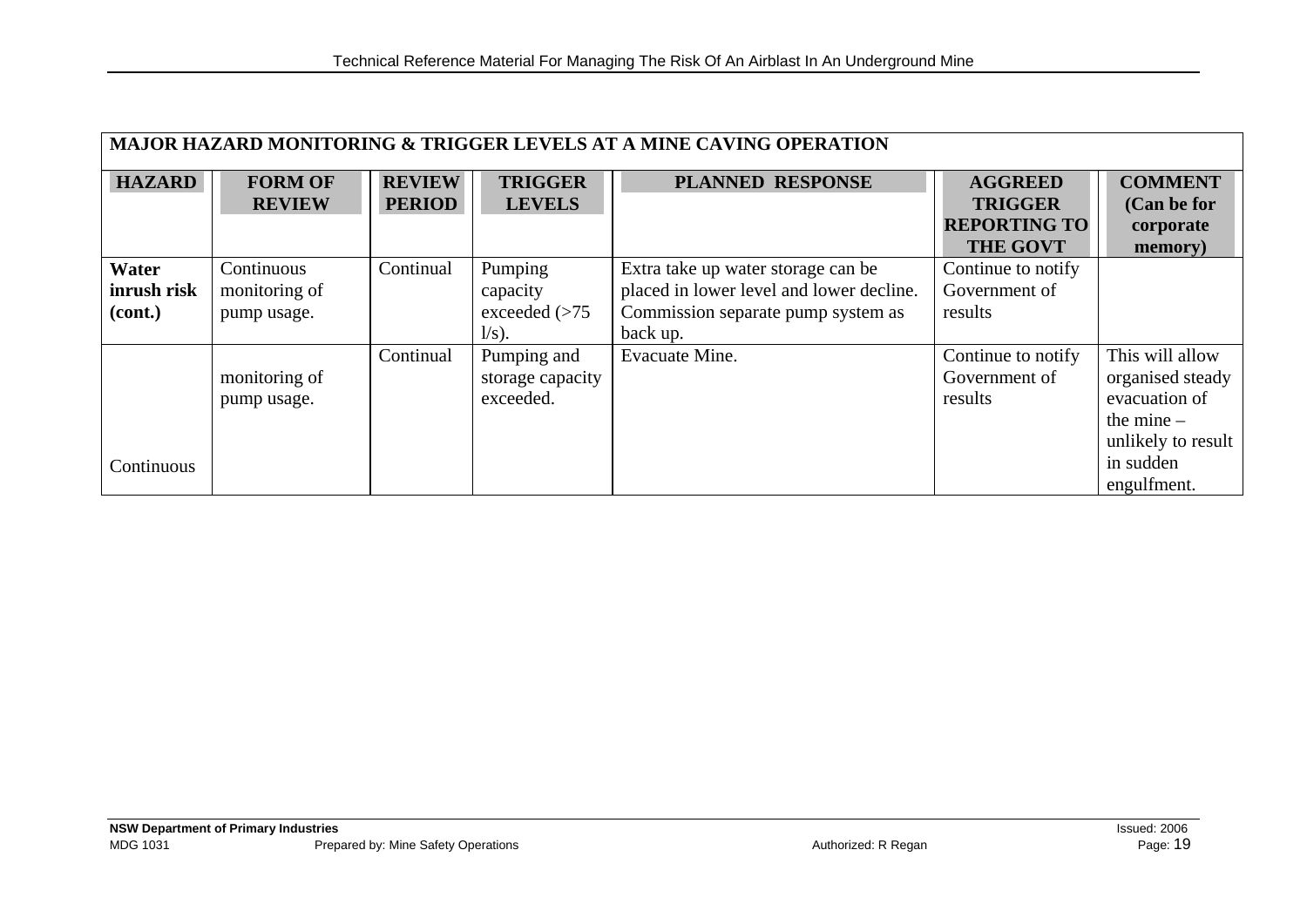| <b>MAJOR HAZARD MONITORING &amp; TRIGGER LEVELS AT A MINE CAVING OPERATION</b> |                                            |                                |                                                    |                                                                                                                                  |                                                         |                                                                                                                        |  |
|--------------------------------------------------------------------------------|--------------------------------------------|--------------------------------|----------------------------------------------------|----------------------------------------------------------------------------------------------------------------------------------|---------------------------------------------------------|------------------------------------------------------------------------------------------------------------------------|--|
| <b>HAZARD</b>                                                                  | <b>FORM OF</b><br><b>REVIEW</b>            | <b>REVIEW</b><br><b>PERIOD</b> | <b>TRIGGER</b><br><b>LEVELS</b>                    | <b>PLANNED RESPONSE</b>                                                                                                          | <b>AGGREED</b><br><b>TRIGGER</b><br><b>REPORTING TO</b> | <b>COMMENT</b><br>(Can be for                                                                                          |  |
|                                                                                |                                            |                                |                                                    |                                                                                                                                  | <b>THE GOVT</b>                                         | corporate<br>memory)                                                                                                   |  |
| Water<br>inrush risk<br>(cont.)                                                | Continuous<br>monitoring of<br>pump usage. | Continual                      | Pumping<br>capacity<br>exceeded $(>75$<br>$l/s$ ). | Extra take up water storage can be<br>placed in lower level and lower decline.<br>Commission separate pump system as<br>back up. | Continue to notify<br>Government of<br>results          |                                                                                                                        |  |
| Continuous                                                                     | monitoring of<br>pump usage.               | Continual                      | Pumping and<br>storage capacity<br>exceeded.       | <b>Evacuate Mine.</b>                                                                                                            | Continue to notify<br>Government of<br>results          | This will allow<br>organised steady<br>evacuation of<br>the mine $-$<br>unlikely to result<br>in sudden<br>engulfment. |  |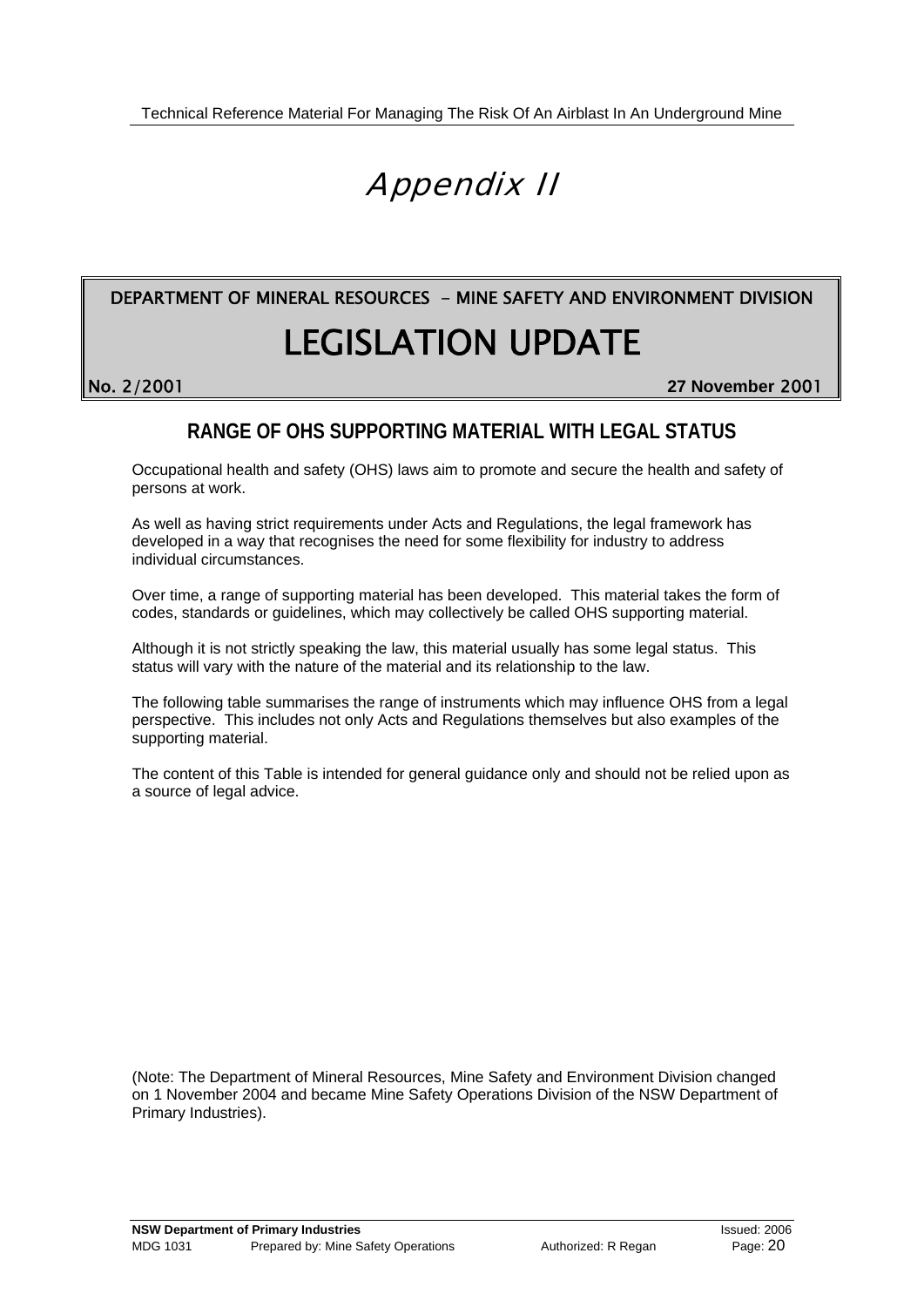# Appendix II

# **EGISLATION UPDATE** No. 2/2001<br>
No. 2/2001 27 November 2001 DEPARTMENT OF MINERAL RESOURCES - MINE SAFETY AND ENVIRONMENT DIVISION

### **RANGE OF OHS SUPPORTING MATERIAL WITH LEGAL STATUS**

Occupational health and safety (OHS) laws aim to promote and secure the health and safety of persons at work.

As well as having strict requirements under Acts and Regulations, the legal framework has developed in a way that recognises the need for some flexibility for industry to address individual circumstances.

Over time, a range of supporting material has been developed. This material takes the form of codes, standards or guidelines, which may collectively be called OHS supporting material.

Although it is not strictly speaking the law, this material usually has some legal status. This status will vary with the nature of the material and its relationship to the law.

The following table summarises the range of instruments which may influence OHS from a legal perspective. This includes not only Acts and Regulations themselves but also examples of the supporting material.

The content of this Table is intended for general guidance only and should not be relied upon as a source of legal advice.

(Note: The Department of Mineral Resources, Mine Safety and Environment Division changed on 1 November 2004 and became Mine Safety Operations Division of the NSW Department of Primary Industries).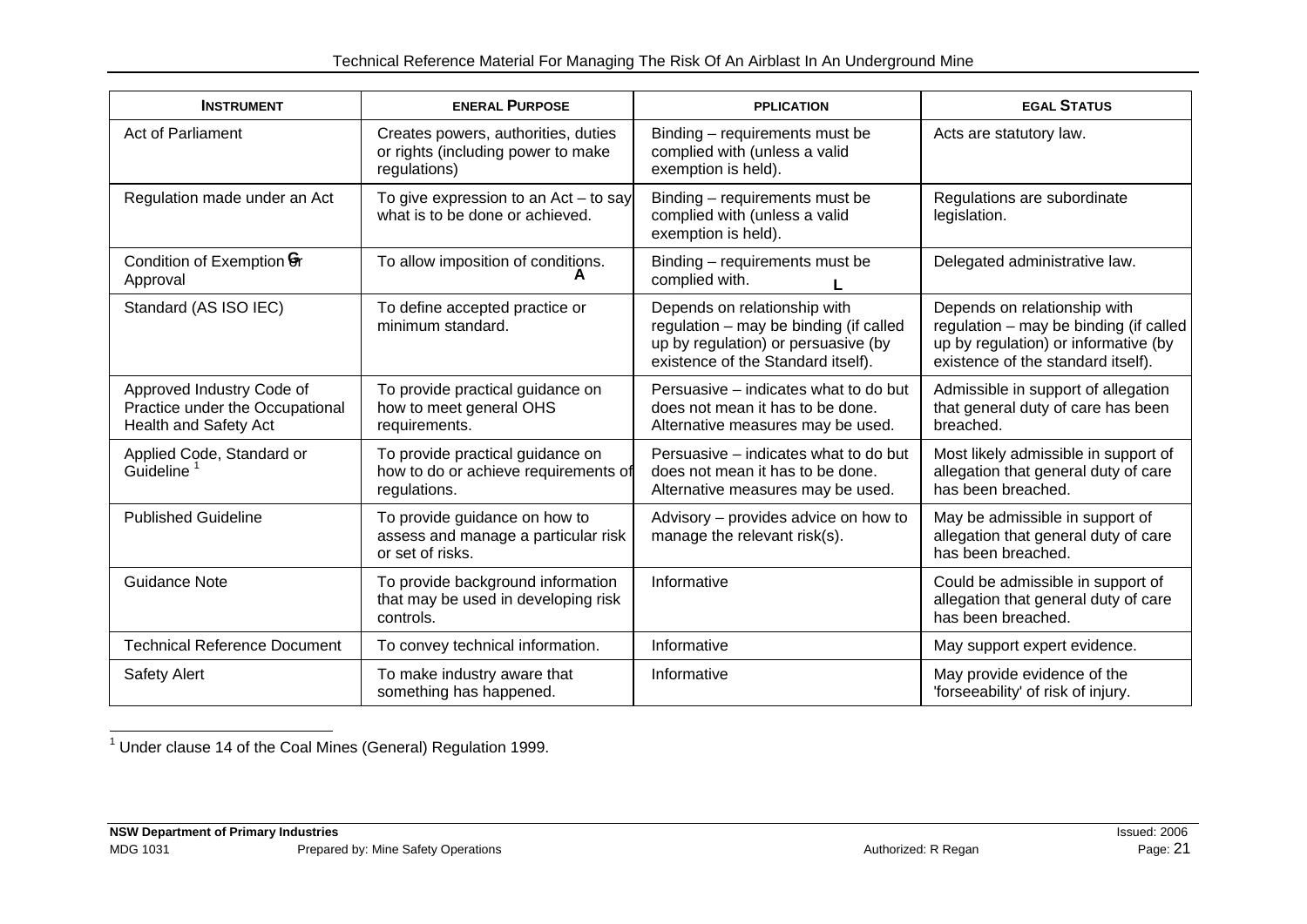#### Technical Reference Material For Managing The Risk Of An Airblast In An Underground Mine

| <b>INSTRUMENT</b>                                                                     | <b>ENERAL PURPOSE</b>                                                                     | <b>PPLICATION</b>                                                                                                                                   | <b>EGAL STATUS</b>                                                                                                                                   |
|---------------------------------------------------------------------------------------|-------------------------------------------------------------------------------------------|-----------------------------------------------------------------------------------------------------------------------------------------------------|------------------------------------------------------------------------------------------------------------------------------------------------------|
| Act of Parliament                                                                     | Creates powers, authorities, duties<br>or rights (including power to make<br>regulations) | Binding - requirements must be<br>complied with (unless a valid<br>exemption is held).                                                              | Acts are statutory law.                                                                                                                              |
| Regulation made under an Act                                                          | To give expression to an Act - to say<br>what is to be done or achieved.                  | Binding – requirements must be<br>complied with (unless a valid<br>exemption is held).                                                              | Regulations are subordinate<br>legislation.                                                                                                          |
| Condition of Exemption <b>G</b> r<br>Approval                                         | To allow imposition of conditions.                                                        | Binding – requirements must be<br>complied with.                                                                                                    | Delegated administrative law.                                                                                                                        |
| Standard (AS ISO IEC)                                                                 | To define accepted practice or<br>minimum standard.                                       | Depends on relationship with<br>regulation - may be binding (if called<br>up by regulation) or persuasive (by<br>existence of the Standard itself). | Depends on relationship with<br>regulation - may be binding (if called<br>up by regulation) or informative (by<br>existence of the standard itself). |
| Approved Industry Code of<br>Practice under the Occupational<br>Health and Safety Act | To provide practical guidance on<br>how to meet general OHS<br>requirements.              | Persuasive - indicates what to do but<br>does not mean it has to be done.<br>Alternative measures may be used.                                      | Admissible in support of allegation<br>that general duty of care has been<br>breached.                                                               |
| Applied Code, Standard or<br>Guideline                                                | To provide practical guidance on<br>how to do or achieve requirements of<br>regulations.  | Persuasive - indicates what to do but<br>does not mean it has to be done.<br>Alternative measures may be used.                                      | Most likely admissible in support of<br>allegation that general duty of care<br>has been breached.                                                   |
| <b>Published Guideline</b>                                                            | To provide guidance on how to<br>assess and manage a particular risk<br>or set of risks.  | Advisory - provides advice on how to<br>manage the relevant risk(s).                                                                                | May be admissible in support of<br>allegation that general duty of care<br>has been breached.                                                        |
| <b>Guidance Note</b>                                                                  | To provide background information<br>that may be used in developing risk<br>controls.     | Informative                                                                                                                                         | Could be admissible in support of<br>allegation that general duty of care<br>has been breached.                                                      |
| <b>Technical Reference Document</b>                                                   | To convey technical information.                                                          | Informative                                                                                                                                         | May support expert evidence.                                                                                                                         |
| <b>Safety Alert</b>                                                                   | To make industry aware that<br>something has happened.                                    | Informative                                                                                                                                         | May provide evidence of the<br>'forseeability' of risk of injury.                                                                                    |

 $<sup>1</sup>$  Under clause 14 of the Coal Mines (General) Regulation 1999.</sup>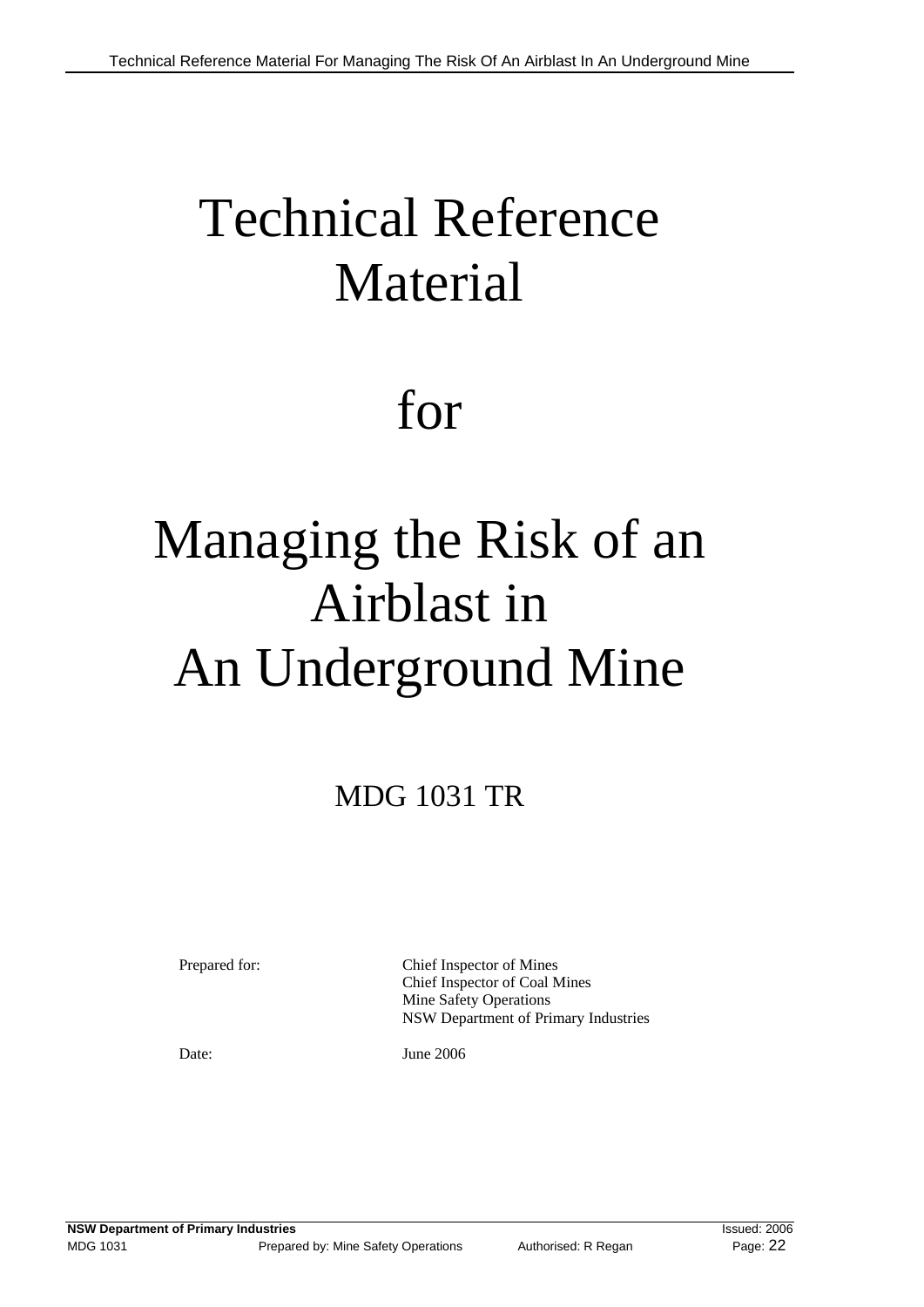# Technical Reference Material

# for

# Managing the Risk of an Airblast in An Underground Mine

# MDG 1031 TR

 Mine Safety Operations NSW Department of Primary Industries Prepared for: Chief Inspector of Mines Chief Inspector of Coal Mines

Date: June 2006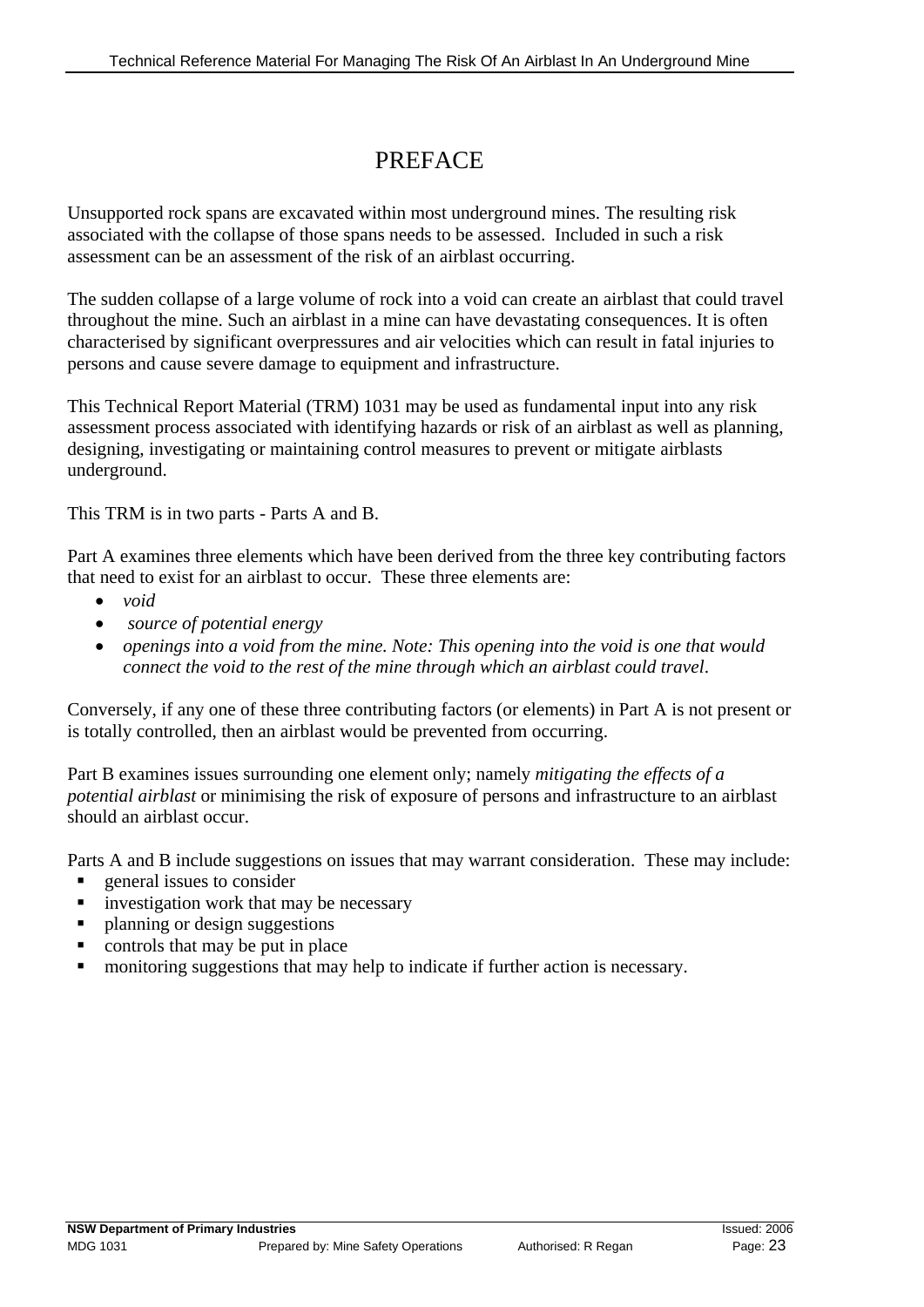## PREFACE

Unsupported rock spans are excavated within most underground mines. The resulting risk associated with the collapse of those spans needs to be assessed. Included in such a risk assessment can be an assessment of the risk of an airblast occurring.

The sudden collapse of a large volume of rock into a void can create an airblast that could travel throughout the mine. Such an airblast in a mine can have devastating consequences. It is often characterised by significant overpressures and air velocities which can result in fatal injuries to persons and cause severe damage to equipment and infrastructure.

This Technical Report Material (TRM) 1031 may be used as fundamental input into any risk assessment process associated with identifying hazards or risk of an airblast as well as planning, designing, investigating or maintaining control measures to prevent or mitigate airblasts underground.

This TRM is in two parts - Parts A and B.

Part A examines three elements which have been derived from the three key contributing factors that need to exist for an airblast to occur. These three elements are:

- • *void*
- • *source of potential energy*
- *openings into a void from the mine. Note: This opening into the void is one that would connect the void to the rest of the mine through which an airblast could travel*.

Conversely, if any one of these three contributing factors (or elements) in Part A is not present or is totally controlled, then an airblast would be prevented from occurring.

Part B examines issues surrounding one element only; namely *mitigating the effects of a potential airblast* or minimising the risk of exposure of persons and infrastructure to an airblast should an airblast occur.

Parts A and B include suggestions on issues that may warrant consideration. These may include:

- general issues to consider
- **i** investigation work that may be necessary
- planning or design suggestions
- controls that may be put in place
- monitoring suggestions that may help to indicate if further action is necessary.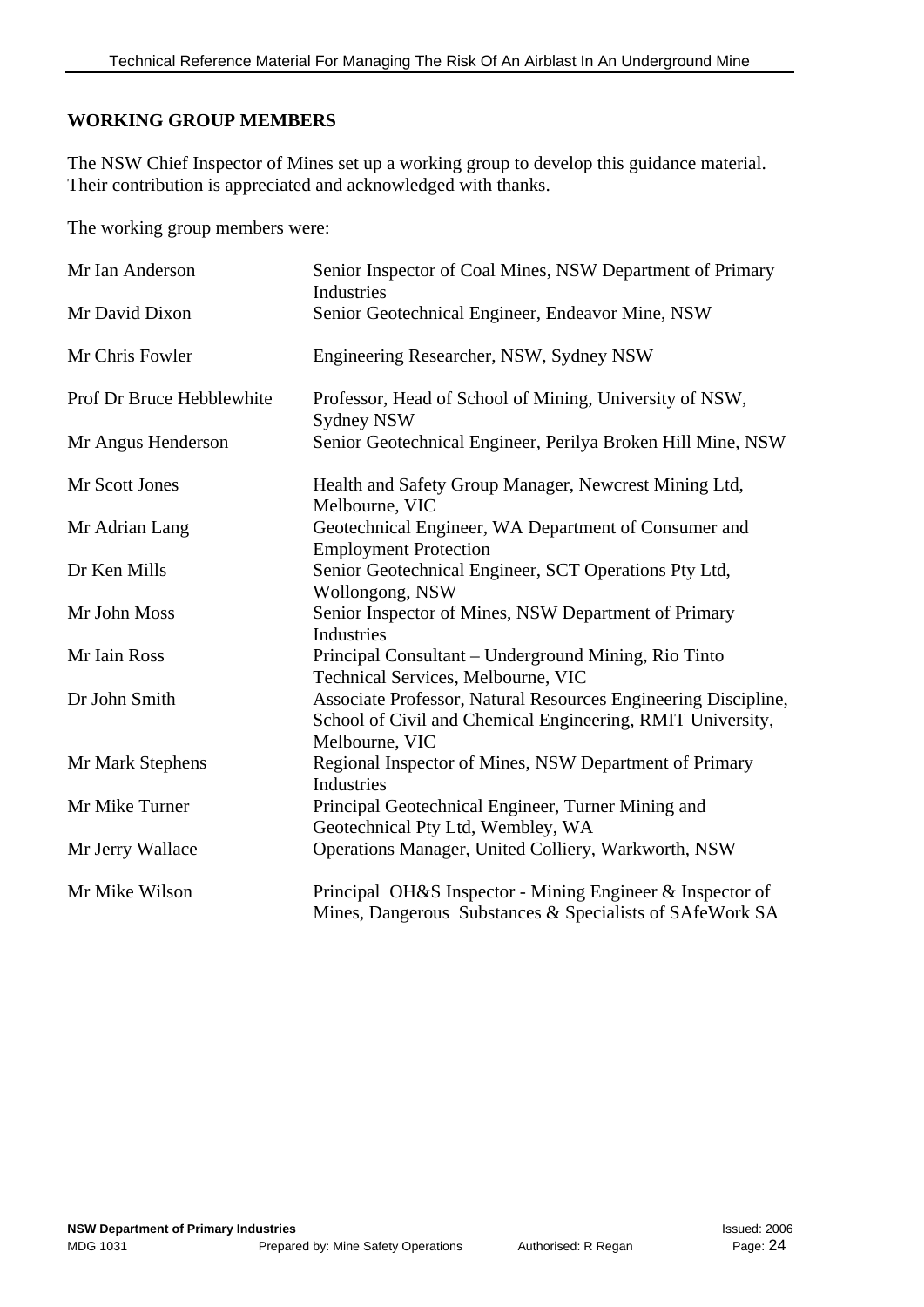#### **WORKING GROUP MEMBERS**

The NSW Chief Inspector of Mines set up a working group to develop this guidance material. Their contribution is appreciated and acknowledged with thanks.

The working group members were:

| Mr Ian Anderson           | Senior Inspector of Coal Mines, NSW Department of Primary<br>Industries                                                                        |
|---------------------------|------------------------------------------------------------------------------------------------------------------------------------------------|
| Mr David Dixon            | Senior Geotechnical Engineer, Endeavor Mine, NSW                                                                                               |
| Mr Chris Fowler           | Engineering Researcher, NSW, Sydney NSW                                                                                                        |
| Prof Dr Bruce Hebblewhite | Professor, Head of School of Mining, University of NSW,<br>Sydney NSW                                                                          |
| Mr Angus Henderson        | Senior Geotechnical Engineer, Perilya Broken Hill Mine, NSW                                                                                    |
| Mr Scott Jones            | Health and Safety Group Manager, Newcrest Mining Ltd,<br>Melbourne, VIC                                                                        |
| Mr Adrian Lang            | Geotechnical Engineer, WA Department of Consumer and<br><b>Employment Protection</b>                                                           |
| Dr Ken Mills              | Senior Geotechnical Engineer, SCT Operations Pty Ltd,<br>Wollongong, NSW                                                                       |
| Mr John Moss              | Senior Inspector of Mines, NSW Department of Primary<br>Industries                                                                             |
| Mr Iain Ross              | Principal Consultant – Underground Mining, Rio Tinto<br>Technical Services, Melbourne, VIC                                                     |
| Dr John Smith             | Associate Professor, Natural Resources Engineering Discipline,<br>School of Civil and Chemical Engineering, RMIT University,<br>Melbourne, VIC |
| Mr Mark Stephens          | Regional Inspector of Mines, NSW Department of Primary<br>Industries                                                                           |
| Mr Mike Turner            | Principal Geotechnical Engineer, Turner Mining and<br>Geotechnical Pty Ltd, Wembley, WA                                                        |
| Mr Jerry Wallace          | Operations Manager, United Colliery, Warkworth, NSW                                                                                            |
| Mr Mike Wilson            | Principal OH&S Inspector - Mining Engineer & Inspector of<br>Mines, Dangerous Substances & Specialists of SAfeWork SA                          |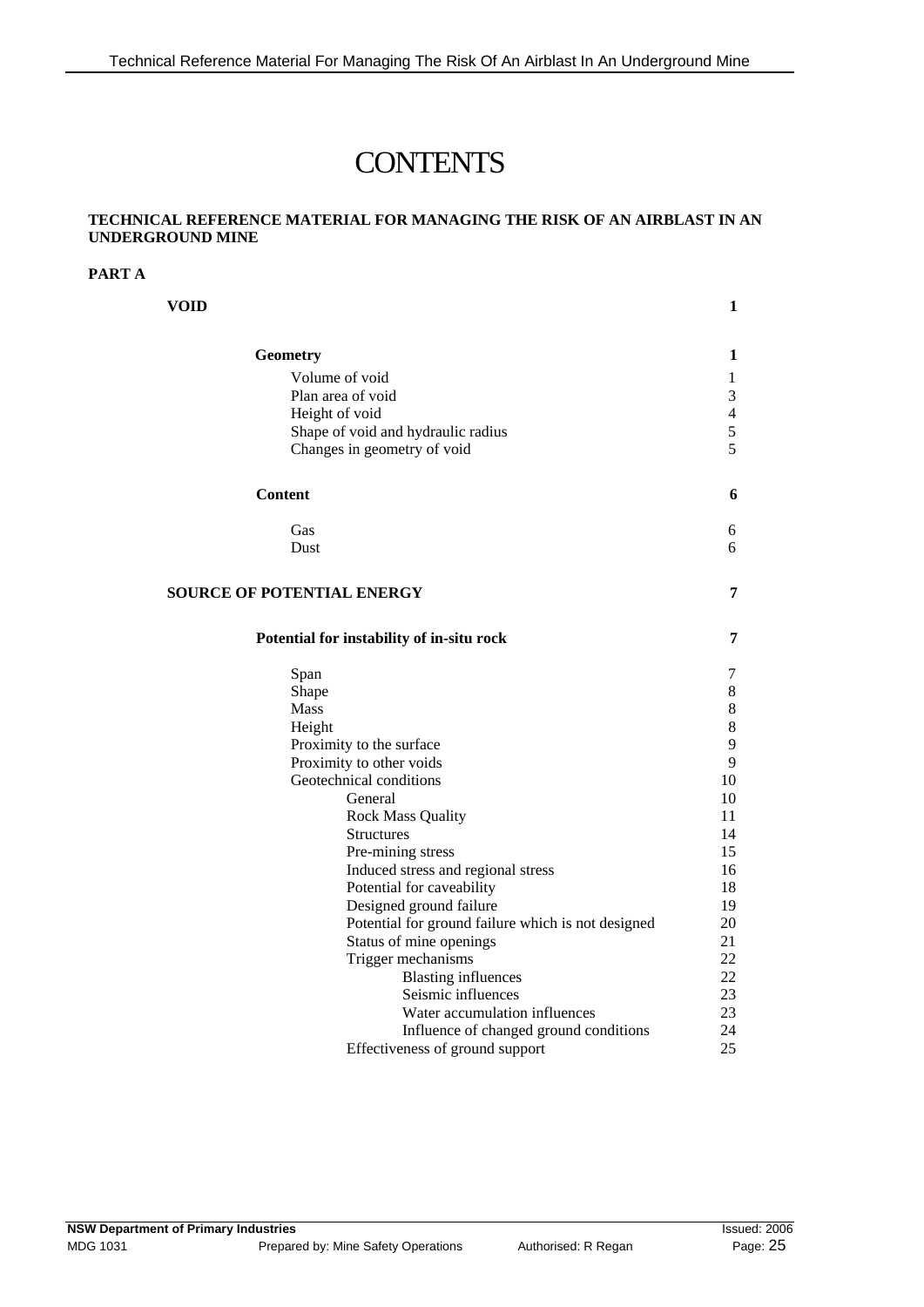## **CONTENTS**

#### **TECHNICAL REFERENCE MATERIAL FOR MANAGING THE RISK OF AN AIRBLAST IN AN UNDERGROUND MINE**

#### **PART A**

| VOID                                               | 1                        |
|----------------------------------------------------|--------------------------|
| Geometry                                           | 1                        |
| Volume of void                                     | 1                        |
| Plan area of void                                  | 3                        |
| Height of void                                     | $\overline{\mathcal{L}}$ |
| Shape of void and hydraulic radius                 | 5                        |
| Changes in geometry of void                        | 5                        |
|                                                    |                          |
| <b>Content</b>                                     | 6                        |
| Gas                                                | 6                        |
| Dust                                               | 6                        |
|                                                    |                          |
| <b>SOURCE OF POTENTIAL ENERGY</b>                  | 7                        |
| Potential for instability of in-situ rock          | 7                        |
| Span                                               | 7                        |
| Shape                                              | 8                        |
| Mass                                               | 8                        |
| Height                                             | 8                        |
| Proximity to the surface                           | 9                        |
| Proximity to other voids                           | 9                        |
| Geotechnical conditions                            | 10                       |
| General                                            | 10                       |
| <b>Rock Mass Quality</b>                           | 11                       |
| <b>Structures</b>                                  | 14                       |
| Pre-mining stress                                  | 15                       |
| Induced stress and regional stress                 | 16                       |
| Potential for caveability                          | 18                       |
| Designed ground failure                            | 19                       |
| Potential for ground failure which is not designed | 20                       |
| Status of mine openings                            | 21                       |
| Trigger mechanisms                                 | 22                       |
| <b>Blasting influences</b>                         | 22                       |
| Seismic influences                                 | 23                       |
| Water accumulation influences                      | 23                       |
| Influence of changed ground conditions             | 24                       |
| Effectiveness of ground support                    | 25                       |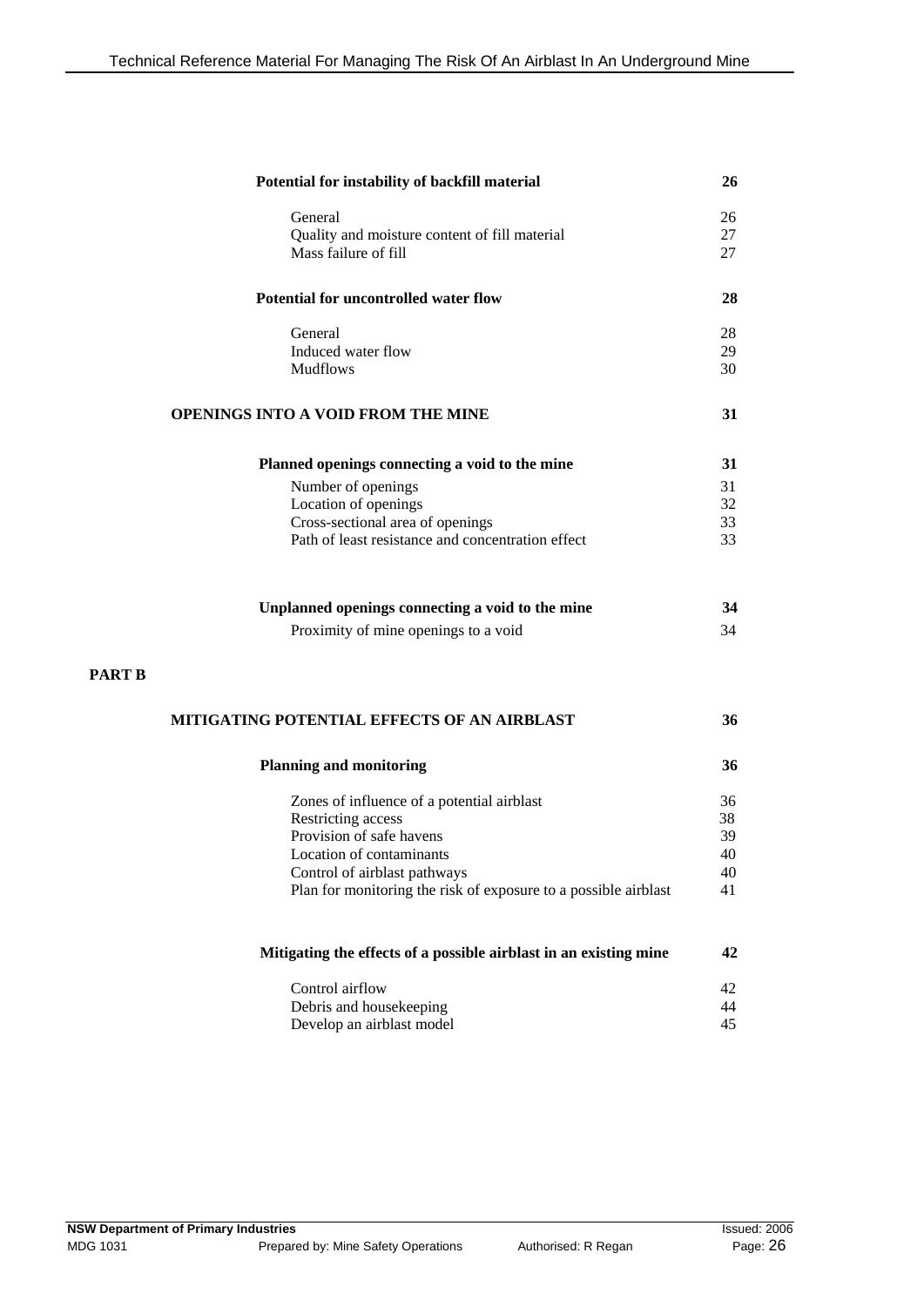| Potential for instability of backfill material                    | 26 |
|-------------------------------------------------------------------|----|
| General                                                           | 26 |
| Quality and moisture content of fill material                     | 27 |
| Mass failure of fill                                              | 27 |
| Potential for uncontrolled water flow                             | 28 |
| General                                                           | 28 |
| Induced water flow                                                | 29 |
| <b>Mudflows</b>                                                   | 30 |
| <b>OPENINGS INTO A VOID FROM THE MINE</b>                         | 31 |
| Planned openings connecting a void to the mine                    | 31 |
| Number of openings                                                | 31 |
| Location of openings                                              | 32 |
| Cross-sectional area of openings                                  | 33 |
| Path of least resistance and concentration effect                 | 33 |
| Unplanned openings connecting a void to the mine                  | 34 |
| Proximity of mine openings to a void                              | 34 |
| MITIGATING POTENTIAL EFFECTS OF AN AIRBLAST                       | 36 |
| <b>Planning and monitoring</b>                                    | 36 |
| Zones of influence of a potential airblast                        | 36 |
| Restricting access                                                | 38 |
| Provision of safe havens                                          | 39 |
| Location of contaminants                                          | 40 |
| Control of airblast pathways                                      | 40 |
| Plan for monitoring the risk of exposure to a possible airblast   | 41 |
| Mitigating the effects of a possible airblast in an existing mine | 42 |
| Control airflow                                                   | 42 |
| Debris and housekeeping                                           | 44 |
| Develop an airblast model                                         | 45 |

**PART B**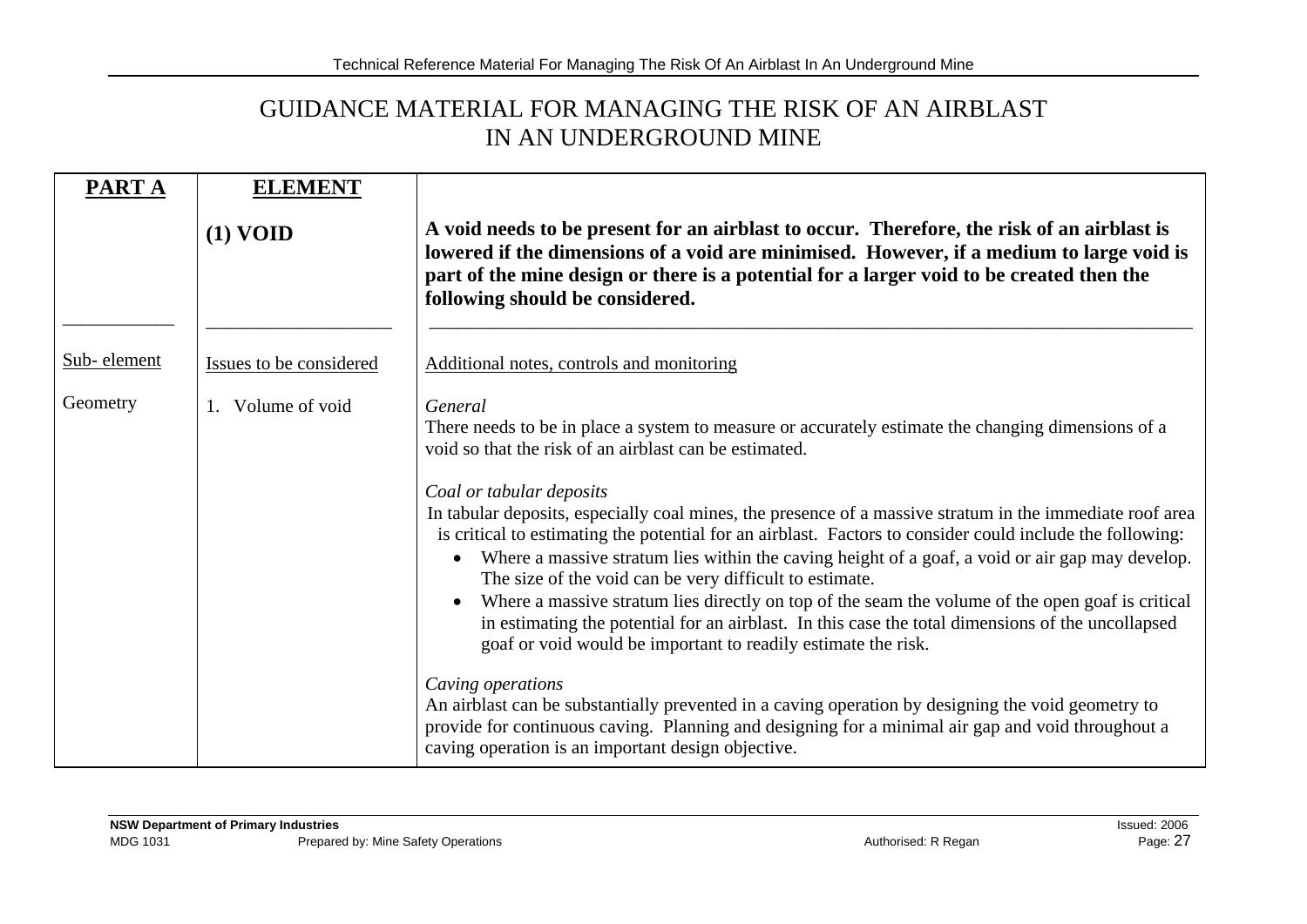## GUIDANCE MATERIAL FOR MANAGING THE RISK OF AN AIRBLAST IN AN UNDERGROUND MINE

| PART A      | <b>ELEMENT</b>          |                                                                                                                                                                                                                                                                                                                                                                                                                                                                                                                                                                                                                                                                                                                                                                                                                                                                                           |
|-------------|-------------------------|-------------------------------------------------------------------------------------------------------------------------------------------------------------------------------------------------------------------------------------------------------------------------------------------------------------------------------------------------------------------------------------------------------------------------------------------------------------------------------------------------------------------------------------------------------------------------------------------------------------------------------------------------------------------------------------------------------------------------------------------------------------------------------------------------------------------------------------------------------------------------------------------|
|             | (1) VOD                 | A void needs to be present for an airblast to occur. Therefore, the risk of an airblast is<br>lowered if the dimensions of a void are minimised. However, if a medium to large void is<br>part of the mine design or there is a potential for a larger void to be created then the<br>following should be considered.                                                                                                                                                                                                                                                                                                                                                                                                                                                                                                                                                                     |
| Sub-element | Issues to be considered | Additional notes, controls and monitoring                                                                                                                                                                                                                                                                                                                                                                                                                                                                                                                                                                                                                                                                                                                                                                                                                                                 |
| Geometry    | 1. Volume of void       | General<br>There needs to be in place a system to measure or accurately estimate the changing dimensions of a<br>void so that the risk of an airblast can be estimated.<br>Coal or tabular deposits<br>In tabular deposits, especially coal mines, the presence of a massive stratum in the immediate roof area<br>is critical to estimating the potential for an airblast. Factors to consider could include the following:<br>Where a massive stratum lies within the caving height of a goaf, a void or air gap may develop.<br>The size of the void can be very difficult to estimate.<br>Where a massive stratum lies directly on top of the seam the volume of the open goaf is critical<br>in estimating the potential for an airblast. In this case the total dimensions of the uncollapsed<br>goaf or void would be important to readily estimate the risk.<br>Caving operations |
|             |                         | An airblast can be substantially prevented in a caving operation by designing the void geometry to<br>provide for continuous caving. Planning and designing for a minimal air gap and void throughout a<br>caving operation is an important design objective.                                                                                                                                                                                                                                                                                                                                                                                                                                                                                                                                                                                                                             |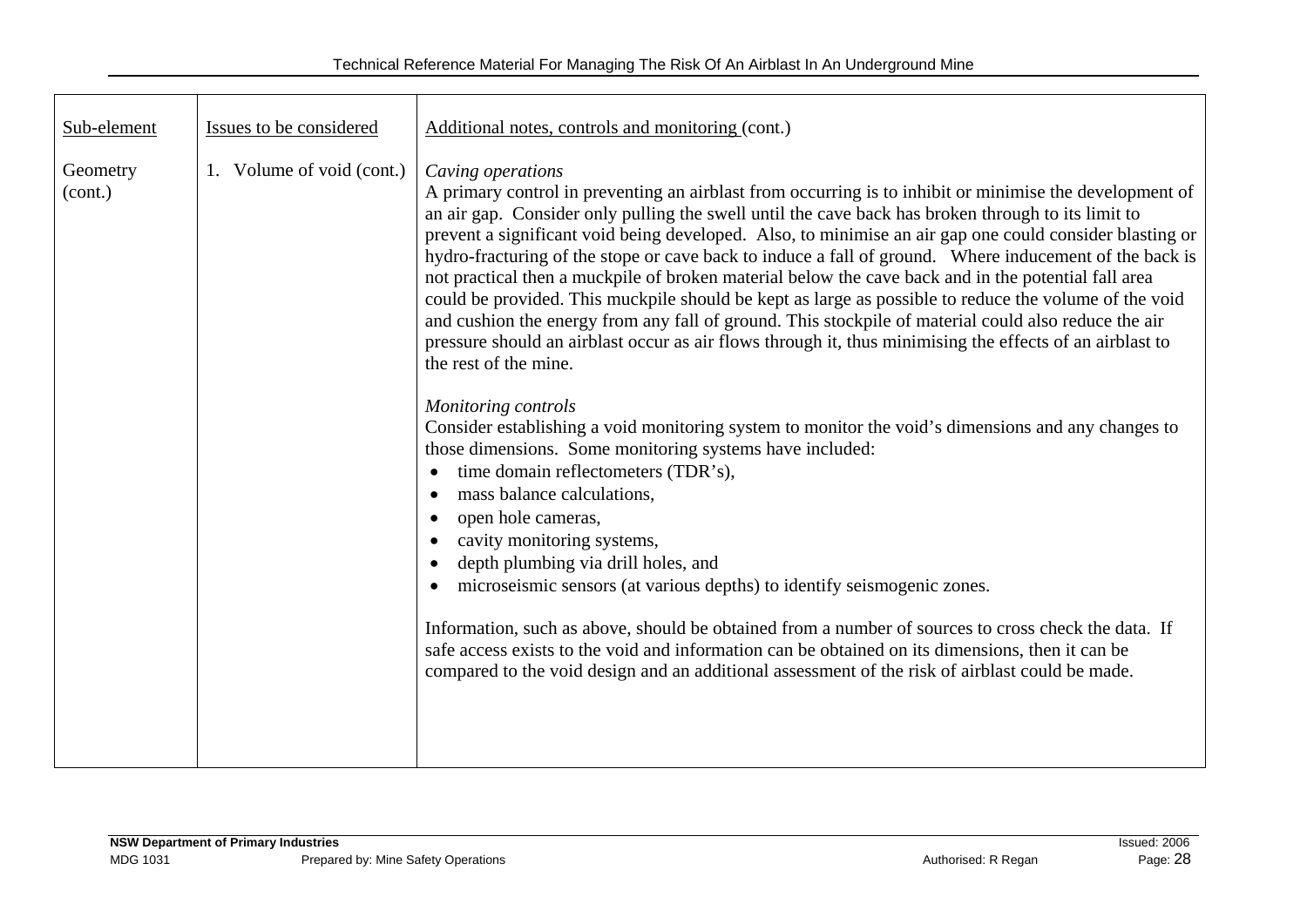| Sub-element<br>Issues to be considered              | Additional notes, controls and monitoring (cont.)                                                                                                                                                                                                                                                                                                                                                                                                                                                                                                                                                                                                                                                                                                                                                                                                                                                                                                                                                                                                                                                                                                                                                                                                                                                                                                                                                                                                                                                                                                                                                                                                                                                       |  |
|-----------------------------------------------------|---------------------------------------------------------------------------------------------------------------------------------------------------------------------------------------------------------------------------------------------------------------------------------------------------------------------------------------------------------------------------------------------------------------------------------------------------------------------------------------------------------------------------------------------------------------------------------------------------------------------------------------------------------------------------------------------------------------------------------------------------------------------------------------------------------------------------------------------------------------------------------------------------------------------------------------------------------------------------------------------------------------------------------------------------------------------------------------------------------------------------------------------------------------------------------------------------------------------------------------------------------------------------------------------------------------------------------------------------------------------------------------------------------------------------------------------------------------------------------------------------------------------------------------------------------------------------------------------------------------------------------------------------------------------------------------------------------|--|
| Volume of void (cont.)<br>Geometry<br>1.<br>(cont.) | Caving operations<br>A primary control in preventing an airblast from occurring is to inhibit or minimise the development of<br>an air gap. Consider only pulling the swell until the cave back has broken through to its limit to<br>prevent a significant void being developed. Also, to minimise an air gap one could consider blasting or<br>hydro-fracturing of the stope or cave back to induce a fall of ground. Where inducement of the back is<br>not practical then a muckpile of broken material below the cave back and in the potential fall area<br>could be provided. This muckpile should be kept as large as possible to reduce the volume of the void<br>and cushion the energy from any fall of ground. This stockpile of material could also reduce the air<br>pressure should an airblast occur as air flows through it, thus minimising the effects of an airblast to<br>the rest of the mine.<br><b>Monitoring controls</b><br>Consider establishing a void monitoring system to monitor the void's dimensions and any changes to<br>those dimensions. Some monitoring systems have included:<br>time domain reflectometers (TDR's),<br>mass balance calculations,<br>open hole cameras,<br>$\bullet$<br>cavity monitoring systems,<br>depth plumbing via drill holes, and<br>$\bullet$<br>microseismic sensors (at various depths) to identify seismogenic zones.<br>Information, such as above, should be obtained from a number of sources to cross check the data. If<br>safe access exists to the void and information can be obtained on its dimensions, then it can be<br>compared to the void design and an additional assessment of the risk of airblast could be made. |  |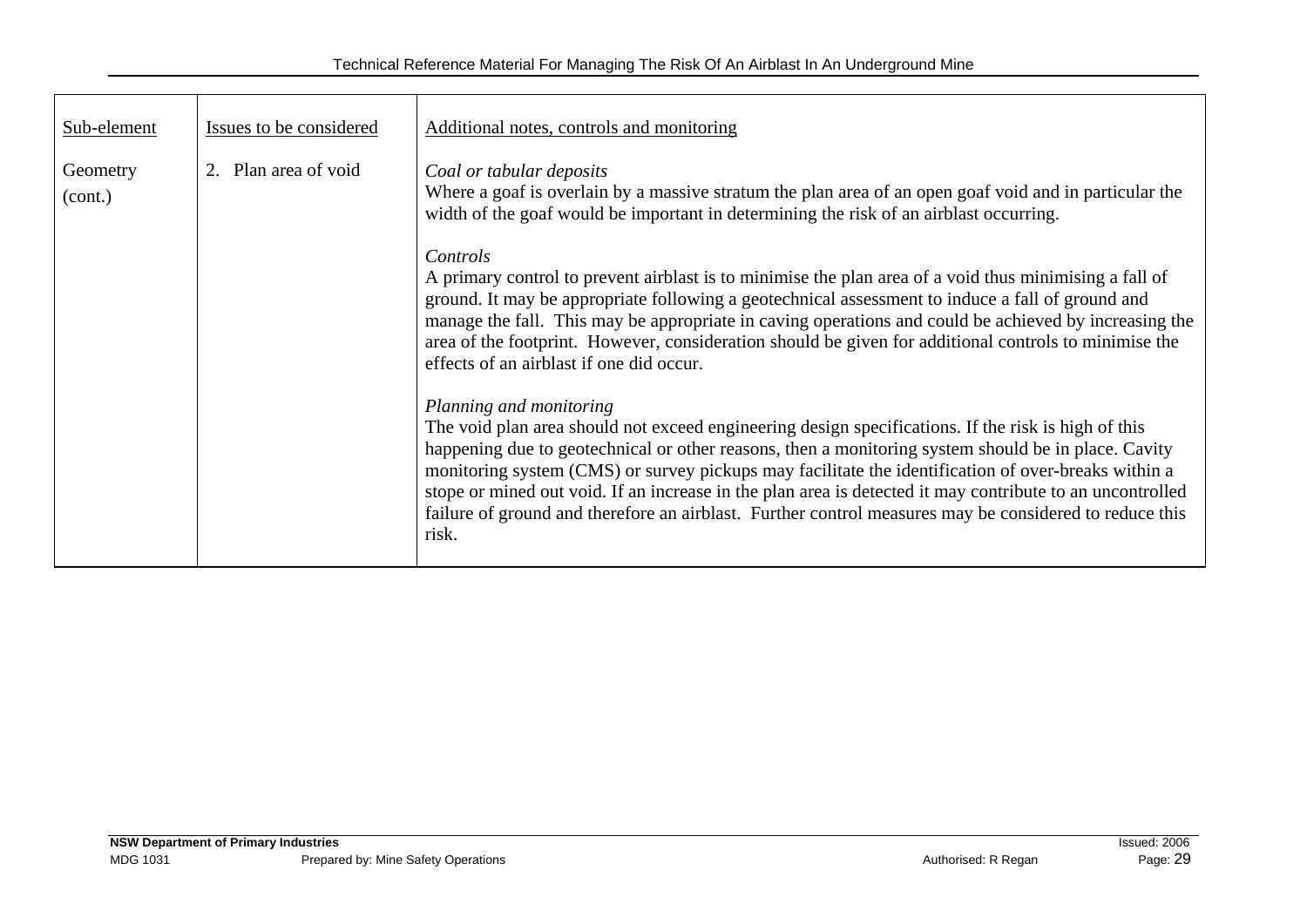| Sub-element         | Issues to be considered                                                                                                                                                                                                                              | Additional notes, controls and monitoring                                                                                                                                                                                                                                                                                                                                                                                                                                                                                                                                    |  |
|---------------------|------------------------------------------------------------------------------------------------------------------------------------------------------------------------------------------------------------------------------------------------------|------------------------------------------------------------------------------------------------------------------------------------------------------------------------------------------------------------------------------------------------------------------------------------------------------------------------------------------------------------------------------------------------------------------------------------------------------------------------------------------------------------------------------------------------------------------------------|--|
| Geometry<br>(cont.) | 2. Plan area of void<br>Coal or tabular deposits<br>Where a goaf is overlain by a massive stratum the plan area of an open goaf void and in particular the<br>width of the goaf would be important in determining the risk of an airblast occurring. |                                                                                                                                                                                                                                                                                                                                                                                                                                                                                                                                                                              |  |
|                     |                                                                                                                                                                                                                                                      | Controls<br>A primary control to prevent airblast is to minimise the plan area of a void thus minimising a fall of<br>ground. It may be appropriate following a geotechnical assessment to induce a fall of ground and<br>manage the fall. This may be appropriate in caving operations and could be achieved by increasing the<br>area of the footprint. However, consideration should be given for additional controls to minimise the<br>effects of an airblast if one did occur.                                                                                         |  |
|                     |                                                                                                                                                                                                                                                      | Planning and monitoring<br>The void plan area should not exceed engineering design specifications. If the risk is high of this<br>happening due to geotechnical or other reasons, then a monitoring system should be in place. Cavity<br>monitoring system (CMS) or survey pickups may facilitate the identification of over-breaks within a<br>stope or mined out void. If an increase in the plan area is detected it may contribute to an uncontrolled<br>failure of ground and therefore an airblast. Further control measures may be considered to reduce this<br>risk. |  |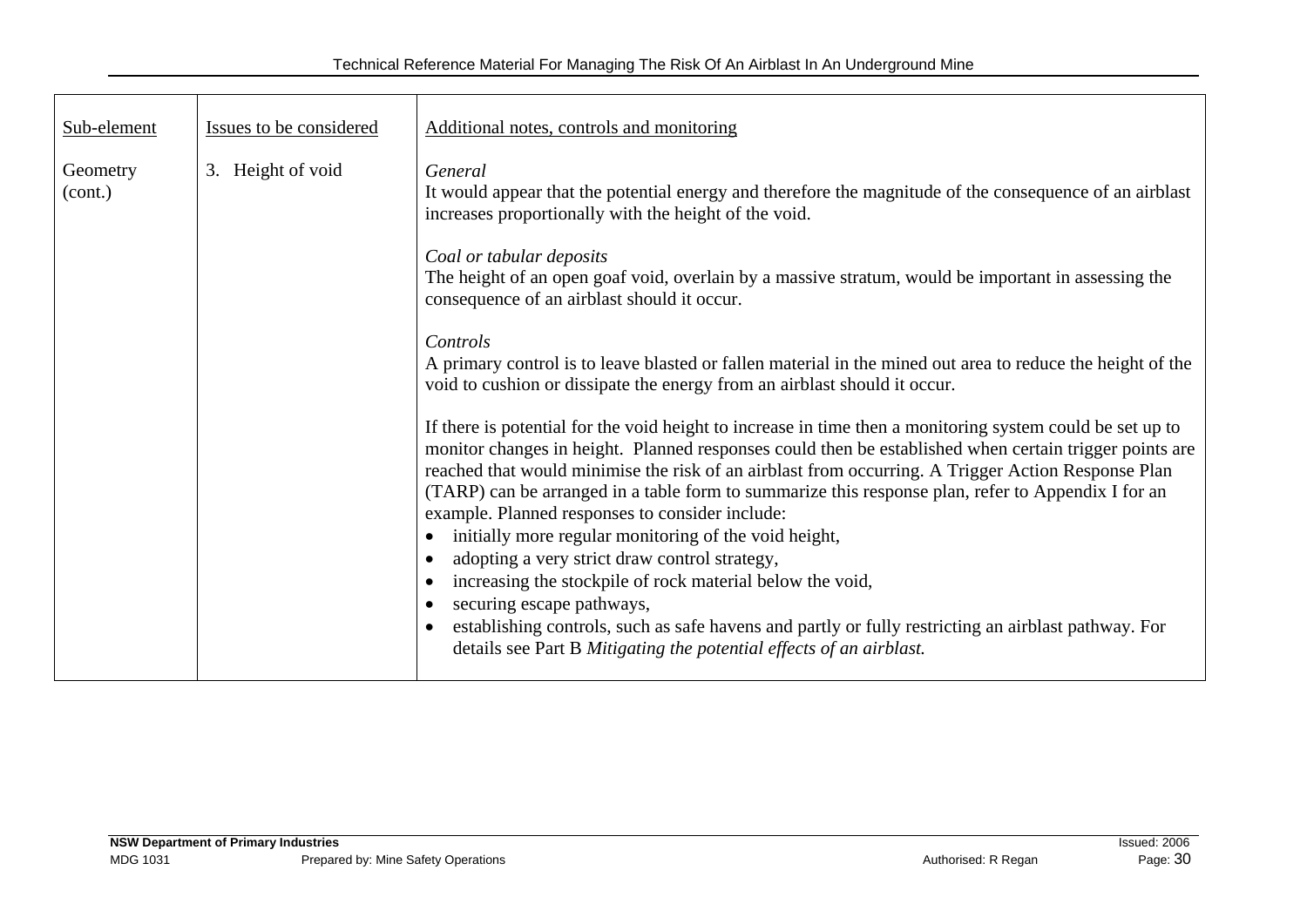| Sub-element                                                             | Issues to be considered                                                                                                                                                                             | Additional notes, controls and monitoring                                                                                                                                                                                                                                                                                                                                                                                                                                          |  |
|-------------------------------------------------------------------------|-----------------------------------------------------------------------------------------------------------------------------------------------------------------------------------------------------|------------------------------------------------------------------------------------------------------------------------------------------------------------------------------------------------------------------------------------------------------------------------------------------------------------------------------------------------------------------------------------------------------------------------------------------------------------------------------------|--|
| Geometry<br>(cont.)                                                     | Height of void<br>3.                                                                                                                                                                                | General<br>It would appear that the potential energy and therefore the magnitude of the consequence of an airblast<br>increases proportionally with the height of the void.                                                                                                                                                                                                                                                                                                        |  |
| Coal or tabular deposits<br>consequence of an airblast should it occur. |                                                                                                                                                                                                     | The height of an open goaf void, overlain by a massive stratum, would be important in assessing the                                                                                                                                                                                                                                                                                                                                                                                |  |
|                                                                         | Controls<br>A primary control is to leave blasted or fallen material in the mined out area to reduce the height of the<br>void to cushion or dissipate the energy from an airblast should it occur. |                                                                                                                                                                                                                                                                                                                                                                                                                                                                                    |  |
|                                                                         |                                                                                                                                                                                                     | If there is potential for the void height to increase in time then a monitoring system could be set up to<br>monitor changes in height. Planned responses could then be established when certain trigger points are<br>reached that would minimise the risk of an airblast from occurring. A Trigger Action Response Plan<br>(TARP) can be arranged in a table form to summarize this response plan, refer to Appendix I for an<br>example. Planned responses to consider include: |  |
|                                                                         |                                                                                                                                                                                                     | initially more regular monitoring of the void height,<br>adopting a very strict draw control strategy,                                                                                                                                                                                                                                                                                                                                                                             |  |
|                                                                         |                                                                                                                                                                                                     | increasing the stockpile of rock material below the void,<br>securing escape pathways,<br>establishing controls, such as safe havens and partly or fully restricting an airblast pathway. For                                                                                                                                                                                                                                                                                      |  |
|                                                                         |                                                                                                                                                                                                     | details see Part B Mitigating the potential effects of an airblast.                                                                                                                                                                                                                                                                                                                                                                                                                |  |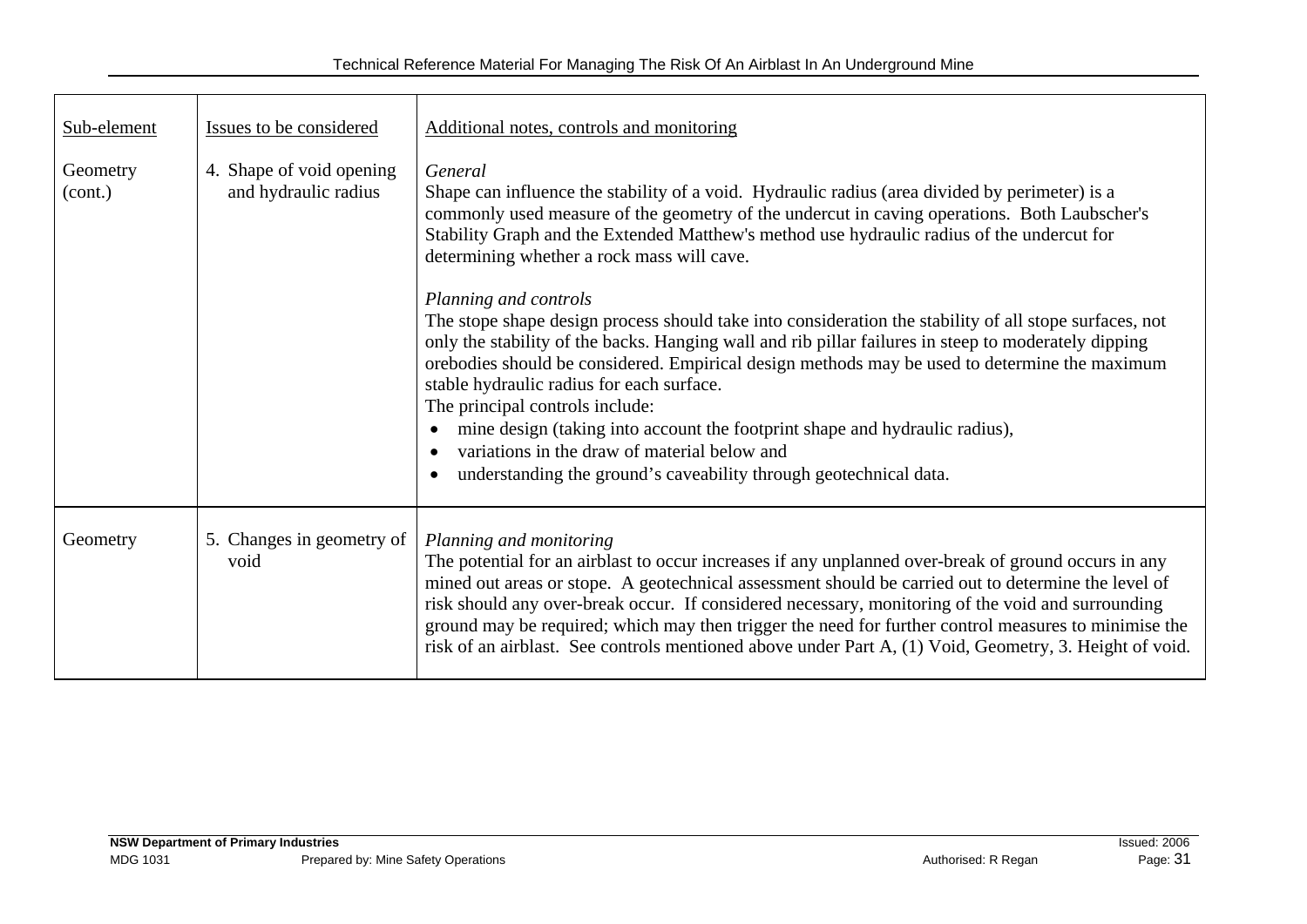| Sub-element         | Issues to be considered                          | Additional notes, controls and monitoring                                                                                                                                                                                                                                                                                                                                                                                                                                                                                                                                                                                                 |  |
|---------------------|--------------------------------------------------|-------------------------------------------------------------------------------------------------------------------------------------------------------------------------------------------------------------------------------------------------------------------------------------------------------------------------------------------------------------------------------------------------------------------------------------------------------------------------------------------------------------------------------------------------------------------------------------------------------------------------------------------|--|
| Geometry<br>(cont.) | 4. Shape of void opening<br>and hydraulic radius | General<br>Shape can influence the stability of a void. Hydraulic radius (area divided by perimeter) is a<br>commonly used measure of the geometry of the undercut in caving operations. Both Laubscher's<br>Stability Graph and the Extended Matthew's method use hydraulic radius of the undercut for<br>determining whether a rock mass will cave.                                                                                                                                                                                                                                                                                     |  |
|                     |                                                  | Planning and controls<br>The stope shape design process should take into consideration the stability of all stope surfaces, not<br>only the stability of the backs. Hanging wall and rib pillar failures in steep to moderately dipping<br>orebodies should be considered. Empirical design methods may be used to determine the maximum<br>stable hydraulic radius for each surface.<br>The principal controls include:<br>mine design (taking into account the footprint shape and hydraulic radius),<br>variations in the draw of material below and<br>understanding the ground's caveability through geotechnical data.<br>$\bullet$ |  |
| Geometry            | 5. Changes in geometry of<br>void                | Planning and monitoring<br>The potential for an airblast to occur increases if any unplanned over-break of ground occurs in any<br>mined out areas or stope. A geotechnical assessment should be carried out to determine the level of<br>risk should any over-break occur. If considered necessary, monitoring of the void and surrounding<br>ground may be required; which may then trigger the need for further control measures to minimise the<br>risk of an airblast. See controls mentioned above under Part A, (1) Void, Geometry, 3. Height of void.                                                                             |  |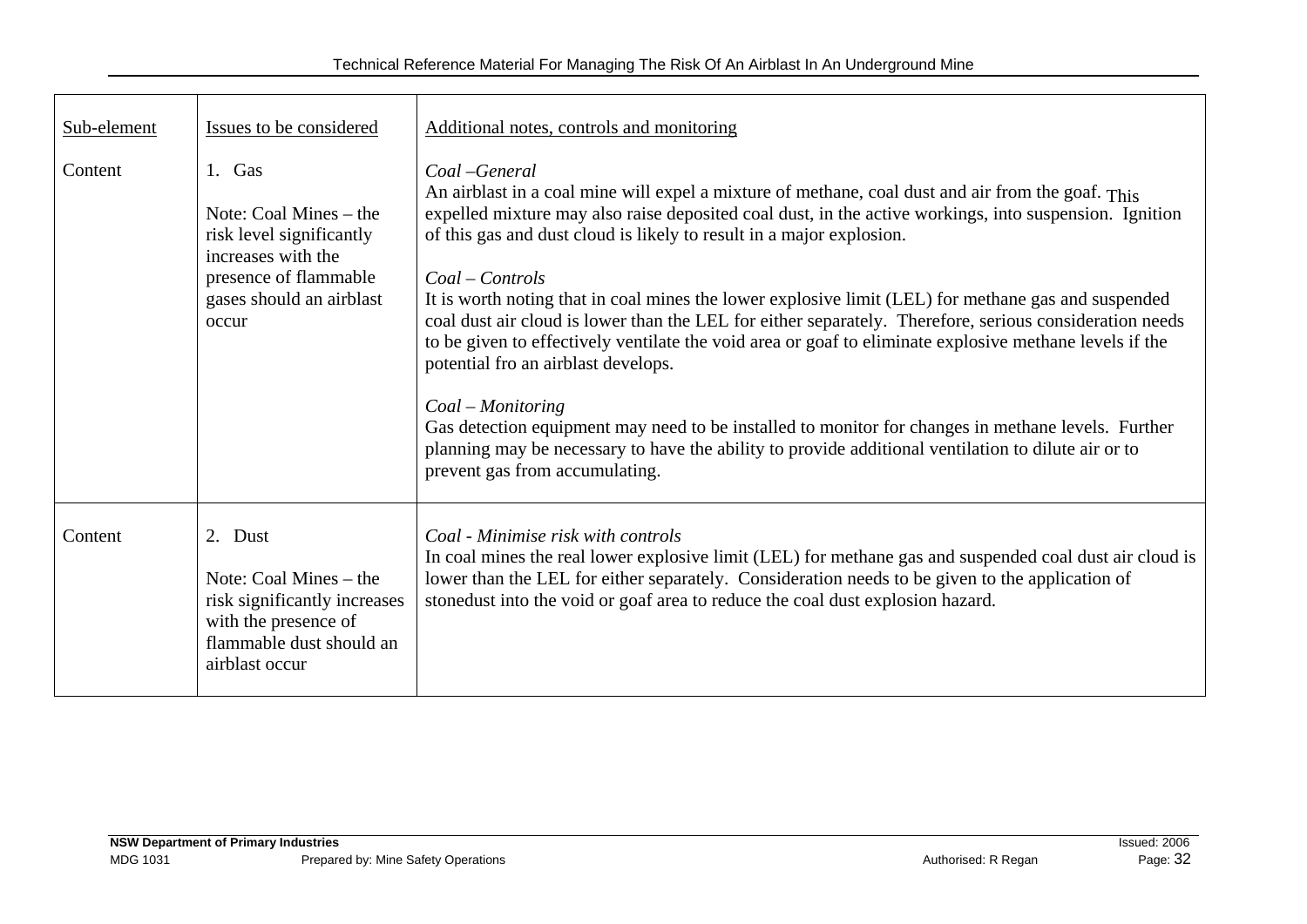| Sub-element | Issues to be considered                                                                                                                            | Additional notes, controls and monitoring                                                                                                                                                                                                                                                                                                                                                                                                                                                                                                                                                                                                                                                                                                                                                                                                                                                                                                                      |  |
|-------------|----------------------------------------------------------------------------------------------------------------------------------------------------|----------------------------------------------------------------------------------------------------------------------------------------------------------------------------------------------------------------------------------------------------------------------------------------------------------------------------------------------------------------------------------------------------------------------------------------------------------------------------------------------------------------------------------------------------------------------------------------------------------------------------------------------------------------------------------------------------------------------------------------------------------------------------------------------------------------------------------------------------------------------------------------------------------------------------------------------------------------|--|
| Content     | 1. Gas<br>Note: Coal Mines $-$ the<br>risk level significantly<br>increases with the<br>presence of flammable<br>gases should an airblast<br>occur | Coal-General<br>An airblast in a coal mine will expel a mixture of methane, coal dust and air from the goaf. This<br>expelled mixture may also raise deposited coal dust, in the active workings, into suspension. Ignition<br>of this gas and dust cloud is likely to result in a major explosion.<br>$Coal-Controls$<br>It is worth noting that in coal mines the lower explosive limit (LEL) for methane gas and suspended<br>coal dust air cloud is lower than the LEL for either separately. Therefore, serious consideration needs<br>to be given to effectively ventilate the void area or goaf to eliminate explosive methane levels if the<br>potential fro an airblast develops.<br>Coal – Monitoring<br>Gas detection equipment may need to be installed to monitor for changes in methane levels. Further<br>planning may be necessary to have the ability to provide additional ventilation to dilute air or to<br>prevent gas from accumulating. |  |
| Content     | 2. Dust<br>Note: Coal Mines $-$ the<br>risk significantly increases<br>with the presence of<br>flammable dust should an<br>airblast occur          | Coal - Minimise risk with controls<br>In coal mines the real lower explosive limit (LEL) for methane gas and suspended coal dust air cloud is<br>lower than the LEL for either separately. Consideration needs to be given to the application of<br>stonedust into the void or goaf area to reduce the coal dust explosion hazard.                                                                                                                                                                                                                                                                                                                                                                                                                                                                                                                                                                                                                             |  |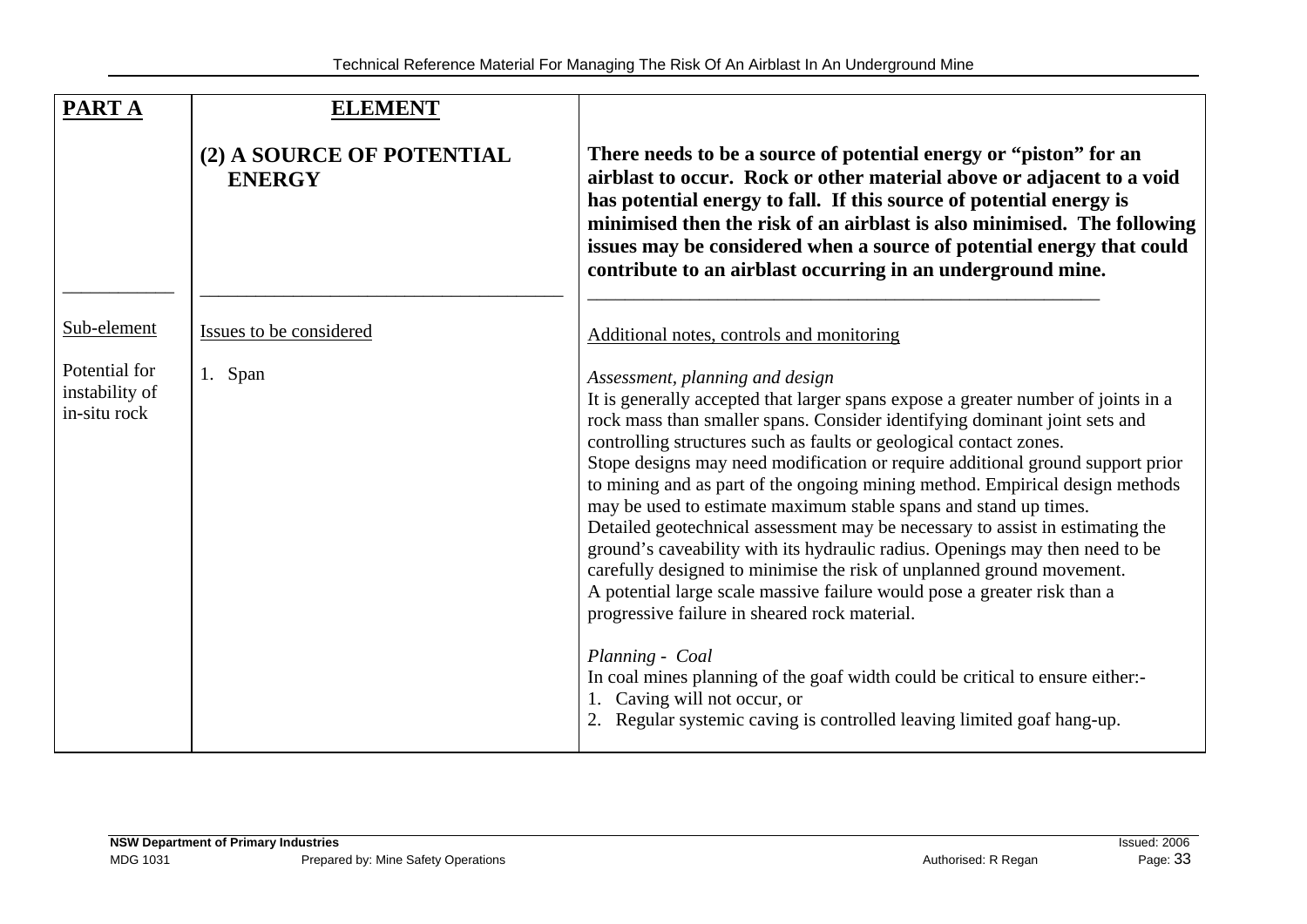| <b>PARTA</b>                                    | <b>ELEMENT</b>                             |                                                                                                                                                                                                                                                                                                                                                                                                                                                                                                                                                                                                                                                                                                                                                                                                                                                                                                                                                                                                                                                                                               |
|-------------------------------------------------|--------------------------------------------|-----------------------------------------------------------------------------------------------------------------------------------------------------------------------------------------------------------------------------------------------------------------------------------------------------------------------------------------------------------------------------------------------------------------------------------------------------------------------------------------------------------------------------------------------------------------------------------------------------------------------------------------------------------------------------------------------------------------------------------------------------------------------------------------------------------------------------------------------------------------------------------------------------------------------------------------------------------------------------------------------------------------------------------------------------------------------------------------------|
|                                                 | (2) A SOURCE OF POTENTIAL<br><b>ENERGY</b> | There needs to be a source of potential energy or "piston" for an<br>airblast to occur. Rock or other material above or adjacent to a void<br>has potential energy to fall. If this source of potential energy is<br>minimised then the risk of an airblast is also minimised. The following<br>issues may be considered when a source of potential energy that could<br>contribute to an airblast occurring in an underground mine.                                                                                                                                                                                                                                                                                                                                                                                                                                                                                                                                                                                                                                                          |
| Sub-element                                     | Issues to be considered                    | Additional notes, controls and monitoring                                                                                                                                                                                                                                                                                                                                                                                                                                                                                                                                                                                                                                                                                                                                                                                                                                                                                                                                                                                                                                                     |
| Potential for<br>instability of<br>in-situ rock | 1. Span                                    | Assessment, planning and design<br>It is generally accepted that larger spans expose a greater number of joints in a<br>rock mass than smaller spans. Consider identifying dominant joint sets and<br>controlling structures such as faults or geological contact zones.<br>Stope designs may need modification or require additional ground support prior<br>to mining and as part of the ongoing mining method. Empirical design methods<br>may be used to estimate maximum stable spans and stand up times.<br>Detailed geotechnical assessment may be necessary to assist in estimating the<br>ground's caveability with its hydraulic radius. Openings may then need to be<br>carefully designed to minimise the risk of unplanned ground movement.<br>A potential large scale massive failure would pose a greater risk than a<br>progressive failure in sheared rock material.<br>Planning - Coal<br>In coal mines planning of the goaf width could be critical to ensure either:-<br>Caving will not occur, or<br>Regular systemic caving is controlled leaving limited goaf hang-up. |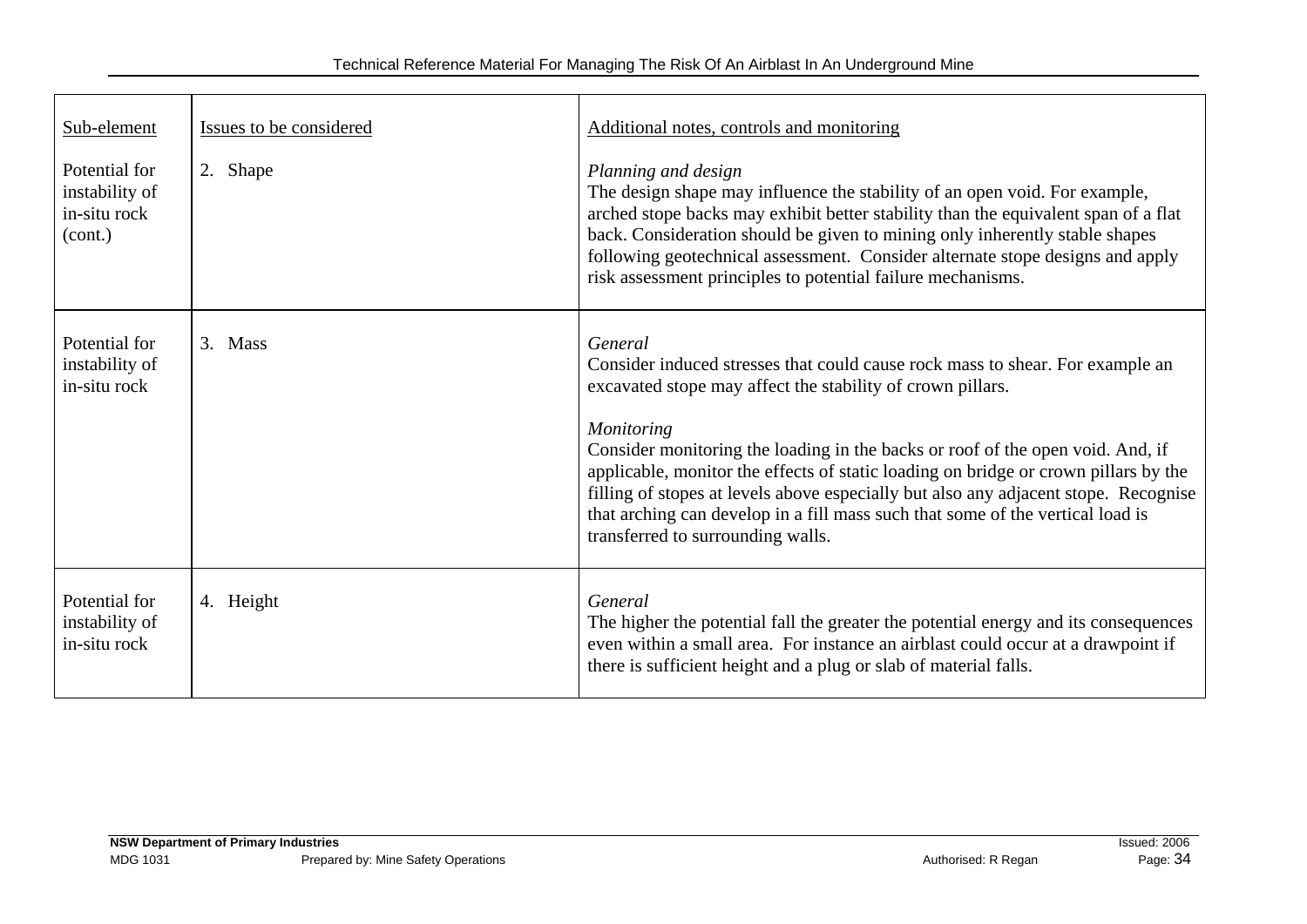| Sub-element                                                | Issues to be considered | Additional notes, controls and monitoring                                                                                                                                                                                                                                                                                                                                                                              |
|------------------------------------------------------------|-------------------------|------------------------------------------------------------------------------------------------------------------------------------------------------------------------------------------------------------------------------------------------------------------------------------------------------------------------------------------------------------------------------------------------------------------------|
| Potential for<br>instability of<br>in-situ rock<br>(cont.) | 2. Shape                | Planning and design<br>The design shape may influence the stability of an open void. For example,<br>arched stope backs may exhibit better stability than the equivalent span of a flat<br>back. Consideration should be given to mining only inherently stable shapes<br>following geotechnical assessment. Consider alternate stope designs and apply<br>risk assessment principles to potential failure mechanisms. |
| Potential for<br>instability of<br>in-situ rock            | 3. Mass                 | General<br>Consider induced stresses that could cause rock mass to shear. For example an<br>excavated stope may affect the stability of crown pillars.<br><b>Monitoring</b>                                                                                                                                                                                                                                            |
|                                                            |                         | Consider monitoring the loading in the backs or roof of the open void. And, if<br>applicable, monitor the effects of static loading on bridge or crown pillars by the<br>filling of stopes at levels above especially but also any adjacent stope. Recognise<br>that arching can develop in a fill mass such that some of the vertical load is<br>transferred to surrounding walls.                                    |
| Potential for<br>instability of<br>in-situ rock            | 4. Height               | General<br>The higher the potential fall the greater the potential energy and its consequences<br>even within a small area. For instance an airblast could occur at a drawpoint if<br>there is sufficient height and a plug or slab of material falls.                                                                                                                                                                 |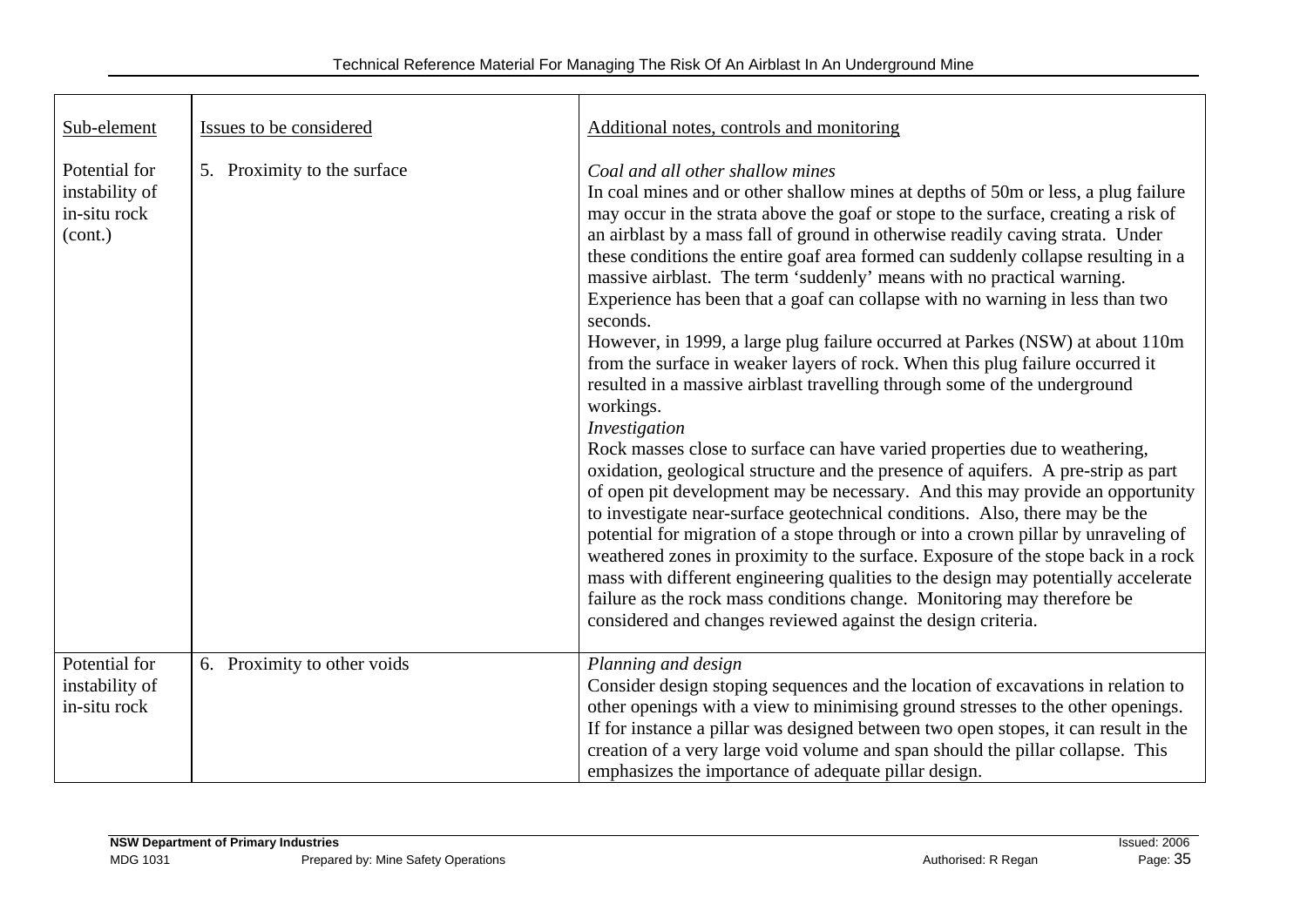| Sub-element                                                | Issues to be considered     | Additional notes, controls and monitoring                                                                                                                                                                                                                                                                                                                                                                                                                                                                                                                                                                                                                                                                                                                                                                                                                                                                                                                                                                                                                                                                                                                                                                                                                                                                                                                                                                                                                                                                                                                                             |
|------------------------------------------------------------|-----------------------------|---------------------------------------------------------------------------------------------------------------------------------------------------------------------------------------------------------------------------------------------------------------------------------------------------------------------------------------------------------------------------------------------------------------------------------------------------------------------------------------------------------------------------------------------------------------------------------------------------------------------------------------------------------------------------------------------------------------------------------------------------------------------------------------------------------------------------------------------------------------------------------------------------------------------------------------------------------------------------------------------------------------------------------------------------------------------------------------------------------------------------------------------------------------------------------------------------------------------------------------------------------------------------------------------------------------------------------------------------------------------------------------------------------------------------------------------------------------------------------------------------------------------------------------------------------------------------------------|
| Potential for<br>instability of<br>in-situ rock<br>(cont.) | 5. Proximity to the surface | Coal and all other shallow mines<br>In coal mines and or other shallow mines at depths of 50m or less, a plug failure<br>may occur in the strata above the goaf or stope to the surface, creating a risk of<br>an airblast by a mass fall of ground in otherwise readily caving strata. Under<br>these conditions the entire goaf area formed can suddenly collapse resulting in a<br>massive airblast. The term 'suddenly' means with no practical warning.<br>Experience has been that a goaf can collapse with no warning in less than two<br>seconds.<br>However, in 1999, a large plug failure occurred at Parkes (NSW) at about 110m<br>from the surface in weaker layers of rock. When this plug failure occurred it<br>resulted in a massive airblast travelling through some of the underground<br>workings.<br>Investigation<br>Rock masses close to surface can have varied properties due to weathering,<br>oxidation, geological structure and the presence of aquifers. A pre-strip as part<br>of open pit development may be necessary. And this may provide an opportunity<br>to investigate near-surface geotechnical conditions. Also, there may be the<br>potential for migration of a stope through or into a crown pillar by unraveling of<br>weathered zones in proximity to the surface. Exposure of the stope back in a rock<br>mass with different engineering qualities to the design may potentially accelerate<br>failure as the rock mass conditions change. Monitoring may therefore be<br>considered and changes reviewed against the design criteria. |
| Potential for<br>instability of<br>in-situ rock            | 6. Proximity to other voids | Planning and design<br>Consider design stoping sequences and the location of excavations in relation to<br>other openings with a view to minimising ground stresses to the other openings.<br>If for instance a pillar was designed between two open stopes, it can result in the<br>creation of a very large void volume and span should the pillar collapse. This<br>emphasizes the importance of adequate pillar design.                                                                                                                                                                                                                                                                                                                                                                                                                                                                                                                                                                                                                                                                                                                                                                                                                                                                                                                                                                                                                                                                                                                                                           |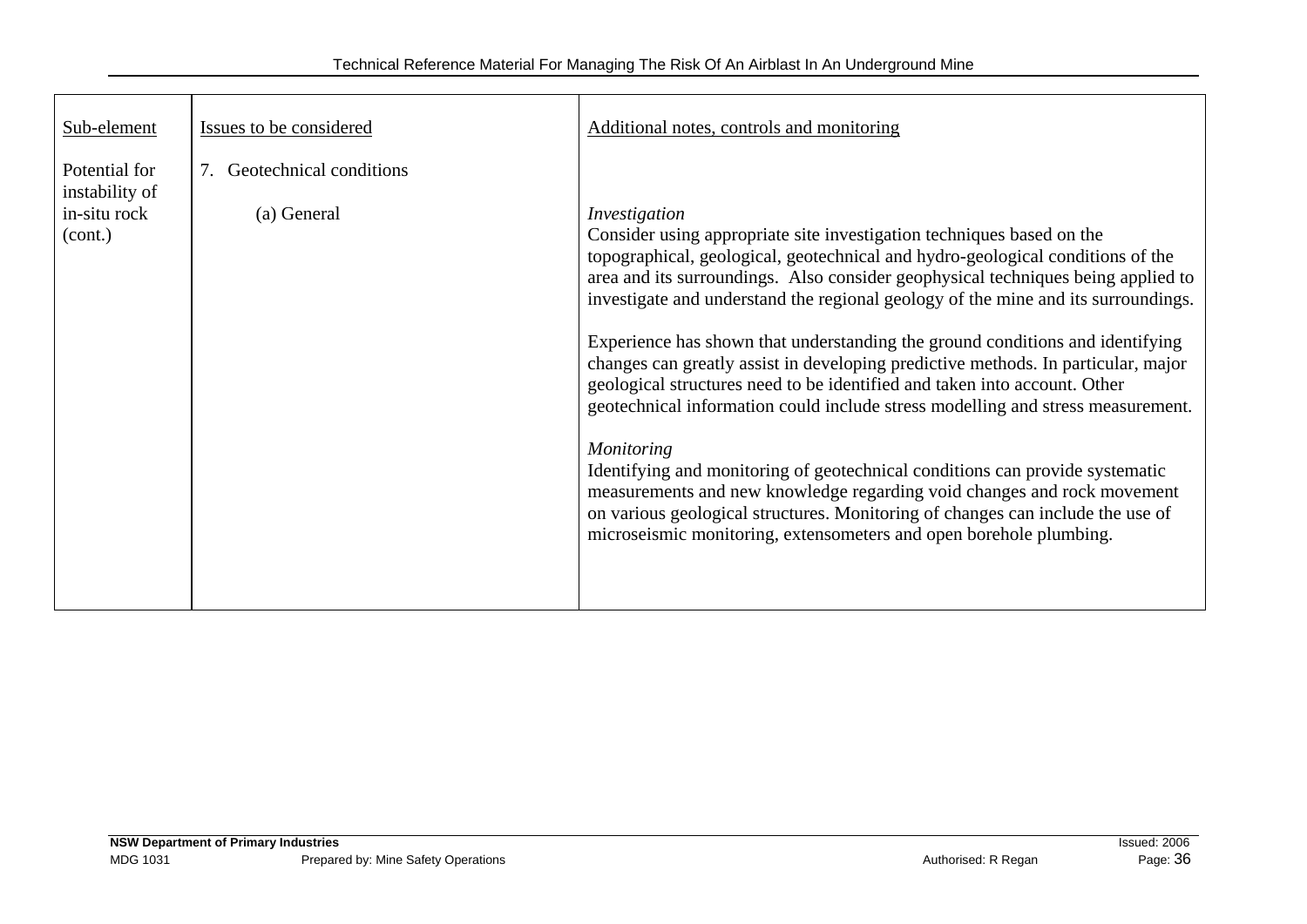| Sub-element                                                | Issues to be considered                | Additional notes, controls and monitoring                                                                                                                                                                                                                                                                                                                                                                                                                                                                                                                                                                                                                                                                                                                                                                                                                                                                                                                                                                                       |
|------------------------------------------------------------|----------------------------------------|---------------------------------------------------------------------------------------------------------------------------------------------------------------------------------------------------------------------------------------------------------------------------------------------------------------------------------------------------------------------------------------------------------------------------------------------------------------------------------------------------------------------------------------------------------------------------------------------------------------------------------------------------------------------------------------------------------------------------------------------------------------------------------------------------------------------------------------------------------------------------------------------------------------------------------------------------------------------------------------------------------------------------------|
| Potential for<br>instability of<br>in-situ rock<br>(cont.) | Geotechnical conditions<br>(a) General | Investigation<br>Consider using appropriate site investigation techniques based on the<br>topographical, geological, geotechnical and hydro-geological conditions of the<br>area and its surroundings. Also consider geophysical techniques being applied to<br>investigate and understand the regional geology of the mine and its surroundings.<br>Experience has shown that understanding the ground conditions and identifying<br>changes can greatly assist in developing predictive methods. In particular, major<br>geological structures need to be identified and taken into account. Other<br>geotechnical information could include stress modelling and stress measurement.<br><b>Monitoring</b><br>Identifying and monitoring of geotechnical conditions can provide systematic<br>measurements and new knowledge regarding void changes and rock movement<br>on various geological structures. Monitoring of changes can include the use of<br>microseismic monitoring, extensometers and open borehole plumbing. |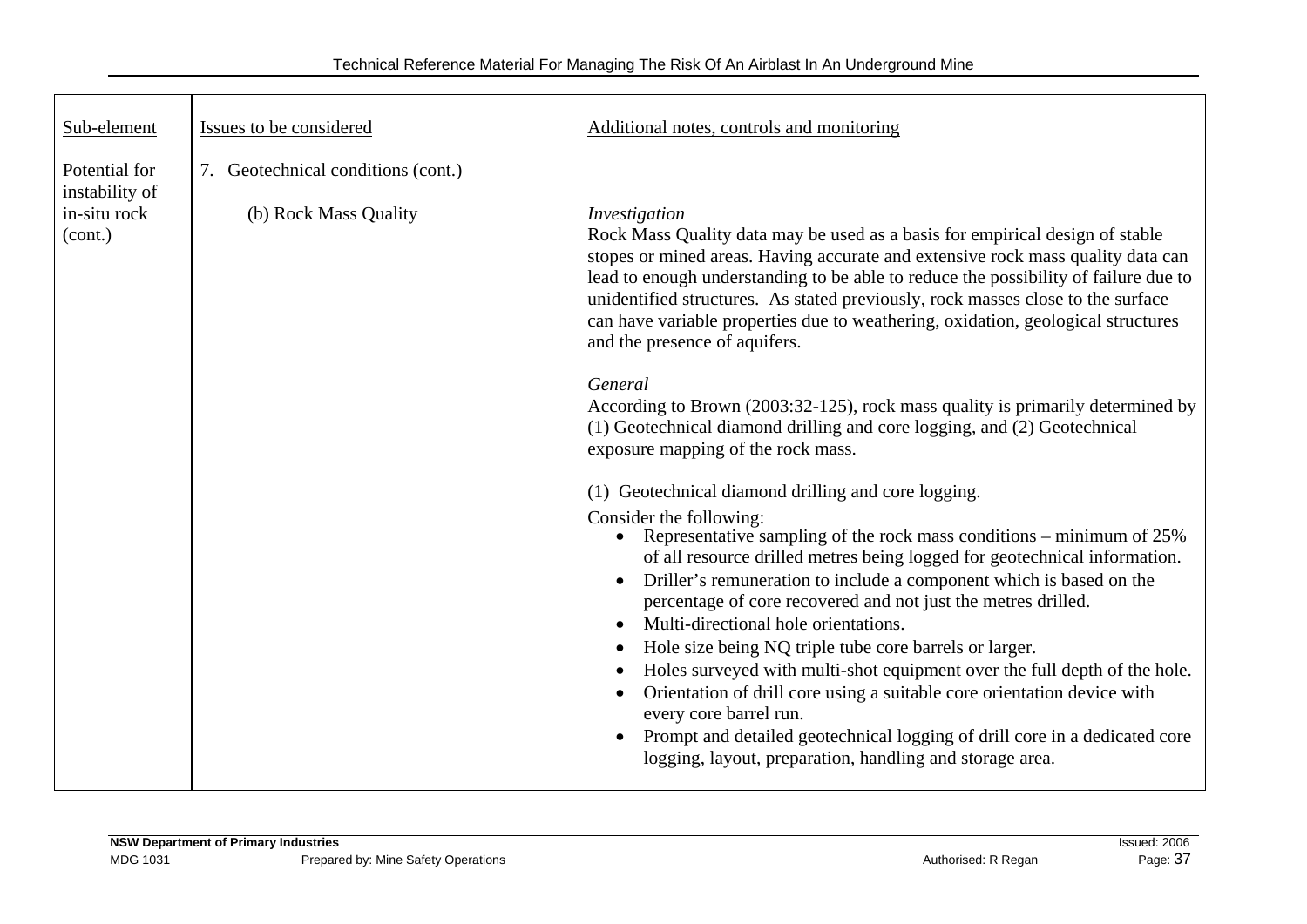| Sub-element                                                | Issues to be considered                                     | Additional notes, controls and monitoring                                                                                                                                                                                                                                                                                                                                                                                                                                                                                                                                                                                                                                                                                                                                                                                                                                                                                                                                                                                                                                                                                                                                                                                                                                                                                                                                                                                                                                                                                                                                         |
|------------------------------------------------------------|-------------------------------------------------------------|-----------------------------------------------------------------------------------------------------------------------------------------------------------------------------------------------------------------------------------------------------------------------------------------------------------------------------------------------------------------------------------------------------------------------------------------------------------------------------------------------------------------------------------------------------------------------------------------------------------------------------------------------------------------------------------------------------------------------------------------------------------------------------------------------------------------------------------------------------------------------------------------------------------------------------------------------------------------------------------------------------------------------------------------------------------------------------------------------------------------------------------------------------------------------------------------------------------------------------------------------------------------------------------------------------------------------------------------------------------------------------------------------------------------------------------------------------------------------------------------------------------------------------------------------------------------------------------|
| Potential for<br>instability of<br>in-situ rock<br>(cont.) | 7. Geotechnical conditions (cont.)<br>(b) Rock Mass Quality | Investigation<br>Rock Mass Quality data may be used as a basis for empirical design of stable<br>stopes or mined areas. Having accurate and extensive rock mass quality data can<br>lead to enough understanding to be able to reduce the possibility of failure due to<br>unidentified structures. As stated previously, rock masses close to the surface<br>can have variable properties due to weathering, oxidation, geological structures<br>and the presence of aquifers.<br>General<br>According to Brown (2003:32-125), rock mass quality is primarily determined by<br>(1) Geotechnical diamond drilling and core logging, and (2) Geotechnical<br>exposure mapping of the rock mass.<br>(1) Geotechnical diamond drilling and core logging.<br>Consider the following:<br>Representative sampling of the rock mass conditions – minimum of 25%<br>$\bullet$<br>of all resource drilled metres being logged for geotechnical information.<br>Driller's remuneration to include a component which is based on the<br>$\bullet$<br>percentage of core recovered and not just the metres drilled.<br>Multi-directional hole orientations.<br>$\bullet$<br>Hole size being NQ triple tube core barrels or larger.<br>Holes surveyed with multi-shot equipment over the full depth of the hole.<br>٠<br>Orientation of drill core using a suitable core orientation device with<br>$\bullet$<br>every core barrel run.<br>Prompt and detailed geotechnical logging of drill core in a dedicated core<br>$\bullet$<br>logging, layout, preparation, handling and storage area. |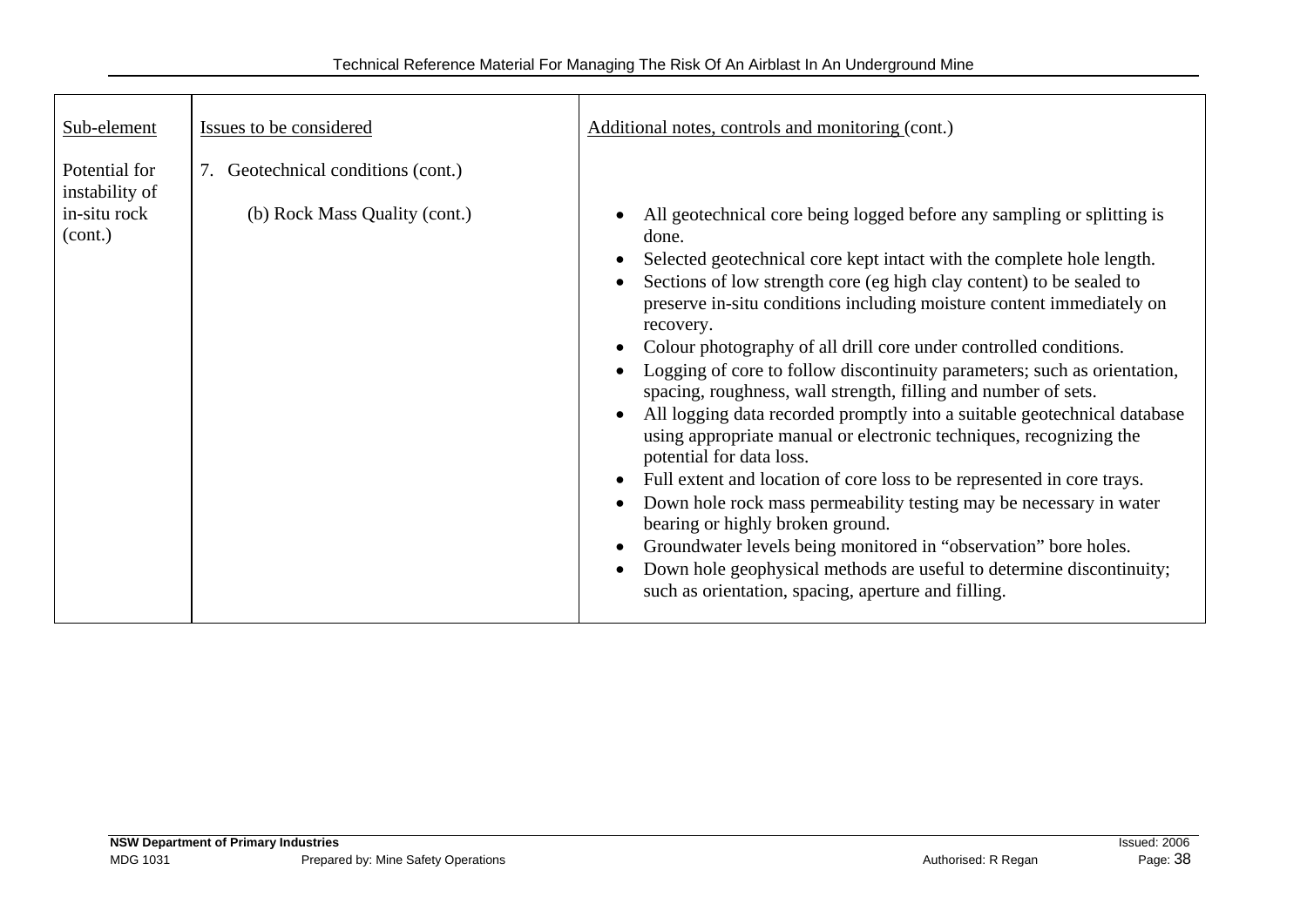| Sub-element                                                | Issues to be considered                                             | Additional notes, controls and monitoring (cont.)                                                                                                                                                                                                                                                                                                                                                                                                                                                                                                                                                                                                                                                                                                                                                                                                                                                                                                                                                                                                                                                             |
|------------------------------------------------------------|---------------------------------------------------------------------|---------------------------------------------------------------------------------------------------------------------------------------------------------------------------------------------------------------------------------------------------------------------------------------------------------------------------------------------------------------------------------------------------------------------------------------------------------------------------------------------------------------------------------------------------------------------------------------------------------------------------------------------------------------------------------------------------------------------------------------------------------------------------------------------------------------------------------------------------------------------------------------------------------------------------------------------------------------------------------------------------------------------------------------------------------------------------------------------------------------|
| Potential for<br>instability of<br>in-situ rock<br>(cont.) | 7. Geotechnical conditions (cont.)<br>(b) Rock Mass Quality (cont.) | All geotechnical core being logged before any sampling or splitting is<br>done.<br>Selected geotechnical core kept intact with the complete hole length.<br>Sections of low strength core (eg high clay content) to be sealed to<br>preserve in-situ conditions including moisture content immediately on<br>recovery.<br>Colour photography of all drill core under controlled conditions.<br>Logging of core to follow discontinuity parameters; such as orientation,<br>spacing, roughness, wall strength, filling and number of sets.<br>All logging data recorded promptly into a suitable geotechnical database<br>using appropriate manual or electronic techniques, recognizing the<br>potential for data loss.<br>Full extent and location of core loss to be represented in core trays.<br>Down hole rock mass permeability testing may be necessary in water<br>bearing or highly broken ground.<br>Groundwater levels being monitored in "observation" bore holes.<br>Down hole geophysical methods are useful to determine discontinuity;<br>such as orientation, spacing, aperture and filling. |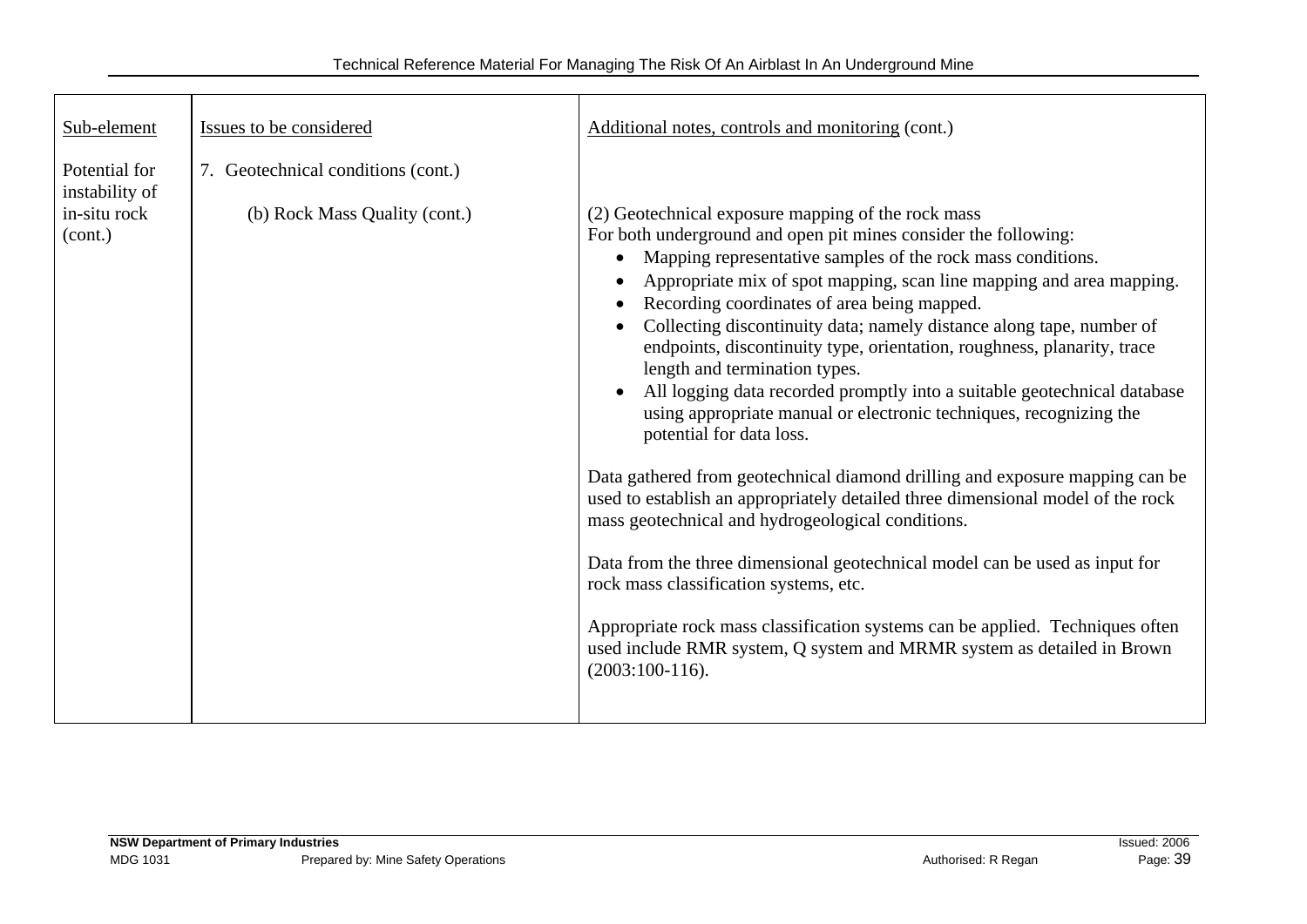| Sub-element                                                | Issues to be considered                                             | Additional notes, controls and monitoring (cont.)                                                                                                                                                                                                                                                                                                                                                                                                                                                                                                                                                                                                                                                                                                                                                                                                                                                                                                                                                                                                                                                                                                                                                                                        |
|------------------------------------------------------------|---------------------------------------------------------------------|------------------------------------------------------------------------------------------------------------------------------------------------------------------------------------------------------------------------------------------------------------------------------------------------------------------------------------------------------------------------------------------------------------------------------------------------------------------------------------------------------------------------------------------------------------------------------------------------------------------------------------------------------------------------------------------------------------------------------------------------------------------------------------------------------------------------------------------------------------------------------------------------------------------------------------------------------------------------------------------------------------------------------------------------------------------------------------------------------------------------------------------------------------------------------------------------------------------------------------------|
| Potential for<br>instability of<br>in-situ rock<br>(cont.) | 7. Geotechnical conditions (cont.)<br>(b) Rock Mass Quality (cont.) | (2) Geotechnical exposure mapping of the rock mass<br>For both underground and open pit mines consider the following:<br>Mapping representative samples of the rock mass conditions.<br>$\bullet$<br>Appropriate mix of spot mapping, scan line mapping and area mapping.<br>Recording coordinates of area being mapped.<br>$\bullet$<br>Collecting discontinuity data; namely distance along tape, number of<br>endpoints, discontinuity type, orientation, roughness, planarity, trace<br>length and termination types.<br>All logging data recorded promptly into a suitable geotechnical database<br>using appropriate manual or electronic techniques, recognizing the<br>potential for data loss.<br>Data gathered from geotechnical diamond drilling and exposure mapping can be<br>used to establish an appropriately detailed three dimensional model of the rock<br>mass geotechnical and hydrogeological conditions.<br>Data from the three dimensional geotechnical model can be used as input for<br>rock mass classification systems, etc.<br>Appropriate rock mass classification systems can be applied. Techniques often<br>used include RMR system, Q system and MRMR system as detailed in Brown<br>$(2003:100-116).$ |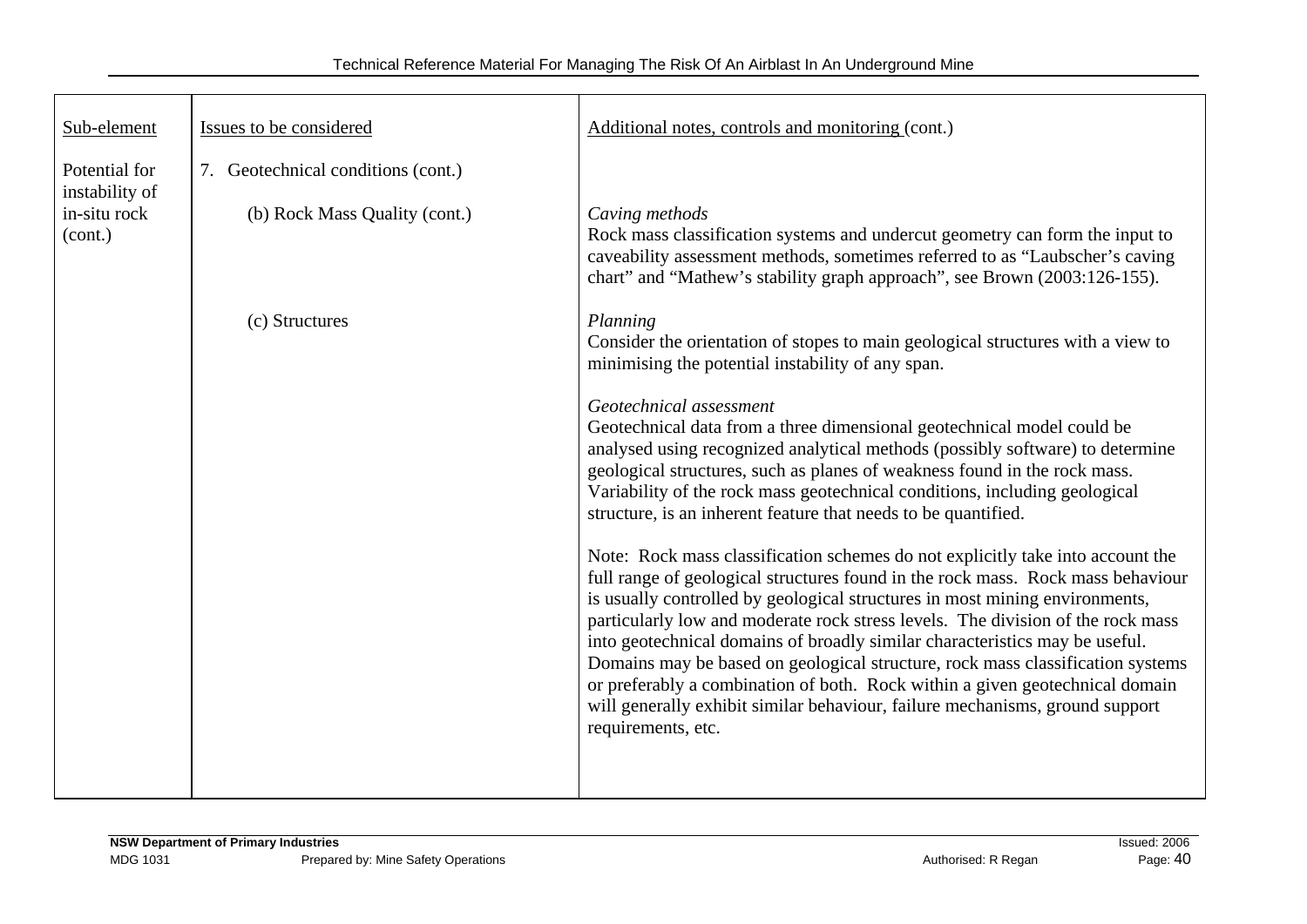| Sub-element                     | Issues to be considered            | Additional notes, controls and monitoring (cont.)                                                                                                                                                                                                                                                                                                                                                                                                                                                                                                                                                                                                                                          |
|---------------------------------|------------------------------------|--------------------------------------------------------------------------------------------------------------------------------------------------------------------------------------------------------------------------------------------------------------------------------------------------------------------------------------------------------------------------------------------------------------------------------------------------------------------------------------------------------------------------------------------------------------------------------------------------------------------------------------------------------------------------------------------|
| Potential for<br>instability of | 7. Geotechnical conditions (cont.) |                                                                                                                                                                                                                                                                                                                                                                                                                                                                                                                                                                                                                                                                                            |
| in-situ rock<br>(cont.)         | (b) Rock Mass Quality (cont.)      | Caving methods<br>Rock mass classification systems and undercut geometry can form the input to<br>caveability assessment methods, sometimes referred to as "Laubscher's caving<br>chart" and "Mathew's stability graph approach", see Brown (2003:126-155).                                                                                                                                                                                                                                                                                                                                                                                                                                |
|                                 | (c) Structures                     | Planning<br>Consider the orientation of stopes to main geological structures with a view to<br>minimising the potential instability of any span.                                                                                                                                                                                                                                                                                                                                                                                                                                                                                                                                           |
|                                 |                                    | Geotechnical assessment<br>Geotechnical data from a three dimensional geotechnical model could be<br>analysed using recognized analytical methods (possibly software) to determine<br>geological structures, such as planes of weakness found in the rock mass.<br>Variability of the rock mass geotechnical conditions, including geological<br>structure, is an inherent feature that needs to be quantified.                                                                                                                                                                                                                                                                            |
|                                 |                                    | Note: Rock mass classification schemes do not explicitly take into account the<br>full range of geological structures found in the rock mass. Rock mass behaviour<br>is usually controlled by geological structures in most mining environments,<br>particularly low and moderate rock stress levels. The division of the rock mass<br>into geotechnical domains of broadly similar characteristics may be useful.<br>Domains may be based on geological structure, rock mass classification systems<br>or preferably a combination of both. Rock within a given geotechnical domain<br>will generally exhibit similar behaviour, failure mechanisms, ground support<br>requirements, etc. |
|                                 |                                    |                                                                                                                                                                                                                                                                                                                                                                                                                                                                                                                                                                                                                                                                                            |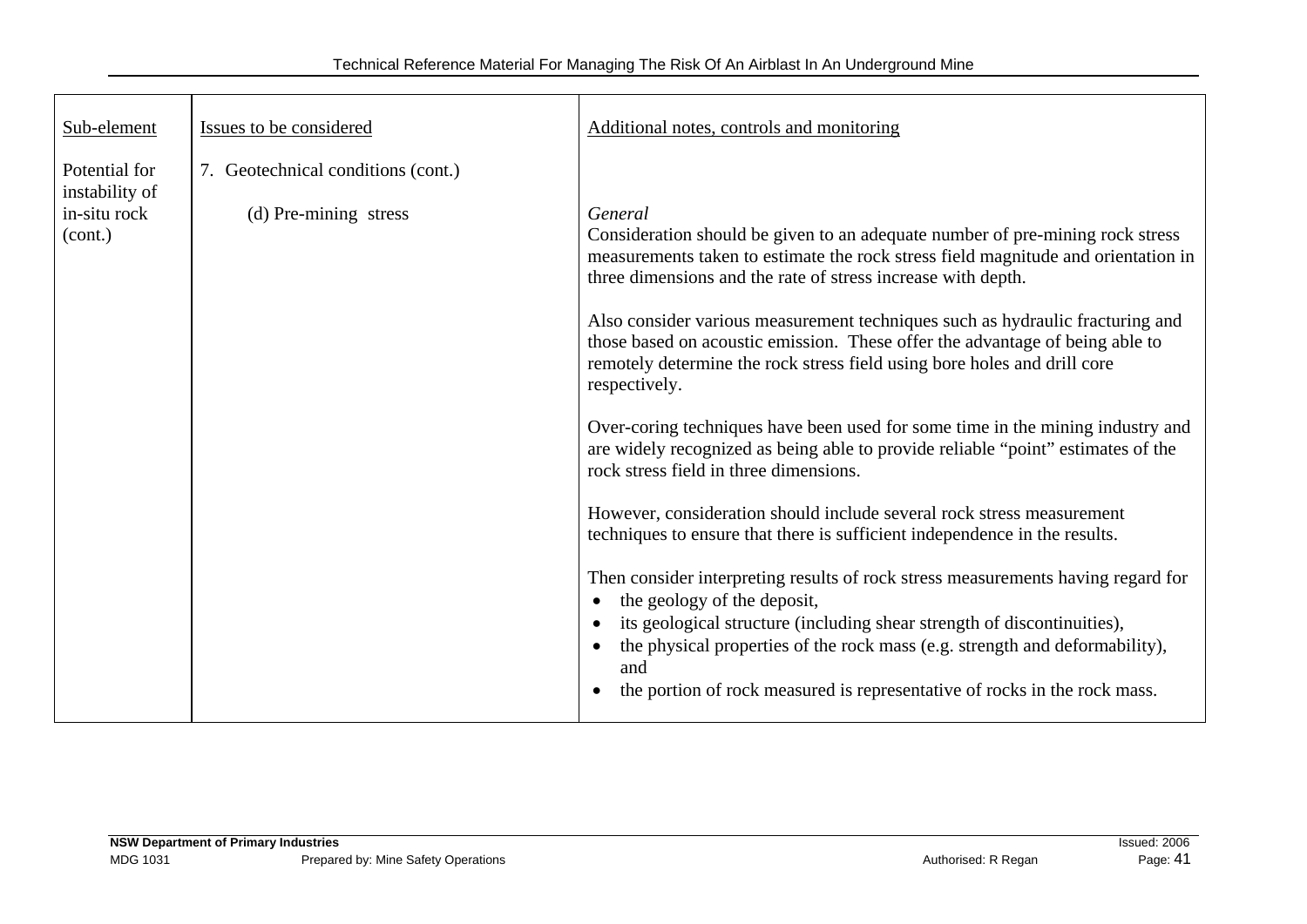| Sub-element                                     | Issues to be considered                                     | Additional notes, controls and monitoring                                                                                                                                                                                                                  |
|-------------------------------------------------|-------------------------------------------------------------|------------------------------------------------------------------------------------------------------------------------------------------------------------------------------------------------------------------------------------------------------------|
| Potential for<br>instability of<br>in-situ rock | 7. Geotechnical conditions (cont.)<br>(d) Pre-mining stress | General                                                                                                                                                                                                                                                    |
| (cont.)                                         |                                                             | Consideration should be given to an adequate number of pre-mining rock stress<br>measurements taken to estimate the rock stress field magnitude and orientation in<br>three dimensions and the rate of stress increase with depth.                         |
|                                                 |                                                             | Also consider various measurement techniques such as hydraulic fracturing and<br>those based on acoustic emission. These offer the advantage of being able to<br>remotely determine the rock stress field using bore holes and drill core<br>respectively. |
|                                                 |                                                             | Over-coring techniques have been used for some time in the mining industry and<br>are widely recognized as being able to provide reliable "point" estimates of the<br>rock stress field in three dimensions.                                               |
|                                                 |                                                             | However, consideration should include several rock stress measurement<br>techniques to ensure that there is sufficient independence in the results.                                                                                                        |
|                                                 |                                                             | Then consider interpreting results of rock stress measurements having regard for<br>the geology of the deposit,<br>its geological structure (including shear strength of discontinuities),                                                                 |
|                                                 |                                                             | the physical properties of the rock mass (e.g. strength and deformability),<br>and<br>the portion of rock measured is representative of rocks in the rock mass.                                                                                            |
|                                                 |                                                             |                                                                                                                                                                                                                                                            |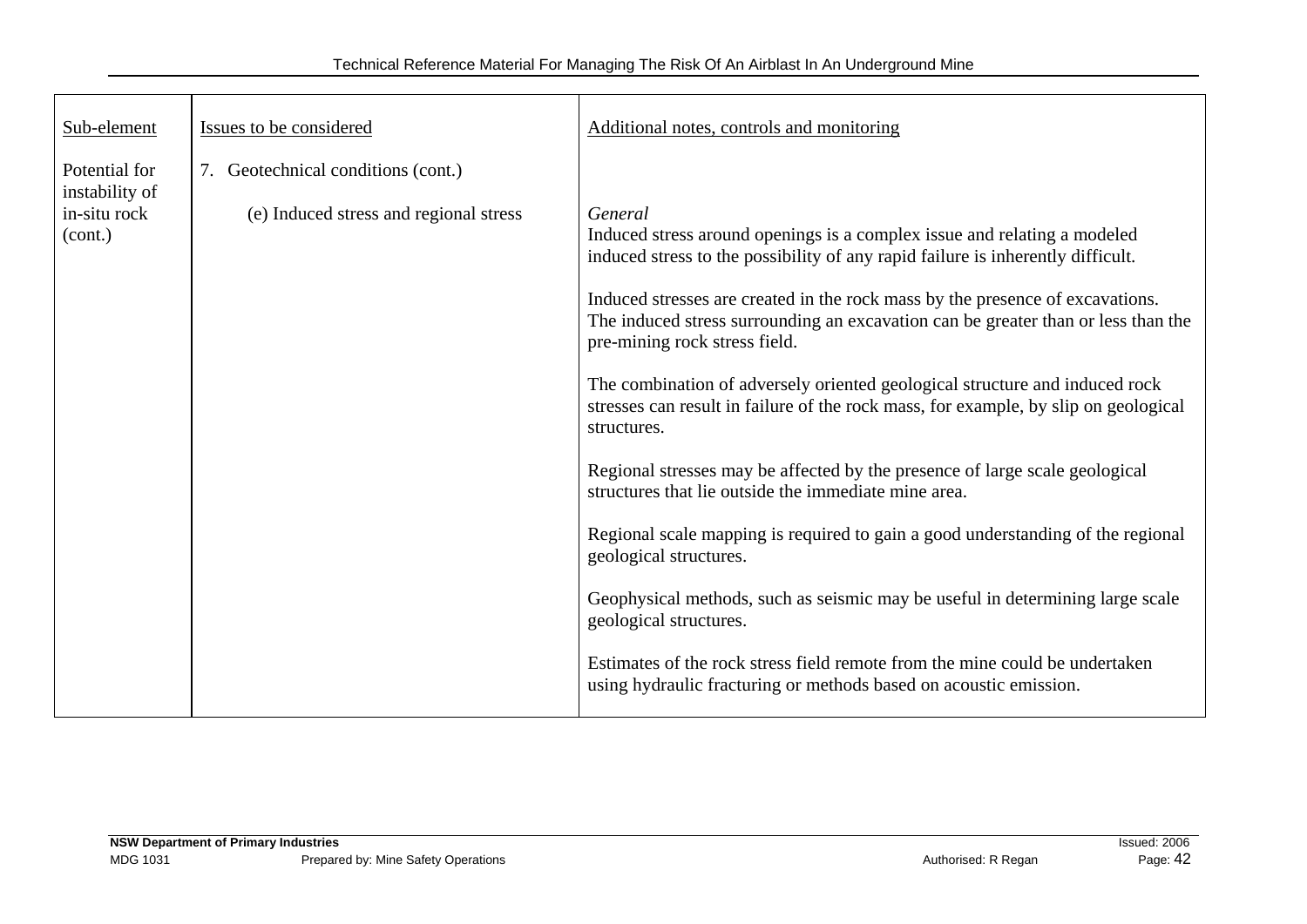| Sub-element                                     | Issues to be considered                                                      | Additional notes, controls and monitoring                                                                                                                                                           |
|-------------------------------------------------|------------------------------------------------------------------------------|-----------------------------------------------------------------------------------------------------------------------------------------------------------------------------------------------------|
| Potential for<br>instability of<br>in-situ rock | 7. Geotechnical conditions (cont.)<br>(e) Induced stress and regional stress | General                                                                                                                                                                                             |
| (cont.)                                         |                                                                              | Induced stress around openings is a complex issue and relating a modeled<br>induced stress to the possibility of any rapid failure is inherently difficult.                                         |
|                                                 |                                                                              | Induced stresses are created in the rock mass by the presence of excavations.<br>The induced stress surrounding an excavation can be greater than or less than the<br>pre-mining rock stress field. |
|                                                 |                                                                              | The combination of adversely oriented geological structure and induced rock<br>stresses can result in failure of the rock mass, for example, by slip on geological<br>structures.                   |
|                                                 |                                                                              | Regional stresses may be affected by the presence of large scale geological<br>structures that lie outside the immediate mine area.                                                                 |
|                                                 |                                                                              | Regional scale mapping is required to gain a good understanding of the regional<br>geological structures.                                                                                           |
|                                                 |                                                                              | Geophysical methods, such as seismic may be useful in determining large scale<br>geological structures.                                                                                             |
|                                                 |                                                                              | Estimates of the rock stress field remote from the mine could be undertaken<br>using hydraulic fracturing or methods based on acoustic emission.                                                    |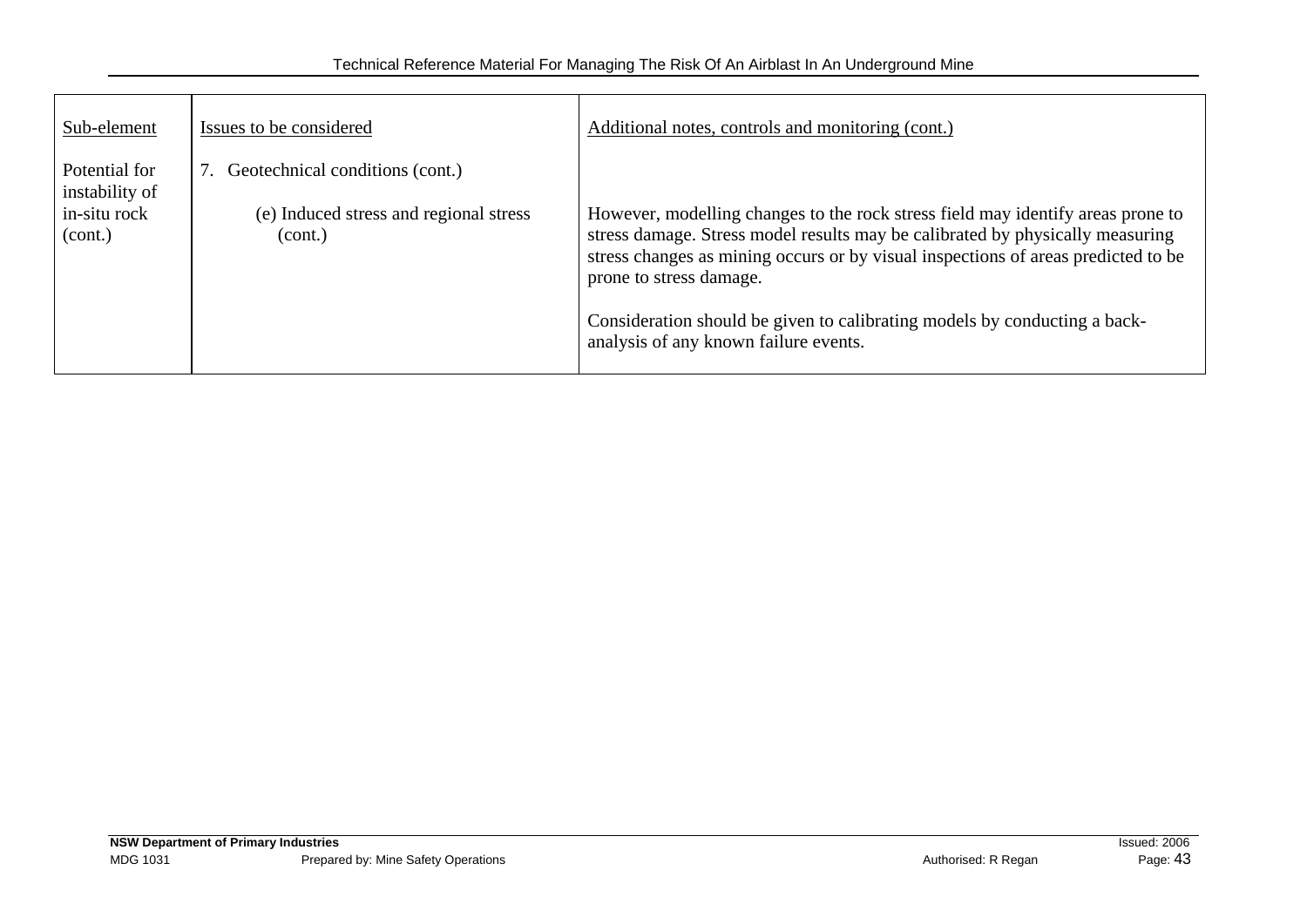| Sub-element                                                | Issues to be considered                                                                 | Additional notes, controls and monitoring (cont.)                                                                                                                                                                                                                                                                                                                                                      |
|------------------------------------------------------------|-----------------------------------------------------------------------------------------|--------------------------------------------------------------------------------------------------------------------------------------------------------------------------------------------------------------------------------------------------------------------------------------------------------------------------------------------------------------------------------------------------------|
| Potential for<br>instability of<br>in-situ rock<br>(cont.) | 7. Geotechnical conditions (cont.)<br>(e) Induced stress and regional stress<br>(cont.) | However, modelling changes to the rock stress field may identify areas prone to<br>stress damage. Stress model results may be calibrated by physically measuring<br>stress changes as mining occurs or by visual inspections of areas predicted to be<br>prone to stress damage.<br>Consideration should be given to calibrating models by conducting a back-<br>analysis of any known failure events. |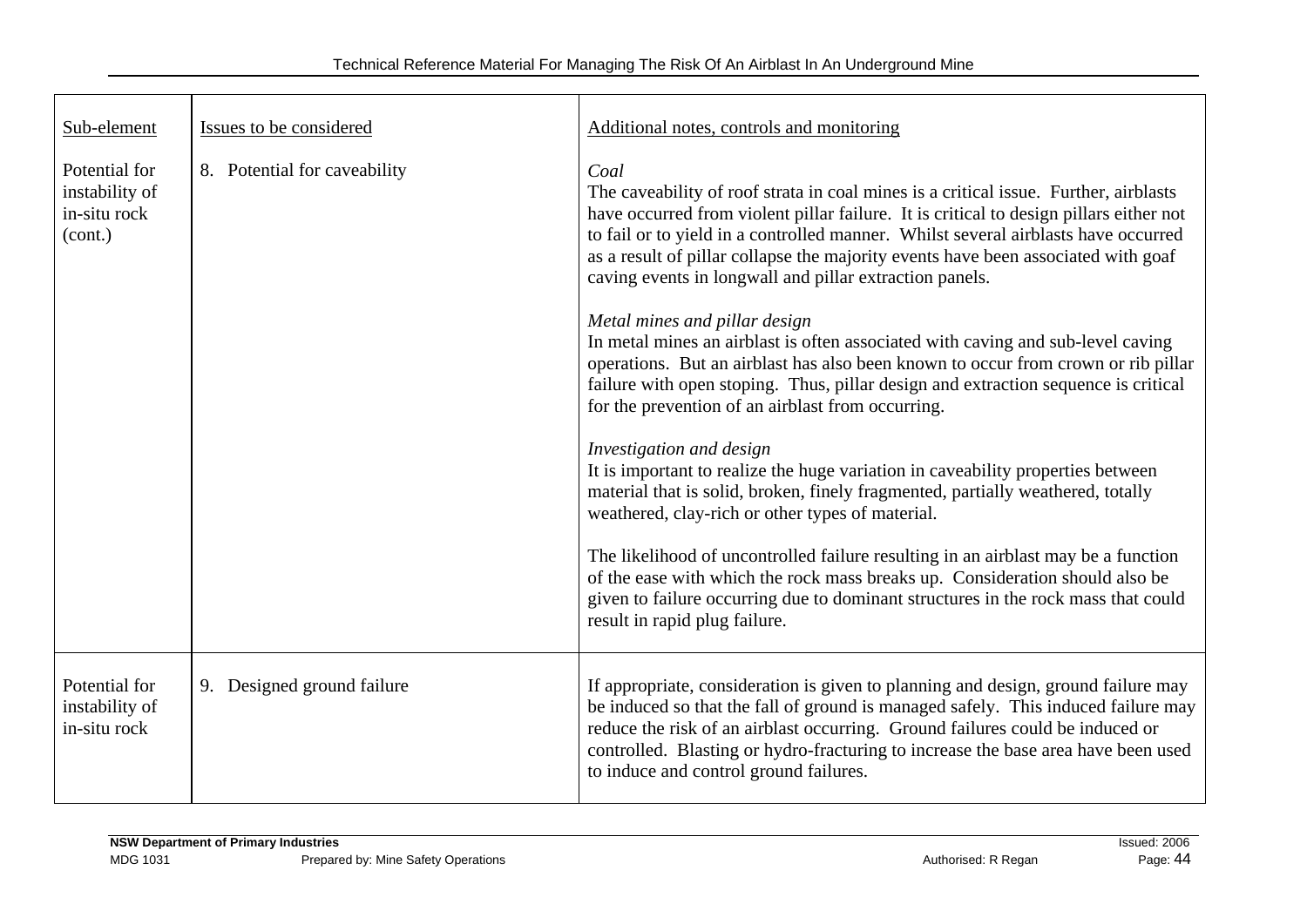| Sub-element                                                | Issues to be considered      | Additional notes, controls and monitoring                                                                                                                                                                                                                                                                                                                                                                                    |
|------------------------------------------------------------|------------------------------|------------------------------------------------------------------------------------------------------------------------------------------------------------------------------------------------------------------------------------------------------------------------------------------------------------------------------------------------------------------------------------------------------------------------------|
| Potential for<br>instability of<br>in-situ rock<br>(cont.) | 8. Potential for caveability | Coal<br>The caveability of roof strata in coal mines is a critical issue. Further, airblasts<br>have occurred from violent pillar failure. It is critical to design pillars either not<br>to fail or to yield in a controlled manner. Whilst several airblasts have occurred<br>as a result of pillar collapse the majority events have been associated with goaf<br>caving events in longwall and pillar extraction panels. |
|                                                            |                              | Metal mines and pillar design<br>In metal mines an airblast is often associated with caving and sub-level caving<br>operations. But an airblast has also been known to occur from crown or rib pillar<br>failure with open stoping. Thus, pillar design and extraction sequence is critical<br>for the prevention of an airblast from occurring.                                                                             |
|                                                            |                              | Investigation and design<br>It is important to realize the huge variation in caveability properties between<br>material that is solid, broken, finely fragmented, partially weathered, totally<br>weathered, clay-rich or other types of material.                                                                                                                                                                           |
|                                                            |                              | The likelihood of uncontrolled failure resulting in an airblast may be a function<br>of the ease with which the rock mass breaks up. Consideration should also be<br>given to failure occurring due to dominant structures in the rock mass that could<br>result in rapid plug failure.                                                                                                                                      |
| Potential for<br>instability of<br>in-situ rock            | 9. Designed ground failure   | If appropriate, consideration is given to planning and design, ground failure may<br>be induced so that the fall of ground is managed safely. This induced failure may<br>reduce the risk of an airblast occurring. Ground failures could be induced or<br>controlled. Blasting or hydro-fracturing to increase the base area have been used<br>to induce and control ground failures.                                       |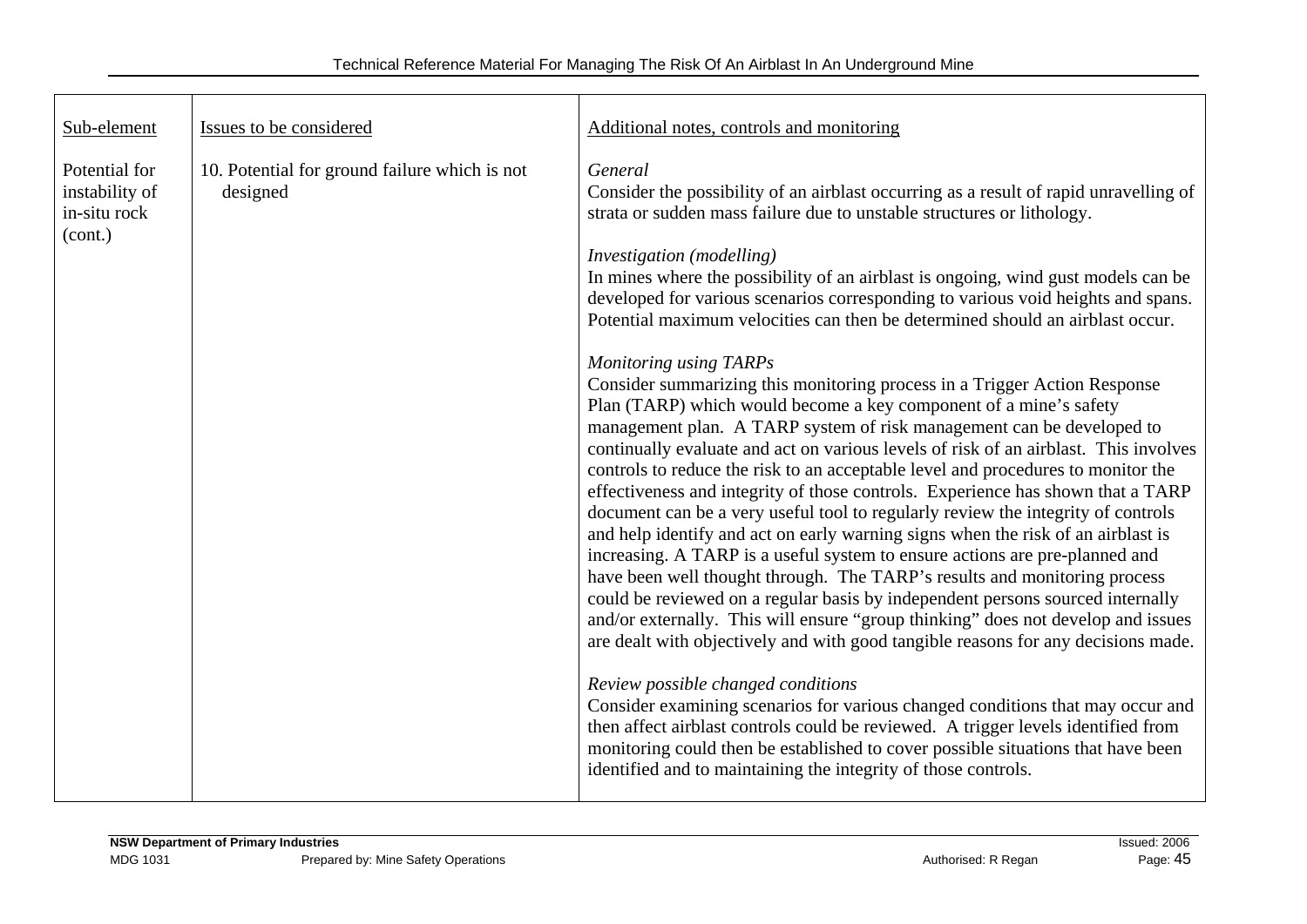| Sub-element                                                | Issues to be considered                                   | Additional notes, controls and monitoring                                                                                                                                                                                                                                                                                                                                                                                                                                                                                                                                                                                                                                                                                                                                                                                                                                                                                                                                                                                                                                                                       |
|------------------------------------------------------------|-----------------------------------------------------------|-----------------------------------------------------------------------------------------------------------------------------------------------------------------------------------------------------------------------------------------------------------------------------------------------------------------------------------------------------------------------------------------------------------------------------------------------------------------------------------------------------------------------------------------------------------------------------------------------------------------------------------------------------------------------------------------------------------------------------------------------------------------------------------------------------------------------------------------------------------------------------------------------------------------------------------------------------------------------------------------------------------------------------------------------------------------------------------------------------------------|
| Potential for<br>instability of<br>in-situ rock<br>(cont.) | 10. Potential for ground failure which is not<br>designed | General<br>Consider the possibility of an airblast occurring as a result of rapid unravelling of<br>strata or sudden mass failure due to unstable structures or lithology.<br>Investigation (modelling)                                                                                                                                                                                                                                                                                                                                                                                                                                                                                                                                                                                                                                                                                                                                                                                                                                                                                                         |
|                                                            |                                                           | In mines where the possibility of an airblast is ongoing, wind gust models can be<br>developed for various scenarios corresponding to various void heights and spans.<br>Potential maximum velocities can then be determined should an airblast occur.                                                                                                                                                                                                                                                                                                                                                                                                                                                                                                                                                                                                                                                                                                                                                                                                                                                          |
|                                                            |                                                           | Monitoring using TARPs<br>Consider summarizing this monitoring process in a Trigger Action Response<br>Plan (TARP) which would become a key component of a mine's safety<br>management plan. A TARP system of risk management can be developed to<br>continually evaluate and act on various levels of risk of an airblast. This involves<br>controls to reduce the risk to an acceptable level and procedures to monitor the<br>effectiveness and integrity of those controls. Experience has shown that a TARP<br>document can be a very useful tool to regularly review the integrity of controls<br>and help identify and act on early warning signs when the risk of an airblast is<br>increasing. A TARP is a useful system to ensure actions are pre-planned and<br>have been well thought through. The TARP's results and monitoring process<br>could be reviewed on a regular basis by independent persons sourced internally<br>and/or externally. This will ensure "group thinking" does not develop and issues<br>are dealt with objectively and with good tangible reasons for any decisions made. |
|                                                            |                                                           | Review possible changed conditions<br>Consider examining scenarios for various changed conditions that may occur and<br>then affect airblast controls could be reviewed. A trigger levels identified from<br>monitoring could then be established to cover possible situations that have been<br>identified and to maintaining the integrity of those controls.                                                                                                                                                                                                                                                                                                                                                                                                                                                                                                                                                                                                                                                                                                                                                 |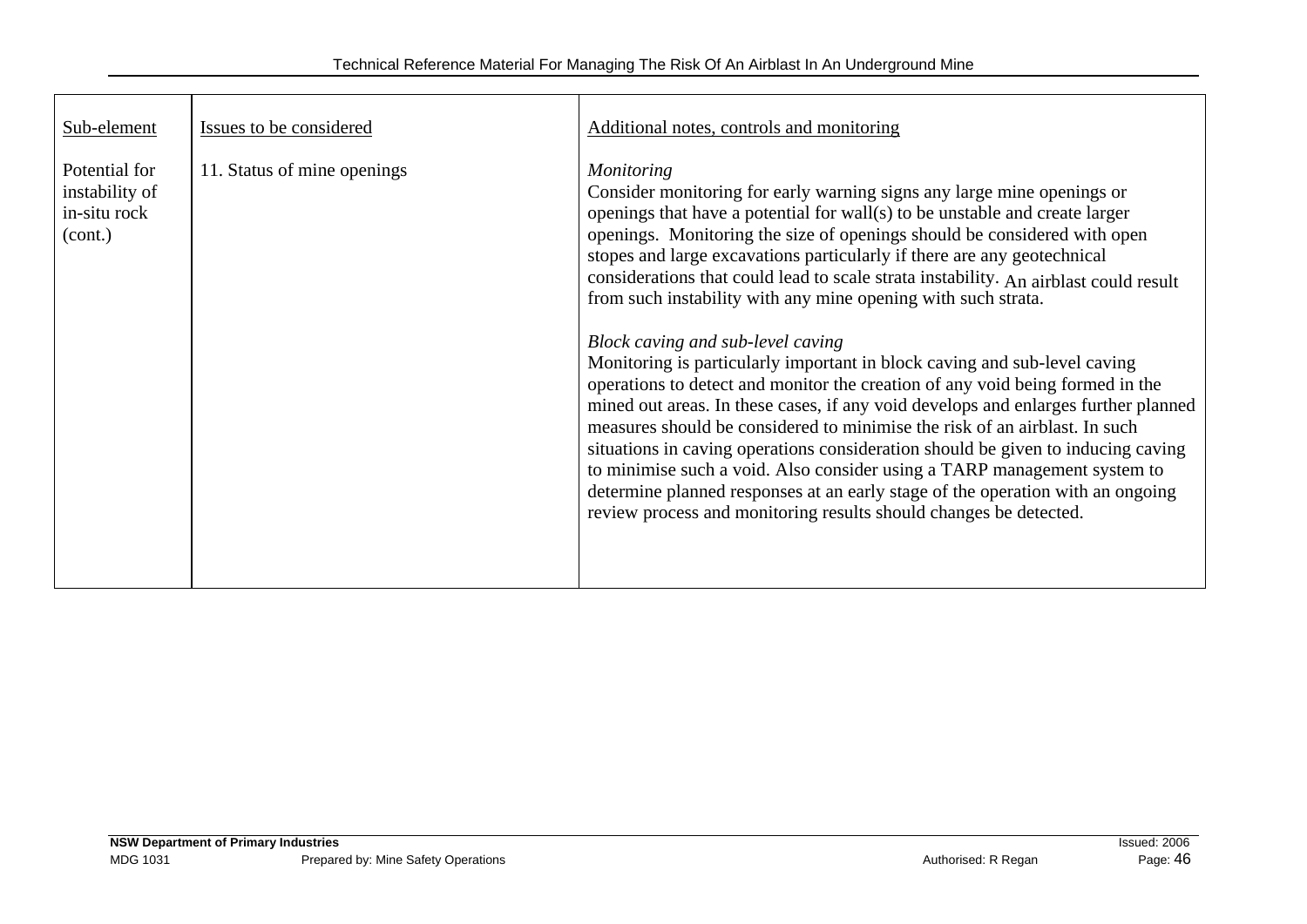| Sub-element                                                | Issues to be considered     | Additional notes, controls and monitoring                                                                                                                                                                                                                                                                                                                                                                                                                                                                                                                                                                                                                                                                                                                                                                                                                                                                                                                                                                                                                                                                                                                                                |
|------------------------------------------------------------|-----------------------------|------------------------------------------------------------------------------------------------------------------------------------------------------------------------------------------------------------------------------------------------------------------------------------------------------------------------------------------------------------------------------------------------------------------------------------------------------------------------------------------------------------------------------------------------------------------------------------------------------------------------------------------------------------------------------------------------------------------------------------------------------------------------------------------------------------------------------------------------------------------------------------------------------------------------------------------------------------------------------------------------------------------------------------------------------------------------------------------------------------------------------------------------------------------------------------------|
| Potential for<br>instability of<br>in-situ rock<br>(cont.) | 11. Status of mine openings | <i>Monitoring</i><br>Consider monitoring for early warning signs any large mine openings or<br>openings that have a potential for wall(s) to be unstable and create larger<br>openings. Monitoring the size of openings should be considered with open<br>stopes and large excavations particularly if there are any geotechnical<br>considerations that could lead to scale strata instability. An airblast could result<br>from such instability with any mine opening with such strata.<br>Block caving and sub-level caving<br>Monitoring is particularly important in block caving and sub-level caving<br>operations to detect and monitor the creation of any void being formed in the<br>mined out areas. In these cases, if any void develops and enlarges further planned<br>measures should be considered to minimise the risk of an airblast. In such<br>situations in caving operations consideration should be given to inducing caving<br>to minimise such a void. Also consider using a TARP management system to<br>determine planned responses at an early stage of the operation with an ongoing<br>review process and monitoring results should changes be detected. |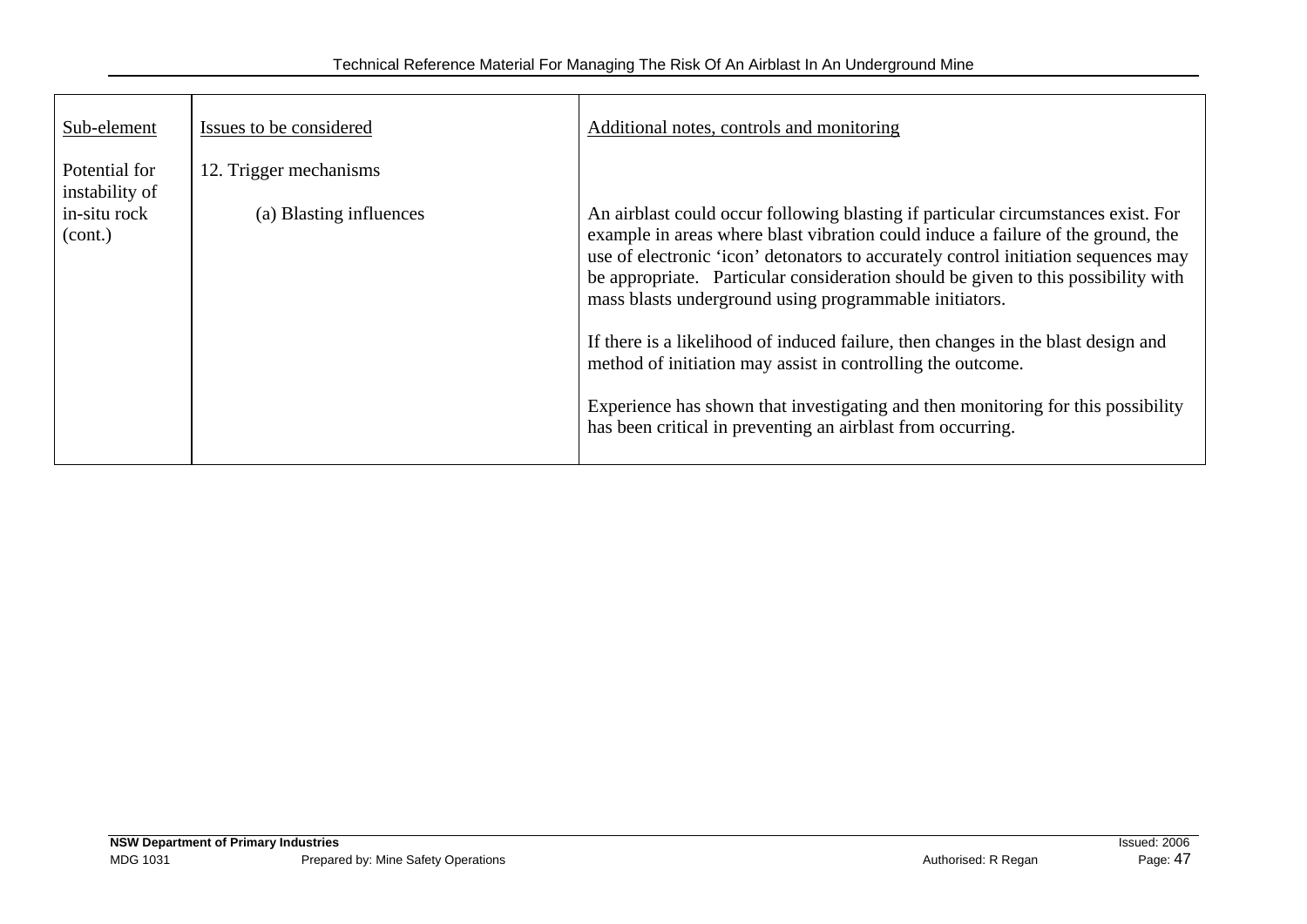| Sub-element                     | Issues to be considered | Additional notes, controls and monitoring                                                                                                                                                                                                                                                                                                                                                                                                                                                                                                                                                                                                                                                                         |
|---------------------------------|-------------------------|-------------------------------------------------------------------------------------------------------------------------------------------------------------------------------------------------------------------------------------------------------------------------------------------------------------------------------------------------------------------------------------------------------------------------------------------------------------------------------------------------------------------------------------------------------------------------------------------------------------------------------------------------------------------------------------------------------------------|
| Potential for<br>instability of | 12. Trigger mechanisms  |                                                                                                                                                                                                                                                                                                                                                                                                                                                                                                                                                                                                                                                                                                                   |
| in-situ rock<br>(cont.)         | (a) Blasting influences | An airblast could occur following blasting if particular circumstances exist. For<br>example in areas where blast vibration could induce a failure of the ground, the<br>use of electronic 'icon' detonators to accurately control initiation sequences may<br>be appropriate. Particular consideration should be given to this possibility with<br>mass blasts underground using programmable initiators.<br>If there is a likelihood of induced failure, then changes in the blast design and<br>method of initiation may assist in controlling the outcome.<br>Experience has shown that investigating and then monitoring for this possibility<br>has been critical in preventing an airblast from occurring. |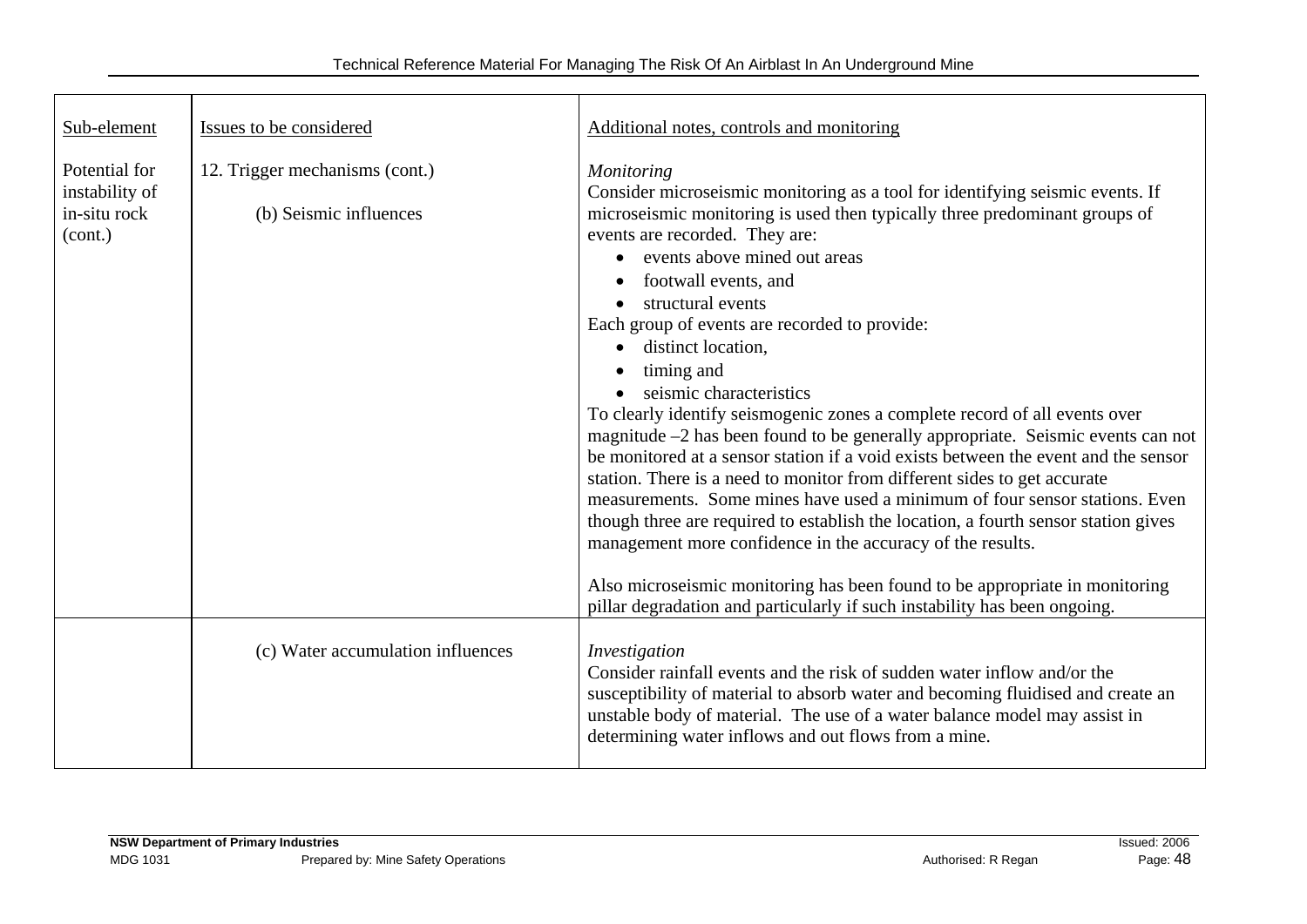| Sub-element                                                | Issues to be considered                                  | Additional notes, controls and monitoring                                                                                                                                                                                                                                                                                                                                                                                                                                                                                                                                                                                                                                                                                                                                                                                                                                                                                                                                                                                                                                                                                                                                  |
|------------------------------------------------------------|----------------------------------------------------------|----------------------------------------------------------------------------------------------------------------------------------------------------------------------------------------------------------------------------------------------------------------------------------------------------------------------------------------------------------------------------------------------------------------------------------------------------------------------------------------------------------------------------------------------------------------------------------------------------------------------------------------------------------------------------------------------------------------------------------------------------------------------------------------------------------------------------------------------------------------------------------------------------------------------------------------------------------------------------------------------------------------------------------------------------------------------------------------------------------------------------------------------------------------------------|
| Potential for<br>instability of<br>in-situ rock<br>(cont.) | 12. Trigger mechanisms (cont.)<br>(b) Seismic influences | <b>Monitoring</b><br>Consider microseismic monitoring as a tool for identifying seismic events. If<br>microseismic monitoring is used then typically three predominant groups of<br>events are recorded. They are:<br>events above mined out areas<br>$\bullet$<br>footwall events, and<br>structural events<br>Each group of events are recorded to provide:<br>distinct location.<br>$\bullet$<br>timing and<br>seismic characteristics<br>To clearly identify seismogenic zones a complete record of all events over<br>magnitude -2 has been found to be generally appropriate. Seismic events can not<br>be monitored at a sensor station if a void exists between the event and the sensor<br>station. There is a need to monitor from different sides to get accurate<br>measurements. Some mines have used a minimum of four sensor stations. Even<br>though three are required to establish the location, a fourth sensor station gives<br>management more confidence in the accuracy of the results.<br>Also microseismic monitoring has been found to be appropriate in monitoring<br>pillar degradation and particularly if such instability has been ongoing. |
|                                                            | (c) Water accumulation influences                        | Investigation<br>Consider rainfall events and the risk of sudden water inflow and/or the<br>susceptibility of material to absorb water and becoming fluidised and create an<br>unstable body of material. The use of a water balance model may assist in<br>determining water inflows and out flows from a mine.                                                                                                                                                                                                                                                                                                                                                                                                                                                                                                                                                                                                                                                                                                                                                                                                                                                           |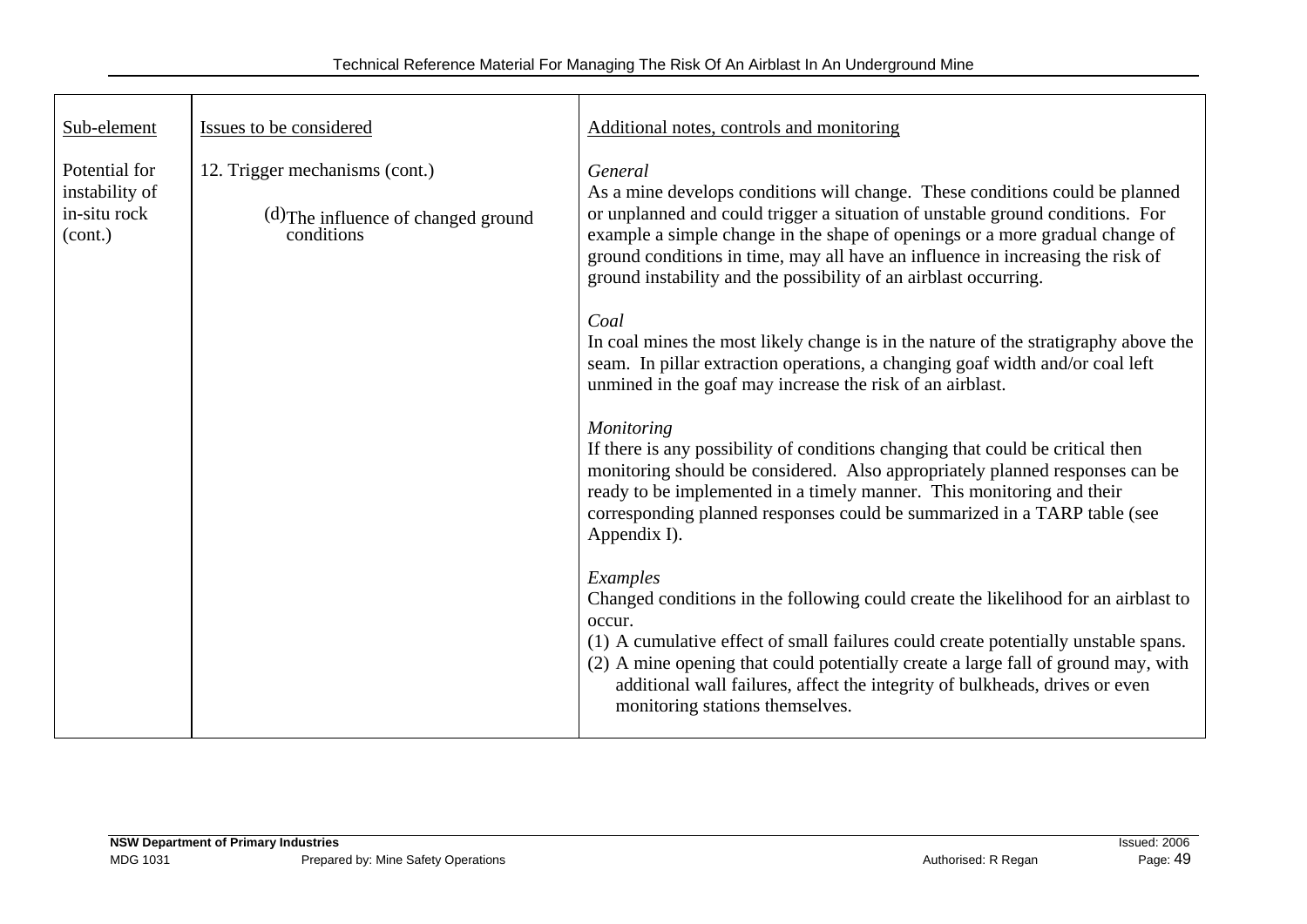| Sub-element                                                | Issues to be considered                                                             | Additional notes, controls and monitoring                                                                                                                                                                                                                                                                                                                                                                                                                                                                                                                                                                                                                                                                                                                                                                                                                                                                                                                                                                                                                                                                                                                                                                                                                                                                                                                                                                                 |
|------------------------------------------------------------|-------------------------------------------------------------------------------------|---------------------------------------------------------------------------------------------------------------------------------------------------------------------------------------------------------------------------------------------------------------------------------------------------------------------------------------------------------------------------------------------------------------------------------------------------------------------------------------------------------------------------------------------------------------------------------------------------------------------------------------------------------------------------------------------------------------------------------------------------------------------------------------------------------------------------------------------------------------------------------------------------------------------------------------------------------------------------------------------------------------------------------------------------------------------------------------------------------------------------------------------------------------------------------------------------------------------------------------------------------------------------------------------------------------------------------------------------------------------------------------------------------------------------|
| Potential for<br>instability of<br>in-situ rock<br>(cont.) | 12. Trigger mechanisms (cont.)<br>(d) The influence of changed ground<br>conditions | General<br>As a mine develops conditions will change. These conditions could be planned<br>or unplanned and could trigger a situation of unstable ground conditions. For<br>example a simple change in the shape of openings or a more gradual change of<br>ground conditions in time, may all have an influence in increasing the risk of<br>ground instability and the possibility of an airblast occurring.<br>Coal<br>In coal mines the most likely change is in the nature of the stratigraphy above the<br>seam. In pillar extraction operations, a changing goaf width and/or coal left<br>unmined in the goaf may increase the risk of an airblast.<br>Monitoring<br>If there is any possibility of conditions changing that could be critical then<br>monitoring should be considered. Also appropriately planned responses can be<br>ready to be implemented in a timely manner. This monitoring and their<br>corresponding planned responses could be summarized in a TARP table (see<br>Appendix I).<br>Examples<br>Changed conditions in the following could create the likelihood for an airblast to<br>occur.<br>(1) A cumulative effect of small failures could create potentially unstable spans.<br>(2) A mine opening that could potentially create a large fall of ground may, with<br>additional wall failures, affect the integrity of bulkheads, drives or even<br>monitoring stations themselves. |
|                                                            |                                                                                     |                                                                                                                                                                                                                                                                                                                                                                                                                                                                                                                                                                                                                                                                                                                                                                                                                                                                                                                                                                                                                                                                                                                                                                                                                                                                                                                                                                                                                           |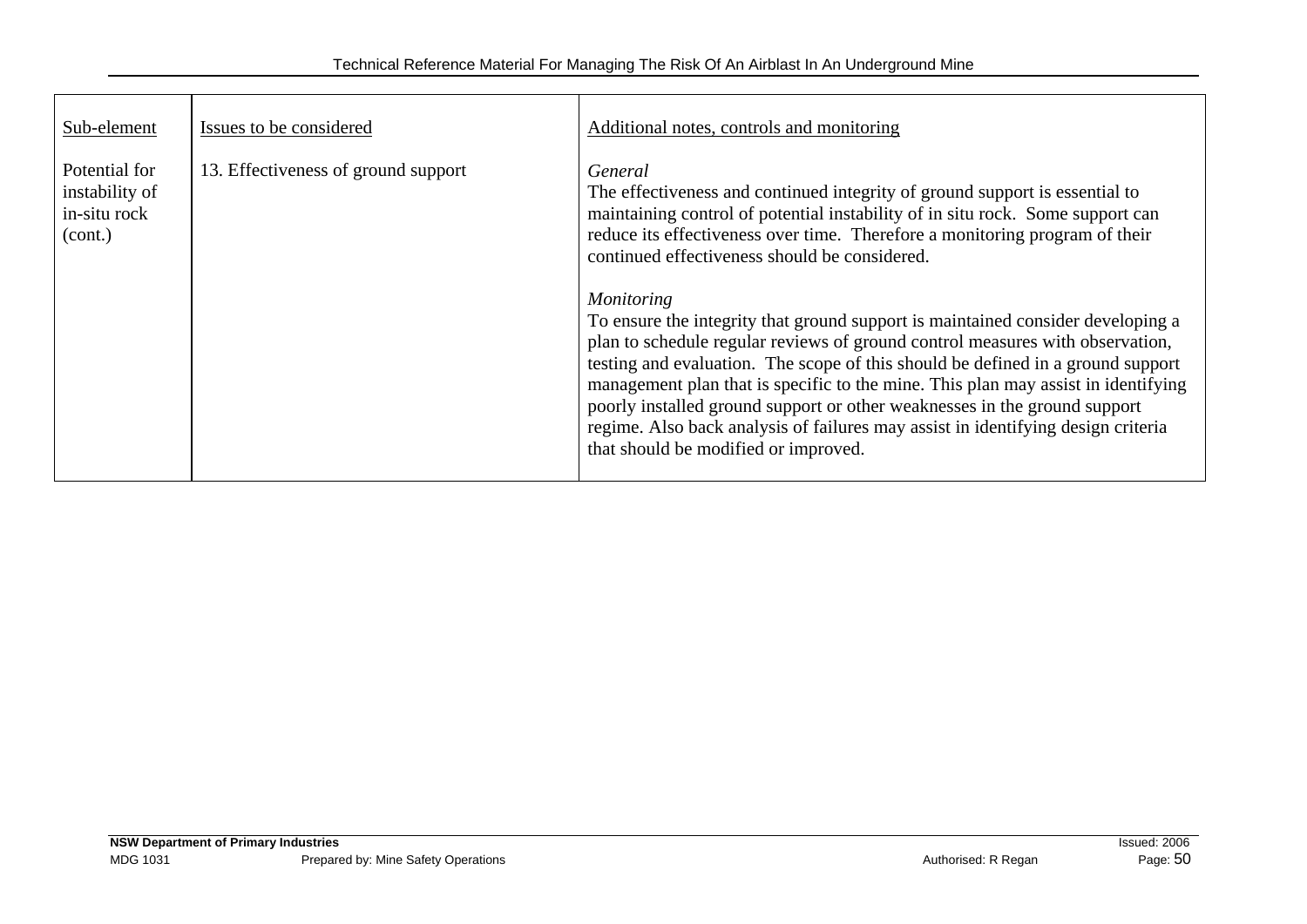| Sub-element                                                | Issues to be considered             | Additional notes, controls and monitoring                                                                                                                                                                                                                                                                                                                                                                                                                                                                                                                                                                                                                                                                                                                                                                                                                                          |
|------------------------------------------------------------|-------------------------------------|------------------------------------------------------------------------------------------------------------------------------------------------------------------------------------------------------------------------------------------------------------------------------------------------------------------------------------------------------------------------------------------------------------------------------------------------------------------------------------------------------------------------------------------------------------------------------------------------------------------------------------------------------------------------------------------------------------------------------------------------------------------------------------------------------------------------------------------------------------------------------------|
| Potential for<br>instability of<br>in-situ rock<br>(cont.) | 13. Effectiveness of ground support | General<br>The effectiveness and continued integrity of ground support is essential to<br>maintaining control of potential instability of in situ rock. Some support can<br>reduce its effectiveness over time. Therefore a monitoring program of their<br>continued effectiveness should be considered.<br><b>Monitoring</b><br>To ensure the integrity that ground support is maintained consider developing a<br>plan to schedule regular reviews of ground control measures with observation,<br>testing and evaluation. The scope of this should be defined in a ground support<br>management plan that is specific to the mine. This plan may assist in identifying<br>poorly installed ground support or other weaknesses in the ground support<br>regime. Also back analysis of failures may assist in identifying design criteria<br>that should be modified or improved. |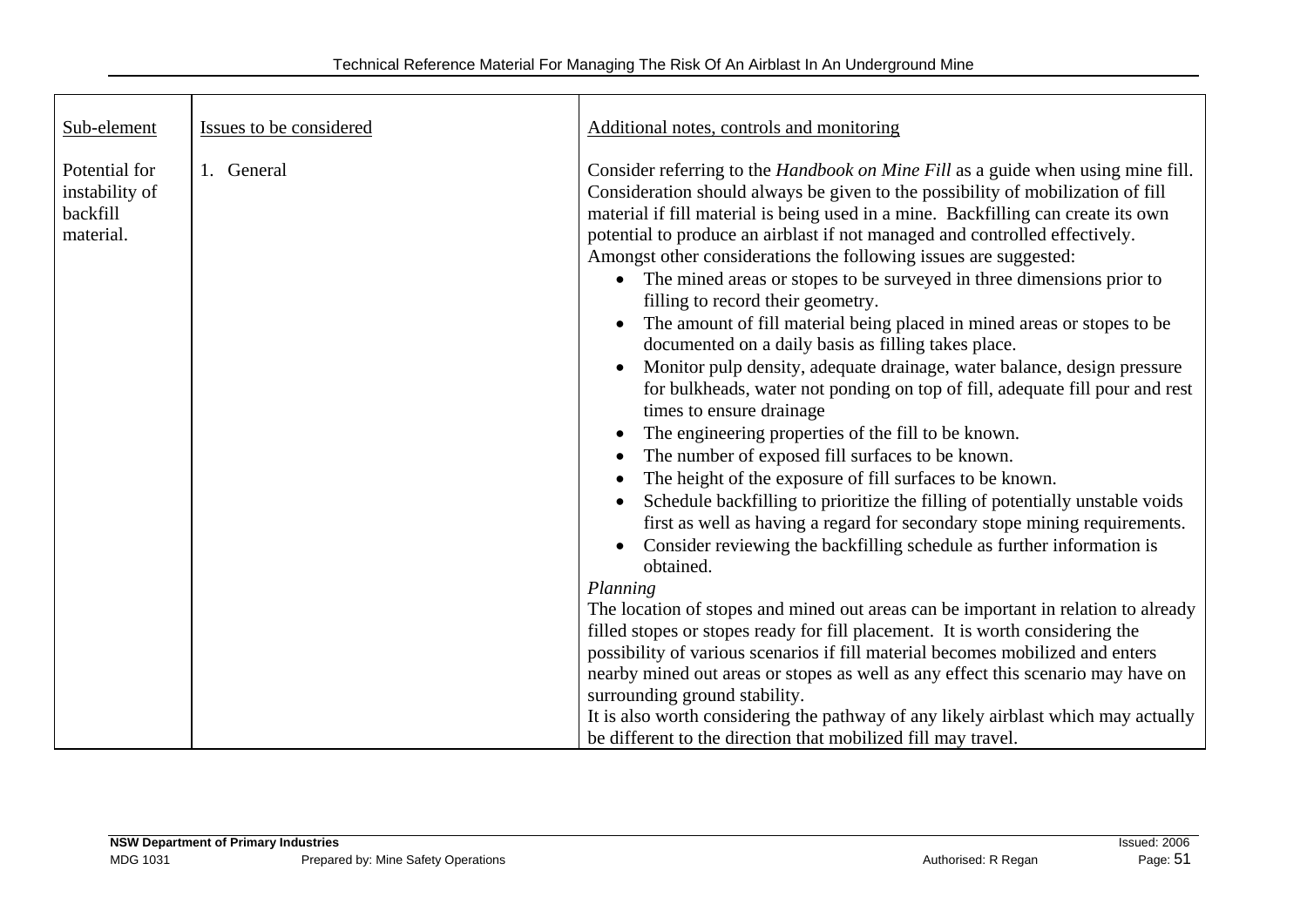| Sub-element                                              | Issues to be considered | Additional notes, controls and monitoring                                                                                                                                                                                                                                                                                                                                                                                                                                                                                                                                                                                                                                                                                                                                                                                                                                                                                                                                                                                                                                                                                                                                                                                                                                                                                                                                                                                                                                                                                                                                                                                                                                                                                                                                                                                         |
|----------------------------------------------------------|-------------------------|-----------------------------------------------------------------------------------------------------------------------------------------------------------------------------------------------------------------------------------------------------------------------------------------------------------------------------------------------------------------------------------------------------------------------------------------------------------------------------------------------------------------------------------------------------------------------------------------------------------------------------------------------------------------------------------------------------------------------------------------------------------------------------------------------------------------------------------------------------------------------------------------------------------------------------------------------------------------------------------------------------------------------------------------------------------------------------------------------------------------------------------------------------------------------------------------------------------------------------------------------------------------------------------------------------------------------------------------------------------------------------------------------------------------------------------------------------------------------------------------------------------------------------------------------------------------------------------------------------------------------------------------------------------------------------------------------------------------------------------------------------------------------------------------------------------------------------------|
| Potential for<br>instability of<br>backfill<br>material. | 1. General              | Consider referring to the <i>Handbook on Mine Fill</i> as a guide when using mine fill.<br>Consideration should always be given to the possibility of mobilization of fill<br>material if fill material is being used in a mine. Backfilling can create its own<br>potential to produce an airblast if not managed and controlled effectively.<br>Amongst other considerations the following issues are suggested:<br>The mined areas or stopes to be surveyed in three dimensions prior to<br>$\bullet$<br>filling to record their geometry.<br>The amount of fill material being placed in mined areas or stopes to be<br>documented on a daily basis as filling takes place.<br>Monitor pulp density, adequate drainage, water balance, design pressure<br>$\bullet$<br>for bulkheads, water not ponding on top of fill, adequate fill pour and rest<br>times to ensure drainage<br>The engineering properties of the fill to be known.<br>٠<br>The number of exposed fill surfaces to be known.<br>The height of the exposure of fill surfaces to be known.<br>٠<br>Schedule backfilling to prioritize the filling of potentially unstable voids<br>$\bullet$<br>first as well as having a regard for secondary stope mining requirements.<br>Consider reviewing the backfilling schedule as further information is<br>$\bullet$<br>obtained.<br>Planning<br>The location of stopes and mined out areas can be important in relation to already<br>filled stopes or stopes ready for fill placement. It is worth considering the<br>possibility of various scenarios if fill material becomes mobilized and enters<br>nearby mined out areas or stopes as well as any effect this scenario may have on<br>surrounding ground stability.<br>It is also worth considering the pathway of any likely airblast which may actually |
|                                                          |                         | be different to the direction that mobilized fill may travel.                                                                                                                                                                                                                                                                                                                                                                                                                                                                                                                                                                                                                                                                                                                                                                                                                                                                                                                                                                                                                                                                                                                                                                                                                                                                                                                                                                                                                                                                                                                                                                                                                                                                                                                                                                     |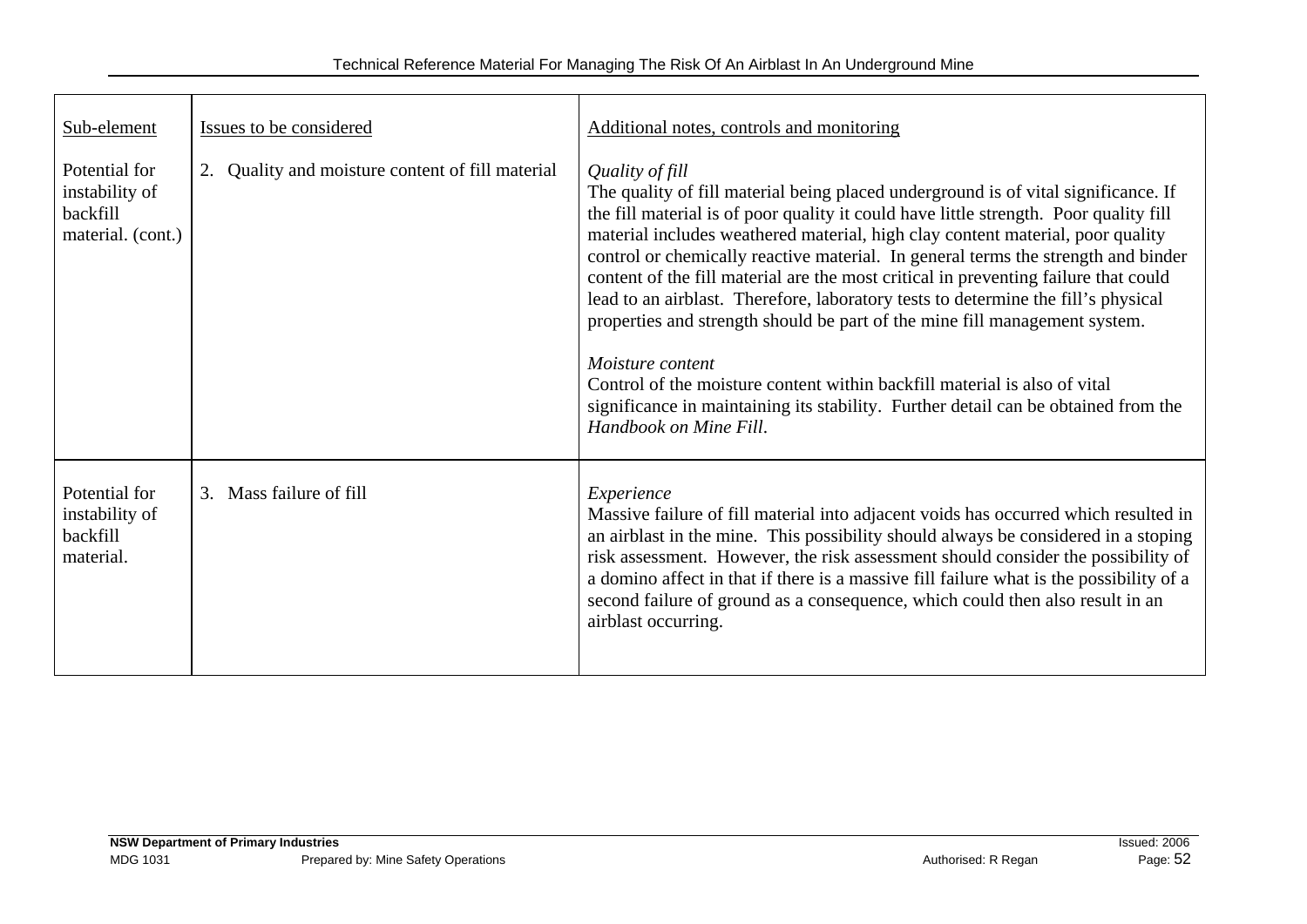| Sub-element                                                      | Issues to be considered                          | Additional notes, controls and monitoring                                                                                                                                                                                                                                                                                                                                                                                                                                                                                                                                                                                                                                                                                                                                                                                                        |
|------------------------------------------------------------------|--------------------------------------------------|--------------------------------------------------------------------------------------------------------------------------------------------------------------------------------------------------------------------------------------------------------------------------------------------------------------------------------------------------------------------------------------------------------------------------------------------------------------------------------------------------------------------------------------------------------------------------------------------------------------------------------------------------------------------------------------------------------------------------------------------------------------------------------------------------------------------------------------------------|
| Potential for<br>instability of<br>backfill<br>material. (cont.) | 2. Quality and moisture content of fill material | Quality of fill<br>The quality of fill material being placed underground is of vital significance. If<br>the fill material is of poor quality it could have little strength. Poor quality fill<br>material includes weathered material, high clay content material, poor quality<br>control or chemically reactive material. In general terms the strength and binder<br>content of the fill material are the most critical in preventing failure that could<br>lead to an airblast. Therefore, laboratory tests to determine the fill's physical<br>properties and strength should be part of the mine fill management system.<br>Moisture content<br>Control of the moisture content within backfill material is also of vital<br>significance in maintaining its stability. Further detail can be obtained from the<br>Handbook on Mine Fill. |
| Potential for<br>instability of<br>backfill<br>material.         | 3. Mass failure of fill                          | Experience<br>Massive failure of fill material into adjacent voids has occurred which resulted in<br>an airblast in the mine. This possibility should always be considered in a stoping<br>risk assessment. However, the risk assessment should consider the possibility of<br>a domino affect in that if there is a massive fill failure what is the possibility of a<br>second failure of ground as a consequence, which could then also result in an<br>airblast occurring.                                                                                                                                                                                                                                                                                                                                                                   |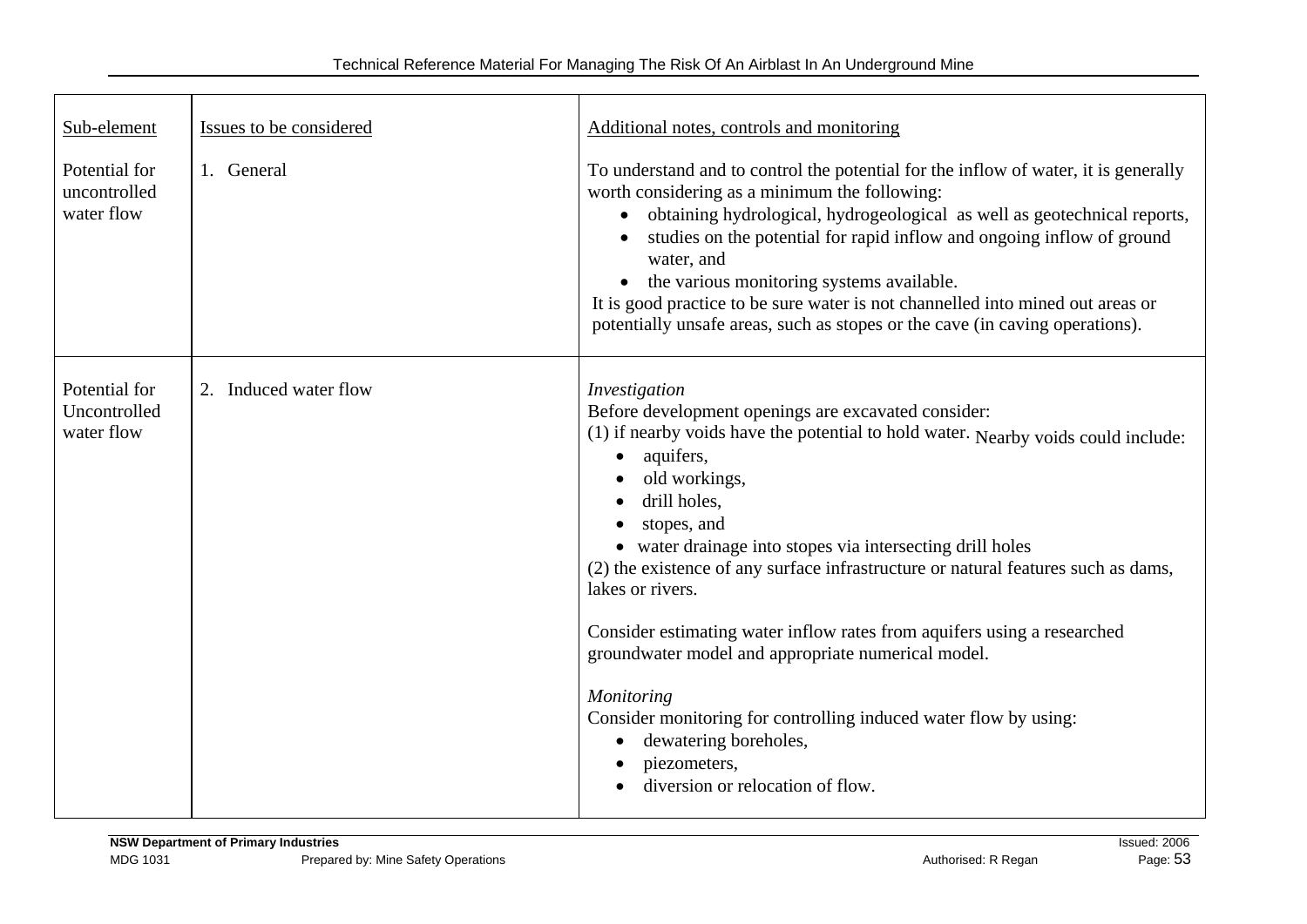| Sub-element                                 | Issues to be considered | Additional notes, controls and monitoring                                                                                                                                                                                                                                                                                                                                                                                                                                                                                                                                                                                                                                                                 |
|---------------------------------------------|-------------------------|-----------------------------------------------------------------------------------------------------------------------------------------------------------------------------------------------------------------------------------------------------------------------------------------------------------------------------------------------------------------------------------------------------------------------------------------------------------------------------------------------------------------------------------------------------------------------------------------------------------------------------------------------------------------------------------------------------------|
| Potential for<br>uncontrolled<br>water flow | 1. General              | To understand and to control the potential for the inflow of water, it is generally<br>worth considering as a minimum the following:<br>obtaining hydrological, hydrogeological as well as geotechnical reports,<br>$\bullet$<br>studies on the potential for rapid inflow and ongoing inflow of ground<br>water, and<br>• the various monitoring systems available.<br>It is good practice to be sure water is not channelled into mined out areas or<br>potentially unsafe areas, such as stopes or the cave (in caving operations).                                                                                                                                                                    |
| Potential for<br>Uncontrolled<br>water flow | 2. Induced water flow   | Investigation<br>Before development openings are excavated consider:<br>(1) if nearby voids have the potential to hold water. Nearby voids could include:<br>aquifers,<br>$\bullet$<br>old workings,<br>drill holes,<br>stopes, and<br>• water drainage into stopes via intersecting drill holes<br>(2) the existence of any surface infrastructure or natural features such as dams,<br>lakes or rivers.<br>Consider estimating water inflow rates from aquifers using a researched<br>groundwater model and appropriate numerical model.<br>Monitoring<br>Consider monitoring for controlling induced water flow by using:<br>dewatering boreholes,<br>piezometers,<br>diversion or relocation of flow. |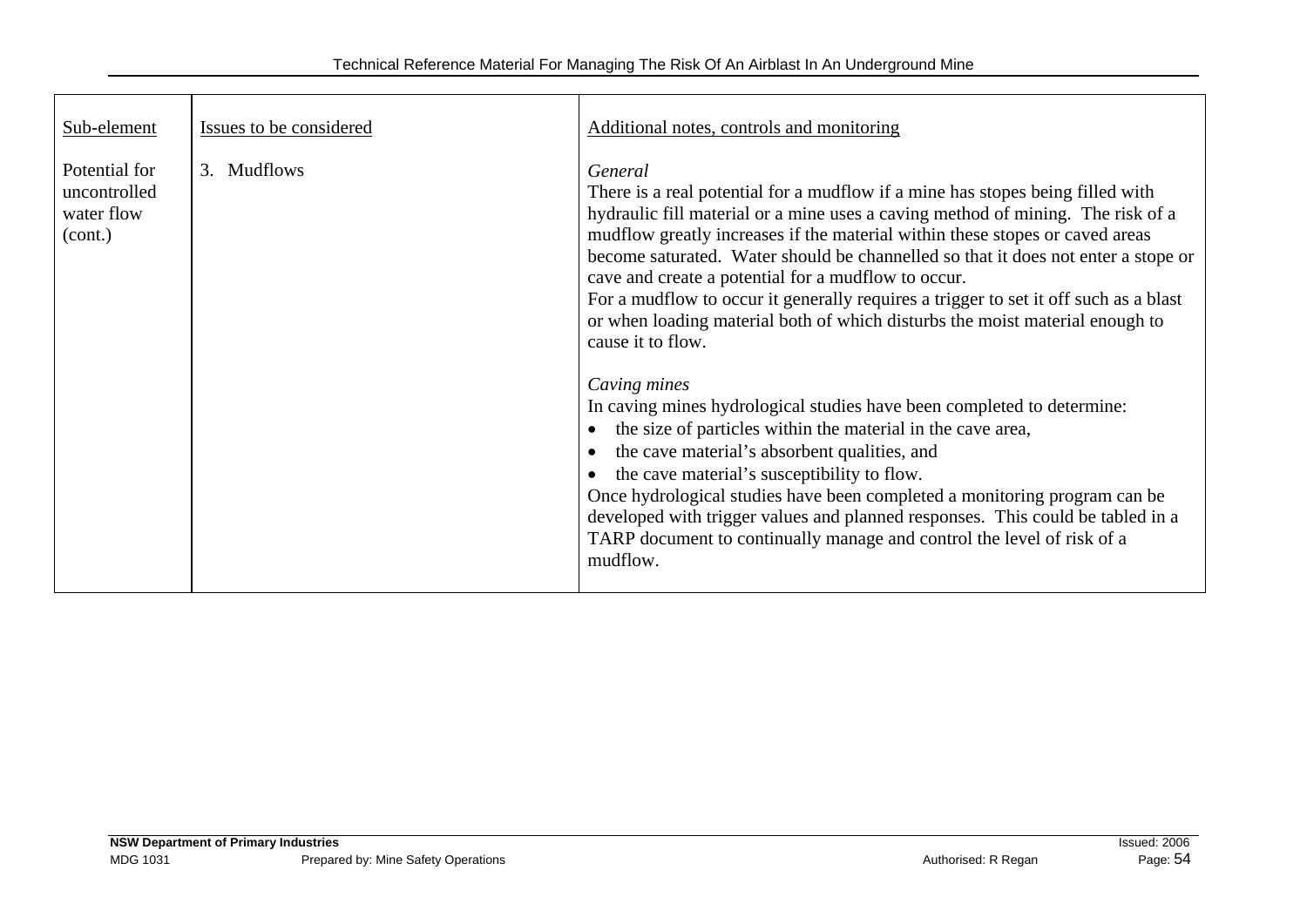| Sub-element                                            | Issues to be considered | Additional notes, controls and monitoring                                                                                                                                                                                                                                                                                                                                                                                                                                                                                                                                                                                                                                                                                                                                                                                                                                                                                                                                                                                                                                                                          |
|--------------------------------------------------------|-------------------------|--------------------------------------------------------------------------------------------------------------------------------------------------------------------------------------------------------------------------------------------------------------------------------------------------------------------------------------------------------------------------------------------------------------------------------------------------------------------------------------------------------------------------------------------------------------------------------------------------------------------------------------------------------------------------------------------------------------------------------------------------------------------------------------------------------------------------------------------------------------------------------------------------------------------------------------------------------------------------------------------------------------------------------------------------------------------------------------------------------------------|
| Potential for<br>uncontrolled<br>water flow<br>(cont.) | 3. Mudflows             | General<br>There is a real potential for a mudflow if a mine has stopes being filled with<br>hydraulic fill material or a mine uses a caving method of mining. The risk of a<br>mudflow greatly increases if the material within these stopes or caved areas<br>become saturated. Water should be channelled so that it does not enter a stope or<br>cave and create a potential for a mudflow to occur.<br>For a mudflow to occur it generally requires a trigger to set it off such as a blast<br>or when loading material both of which disturbs the moist material enough to<br>cause it to flow.<br>Caving mines<br>In caving mines hydrological studies have been completed to determine:<br>the size of particles within the material in the cave area,<br>the cave material's absorbent qualities, and<br>the cave material's susceptibility to flow.<br>Once hydrological studies have been completed a monitoring program can be<br>developed with trigger values and planned responses. This could be tabled in a<br>TARP document to continually manage and control the level of risk of a<br>mudflow. |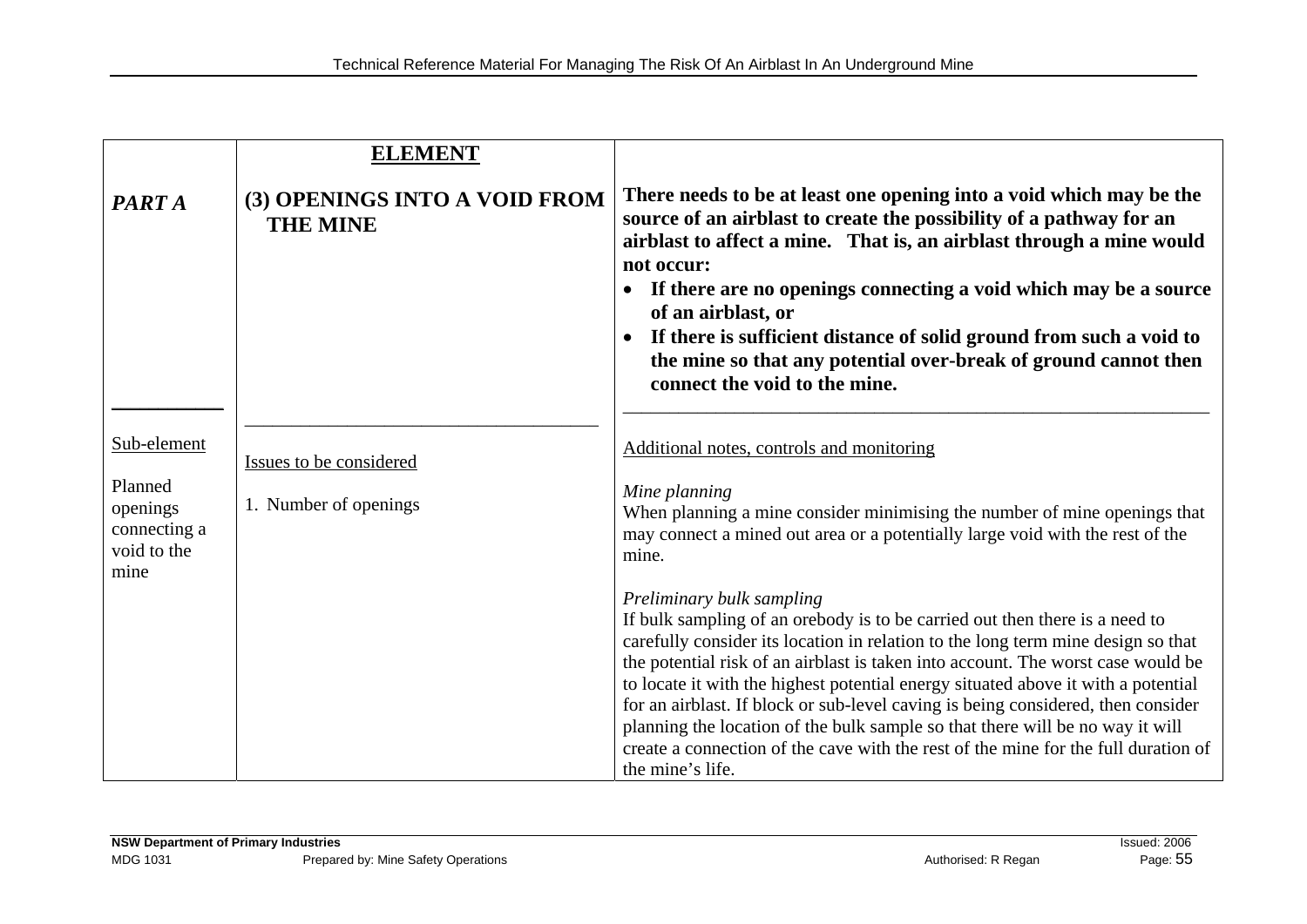|                                                            | <b>ELEMENT</b>                                   |                                                                                                                                                                                                                                                                                                                                                                                                                                                                                                                                                                                                                                                      |
|------------------------------------------------------------|--------------------------------------------------|------------------------------------------------------------------------------------------------------------------------------------------------------------------------------------------------------------------------------------------------------------------------------------------------------------------------------------------------------------------------------------------------------------------------------------------------------------------------------------------------------------------------------------------------------------------------------------------------------------------------------------------------------|
| PART A                                                     | (3) OPENINGS INTO A VOID FROM<br><b>THE MINE</b> | There needs to be at least one opening into a void which may be the<br>source of an airblast to create the possibility of a pathway for an<br>airblast to affect a mine. That is, an airblast through a mine would<br>not occur:<br>If there are no openings connecting a void which may be a source<br>of an airblast, or<br>If there is sufficient distance of solid ground from such a void to<br>the mine so that any potential over-break of ground cannot then<br>connect the void to the mine.                                                                                                                                                |
| Sub-element                                                | Issues to be considered                          | Additional notes, controls and monitoring                                                                                                                                                                                                                                                                                                                                                                                                                                                                                                                                                                                                            |
| Planned<br>openings<br>connecting a<br>void to the<br>mine | 1. Number of openings                            | Mine planning<br>When planning a mine consider minimising the number of mine openings that<br>may connect a mined out area or a potentially large void with the rest of the<br>mine.                                                                                                                                                                                                                                                                                                                                                                                                                                                                 |
|                                                            |                                                  | Preliminary bulk sampling<br>If bulk sampling of an orebody is to be carried out then there is a need to<br>carefully consider its location in relation to the long term mine design so that<br>the potential risk of an airblast is taken into account. The worst case would be<br>to locate it with the highest potential energy situated above it with a potential<br>for an airblast. If block or sub-level caving is being considered, then consider<br>planning the location of the bulk sample so that there will be no way it will<br>create a connection of the cave with the rest of the mine for the full duration of<br>the mine's life. |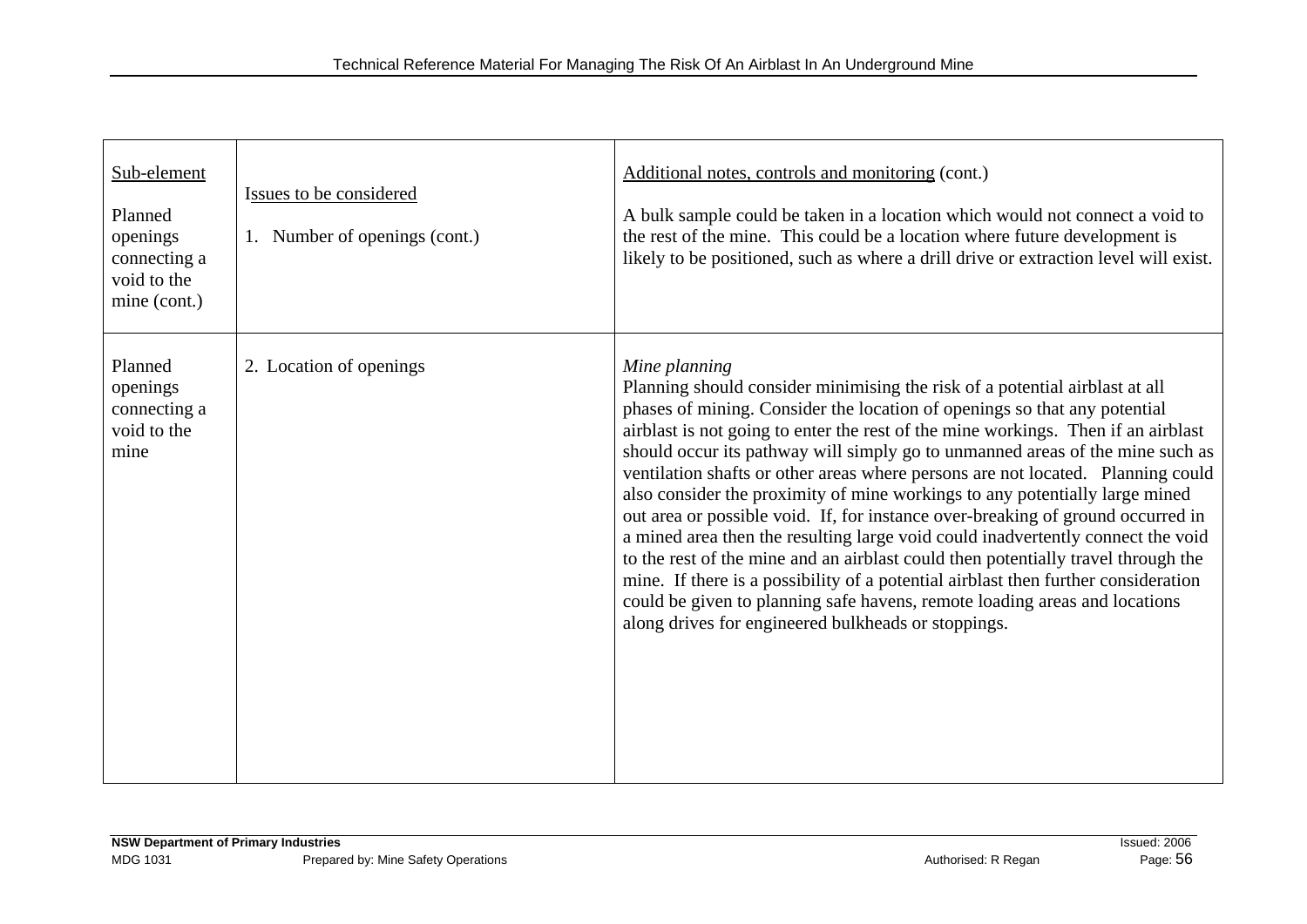| Sub-element<br>Planned<br>openings<br>connecting a<br>void to the<br>mine (cont.) | Issues to be considered<br>1. Number of openings (cont.) | Additional notes, controls and monitoring (cont.)<br>A bulk sample could be taken in a location which would not connect a void to<br>the rest of the mine. This could be a location where future development is<br>likely to be positioned, such as where a drill drive or extraction level will exist.                                                                                                                                                                                                                                                                                                                                                                                                                                                                                                                                                                                                                                                                                                 |
|-----------------------------------------------------------------------------------|----------------------------------------------------------|---------------------------------------------------------------------------------------------------------------------------------------------------------------------------------------------------------------------------------------------------------------------------------------------------------------------------------------------------------------------------------------------------------------------------------------------------------------------------------------------------------------------------------------------------------------------------------------------------------------------------------------------------------------------------------------------------------------------------------------------------------------------------------------------------------------------------------------------------------------------------------------------------------------------------------------------------------------------------------------------------------|
| Planned<br>openings<br>connecting a<br>void to the<br>mine                        | 2. Location of openings                                  | Mine planning<br>Planning should consider minimising the risk of a potential airblast at all<br>phases of mining. Consider the location of openings so that any potential<br>airblast is not going to enter the rest of the mine workings. Then if an airblast<br>should occur its pathway will simply go to unmanned areas of the mine such as<br>ventilation shafts or other areas where persons are not located. Planning could<br>also consider the proximity of mine workings to any potentially large mined<br>out area or possible void. If, for instance over-breaking of ground occurred in<br>a mined area then the resulting large void could inadvertently connect the void<br>to the rest of the mine and an airblast could then potentially travel through the<br>mine. If there is a possibility of a potential airblast then further consideration<br>could be given to planning safe havens, remote loading areas and locations<br>along drives for engineered bulkheads or stoppings. |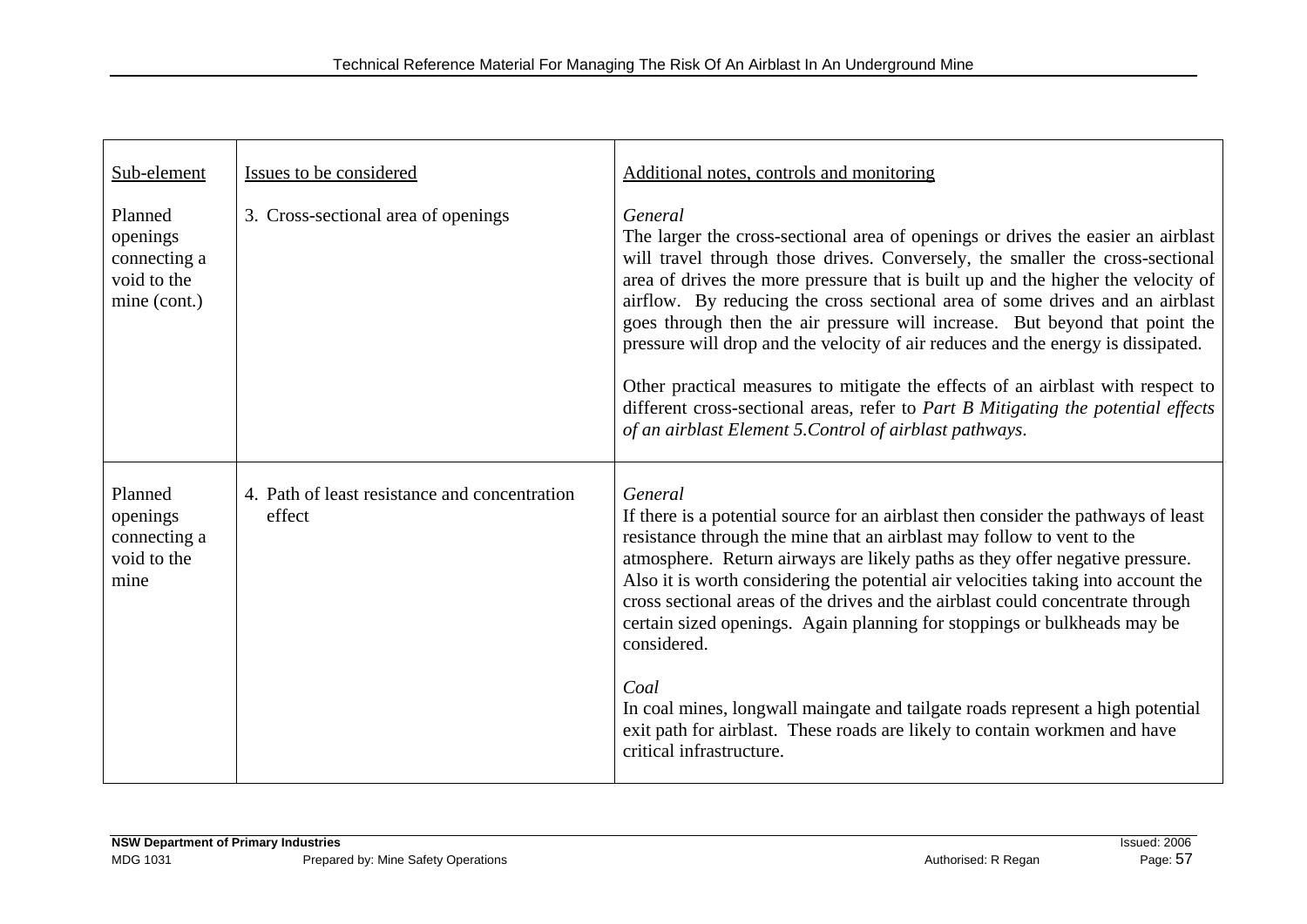| Sub-element                                                        | Issues to be considered                                 | Additional notes, controls and monitoring                                                                                                                                                                                                                                                                                                                                                                                                                                                                                                                                                                                                                                                                                                              |
|--------------------------------------------------------------------|---------------------------------------------------------|--------------------------------------------------------------------------------------------------------------------------------------------------------------------------------------------------------------------------------------------------------------------------------------------------------------------------------------------------------------------------------------------------------------------------------------------------------------------------------------------------------------------------------------------------------------------------------------------------------------------------------------------------------------------------------------------------------------------------------------------------------|
| Planned<br>openings<br>connecting a<br>void to the<br>mine (cont.) | 3. Cross-sectional area of openings                     | General<br>The larger the cross-sectional area of openings or drives the easier an airblast<br>will travel through those drives. Conversely, the smaller the cross-sectional<br>area of drives the more pressure that is built up and the higher the velocity of<br>airflow. By reducing the cross sectional area of some drives and an airblast<br>goes through then the air pressure will increase. But beyond that point the<br>pressure will drop and the velocity of air reduces and the energy is dissipated.<br>Other practical measures to mitigate the effects of an airblast with respect to<br>different cross-sectional areas, refer to Part B Mitigating the potential effects<br>of an airblast Element 5. Control of airblast pathways. |
| Planned<br>openings<br>connecting a<br>void to the<br>mine         | 4. Path of least resistance and concentration<br>effect | General<br>If there is a potential source for an airblast then consider the pathways of least<br>resistance through the mine that an airblast may follow to vent to the<br>atmosphere. Return airways are likely paths as they offer negative pressure.<br>Also it is worth considering the potential air velocities taking into account the<br>cross sectional areas of the drives and the airblast could concentrate through<br>certain sized openings. Again planning for stoppings or bulkheads may be<br>considered.<br>Coal<br>In coal mines, longwall maingate and tailgate roads represent a high potential<br>exit path for airblast. These roads are likely to contain workmen and have<br>critical infrastructure.                          |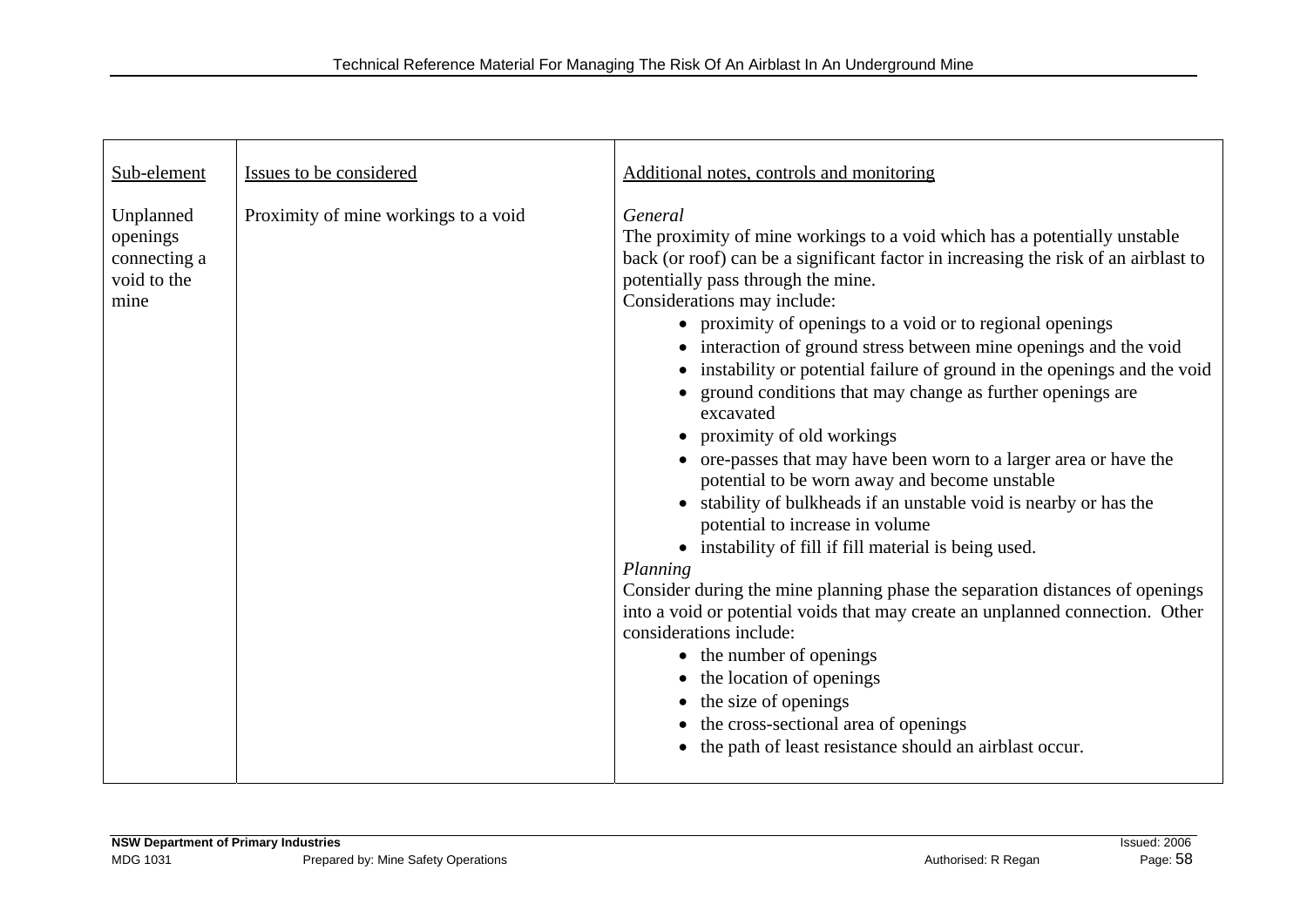| Sub-element                                                  | Issues to be considered              | Additional notes, controls and monitoring                                                                                                                                                                                                                                                                                                                                                                                                                                                                                                                                                                                                                                                                                                                                                                                                                                                                                                                                                                                                                                                                                                                                                                                                                 |
|--------------------------------------------------------------|--------------------------------------|-----------------------------------------------------------------------------------------------------------------------------------------------------------------------------------------------------------------------------------------------------------------------------------------------------------------------------------------------------------------------------------------------------------------------------------------------------------------------------------------------------------------------------------------------------------------------------------------------------------------------------------------------------------------------------------------------------------------------------------------------------------------------------------------------------------------------------------------------------------------------------------------------------------------------------------------------------------------------------------------------------------------------------------------------------------------------------------------------------------------------------------------------------------------------------------------------------------------------------------------------------------|
| Unplanned<br>openings<br>connecting a<br>void to the<br>mine | Proximity of mine workings to a void | General<br>The proximity of mine workings to a void which has a potentially unstable<br>back (or roof) can be a significant factor in increasing the risk of an airblast to<br>potentially pass through the mine.<br>Considerations may include:<br>• proximity of openings to a void or to regional openings<br>• interaction of ground stress between mine openings and the void<br>instability or potential failure of ground in the openings and the void<br>• ground conditions that may change as further openings are<br>excavated<br>• proximity of old workings<br>• ore-passes that may have been worn to a larger area or have the<br>potential to be worn away and become unstable<br>stability of bulkheads if an unstable void is nearby or has the<br>potential to increase in volume<br>• instability of fill if fill material is being used.<br>Planning<br>Consider during the mine planning phase the separation distances of openings<br>into a void or potential voids that may create an unplanned connection. Other<br>considerations include:<br>• the number of openings<br>• the location of openings<br>the size of openings<br>the cross-sectional area of openings<br>the path of least resistance should an airblast occur. |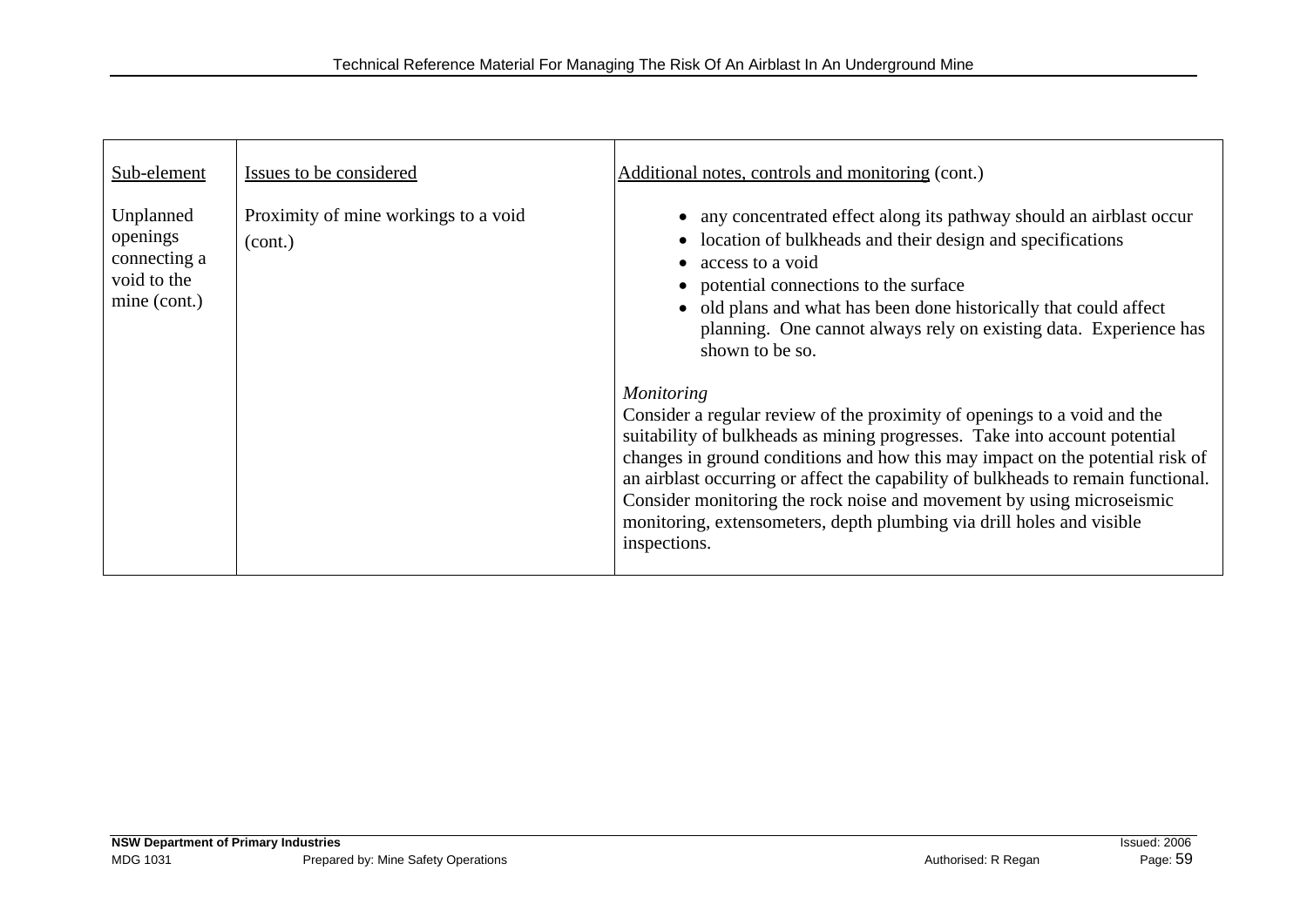| Sub-element                                                          | Issues to be considered                         | Additional notes, controls and monitoring (cont.)                                                                                                                                                                                                                                                                                                                                                                                                                                                                                                                                                                                                                                                                                                                                                                                                                                       |
|----------------------------------------------------------------------|-------------------------------------------------|-----------------------------------------------------------------------------------------------------------------------------------------------------------------------------------------------------------------------------------------------------------------------------------------------------------------------------------------------------------------------------------------------------------------------------------------------------------------------------------------------------------------------------------------------------------------------------------------------------------------------------------------------------------------------------------------------------------------------------------------------------------------------------------------------------------------------------------------------------------------------------------------|
| Unplanned<br>openings<br>connecting a<br>void to the<br>mine (cont.) | Proximity of mine workings to a void<br>(cont.) | • any concentrated effect along its pathway should an airblast occur<br>• location of bulkheads and their design and specifications<br>• access to a void<br>• potential connections to the surface<br>• old plans and what has been done historically that could affect<br>planning. One cannot always rely on existing data. Experience has<br>shown to be so.<br><i>Monitoring</i><br>Consider a regular review of the proximity of openings to a void and the<br>suitability of bulkheads as mining progresses. Take into account potential<br>changes in ground conditions and how this may impact on the potential risk of<br>an airblast occurring or affect the capability of bulkheads to remain functional.<br>Consider monitoring the rock noise and movement by using microseismic<br>monitoring, extensometers, depth plumbing via drill holes and visible<br>inspections. |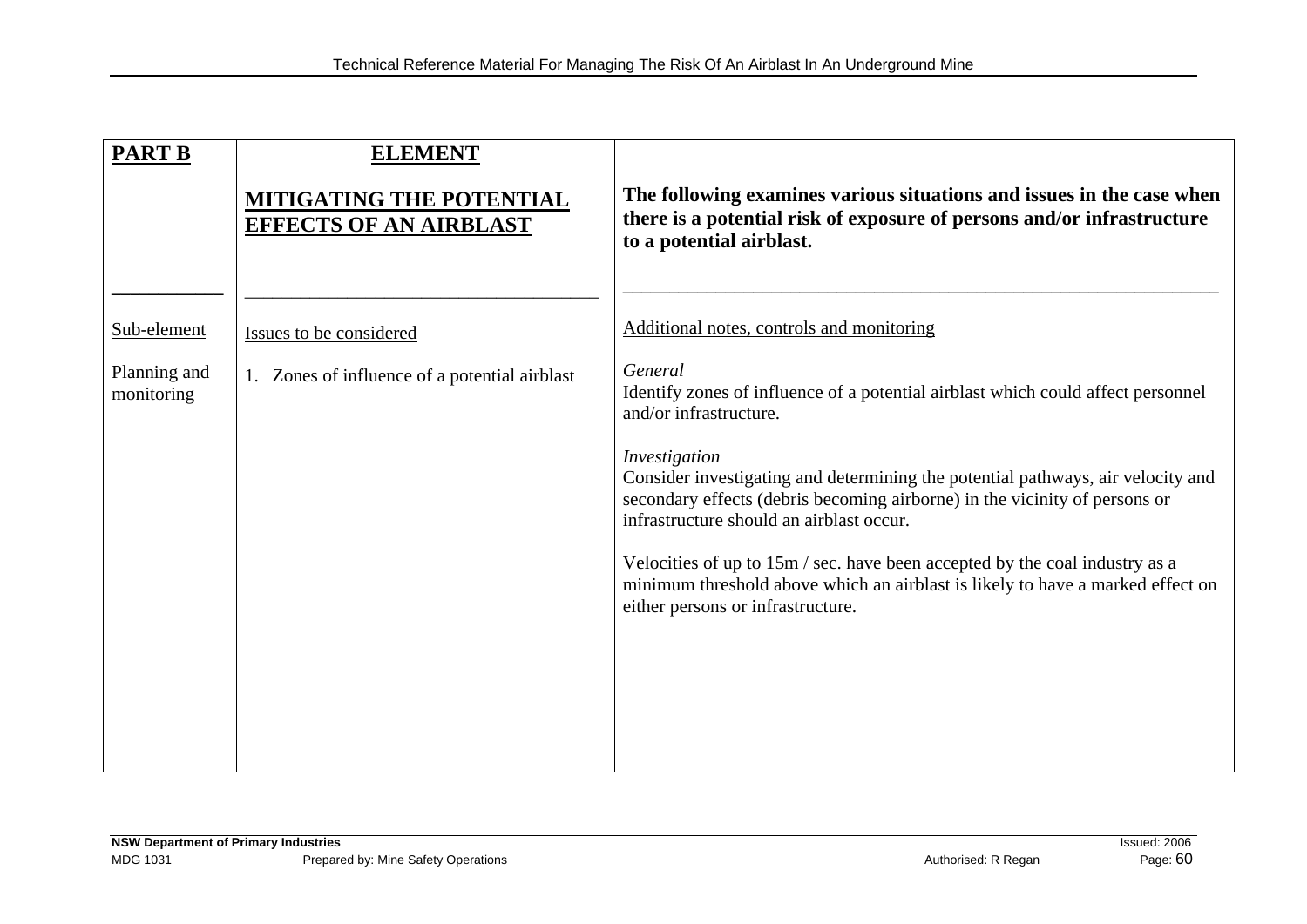| <b>EFFECTS OF AN AIRBLAST</b>                 | The following examines various situations and issues in the case when<br>there is a potential risk of exposure of persons and/or infrastructure<br>to a potential airblast.                                                                                                                                                                                                                                                                                                                                                                               |
|-----------------------------------------------|-----------------------------------------------------------------------------------------------------------------------------------------------------------------------------------------------------------------------------------------------------------------------------------------------------------------------------------------------------------------------------------------------------------------------------------------------------------------------------------------------------------------------------------------------------------|
| Issues to be considered                       | Additional notes, controls and monitoring                                                                                                                                                                                                                                                                                                                                                                                                                                                                                                                 |
| 1. Zones of influence of a potential airblast | General<br>Identify zones of influence of a potential airblast which could affect personnel<br>and/or infrastructure.<br>Investigation<br>Consider investigating and determining the potential pathways, air velocity and<br>secondary effects (debris becoming airborne) in the vicinity of persons or<br>infrastructure should an airblast occur.<br>Velocities of up to 15m / sec. have been accepted by the coal industry as a<br>minimum threshold above which an airblast is likely to have a marked effect on<br>either persons or infrastructure. |
|                                               | <b>MITIGATING THE POTENTIAL</b>                                                                                                                                                                                                                                                                                                                                                                                                                                                                                                                           |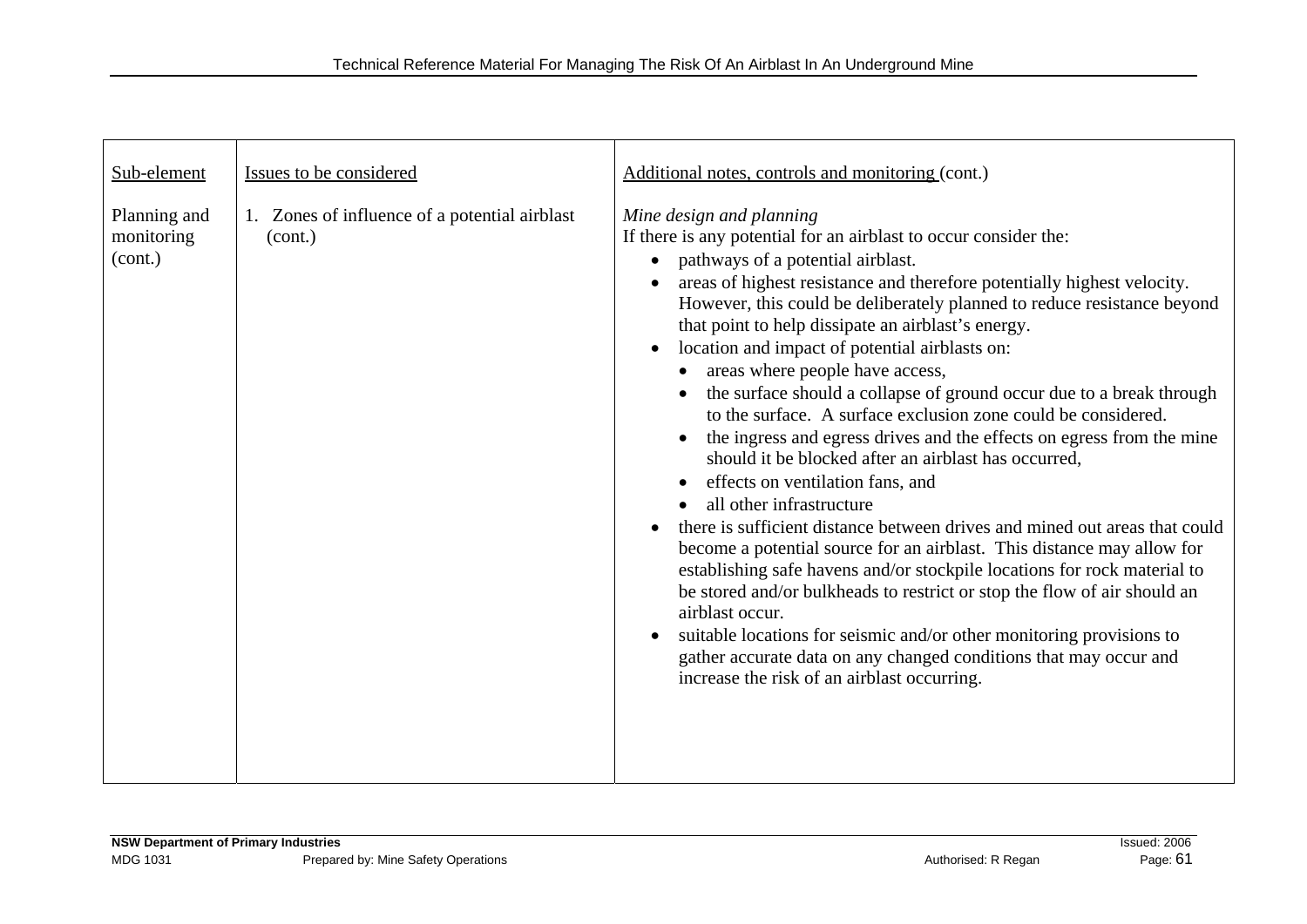| Sub-element                           | Issues to be considered                                  | Additional notes, controls and monitoring (cont.)                                                                                                                                                                                                                                                                                                                                                                                                                                                                                                                                                                                                                                                                                                                                                                                                                                                                                                                                                                                                                                                                                                                                                                                                                                                                                     |
|---------------------------------------|----------------------------------------------------------|---------------------------------------------------------------------------------------------------------------------------------------------------------------------------------------------------------------------------------------------------------------------------------------------------------------------------------------------------------------------------------------------------------------------------------------------------------------------------------------------------------------------------------------------------------------------------------------------------------------------------------------------------------------------------------------------------------------------------------------------------------------------------------------------------------------------------------------------------------------------------------------------------------------------------------------------------------------------------------------------------------------------------------------------------------------------------------------------------------------------------------------------------------------------------------------------------------------------------------------------------------------------------------------------------------------------------------------|
| Planning and<br>monitoring<br>(cont.) | 1. Zones of influence of a potential airblast<br>(cont.) | Mine design and planning<br>If there is any potential for an airblast to occur consider the:<br>pathways of a potential airblast.<br>$\bullet$<br>areas of highest resistance and therefore potentially highest velocity.<br>However, this could be deliberately planned to reduce resistance beyond<br>that point to help dissipate an airblast's energy.<br>location and impact of potential airblasts on:<br>$\bullet$<br>areas where people have access,<br>the surface should a collapse of ground occur due to a break through<br>to the surface. A surface exclusion zone could be considered.<br>the ingress and egress drives and the effects on egress from the mine<br>should it be blocked after an airblast has occurred,<br>effects on ventilation fans, and<br>all other infrastructure<br>there is sufficient distance between drives and mined out areas that could<br>become a potential source for an airblast. This distance may allow for<br>establishing safe havens and/or stockpile locations for rock material to<br>be stored and/or bulkheads to restrict or stop the flow of air should an<br>airblast occur.<br>suitable locations for seismic and/or other monitoring provisions to<br>gather accurate data on any changed conditions that may occur and<br>increase the risk of an airblast occurring. |
|                                       |                                                          |                                                                                                                                                                                                                                                                                                                                                                                                                                                                                                                                                                                                                                                                                                                                                                                                                                                                                                                                                                                                                                                                                                                                                                                                                                                                                                                                       |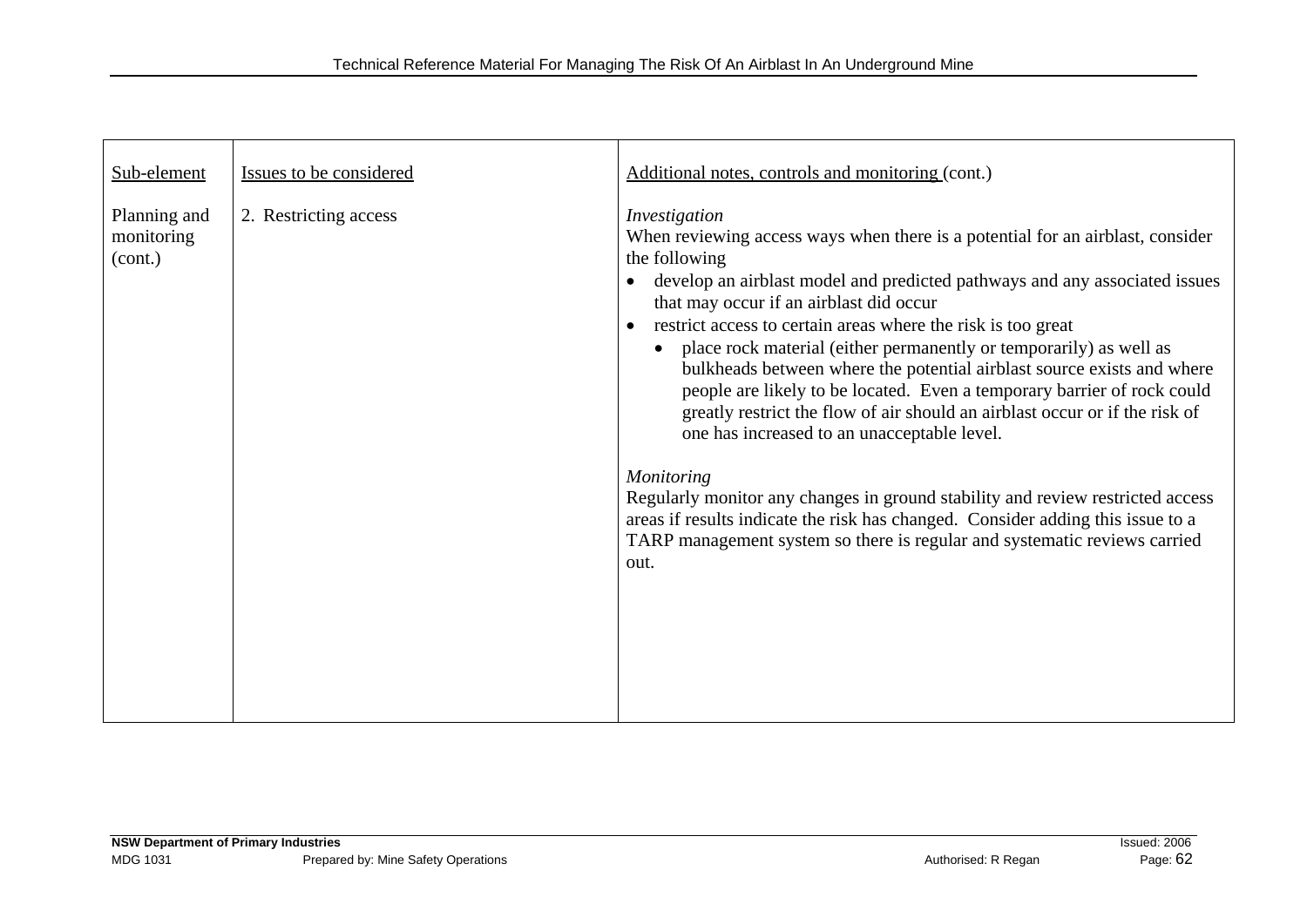| Sub-element                           | Issues to be considered | Additional notes, controls and monitoring (cont.)                                                                                                                                                                                                                                                                                                                                                                                                                                                                                                                                                                                                                                                                                                                                                                                                                                                                                                                           |
|---------------------------------------|-------------------------|-----------------------------------------------------------------------------------------------------------------------------------------------------------------------------------------------------------------------------------------------------------------------------------------------------------------------------------------------------------------------------------------------------------------------------------------------------------------------------------------------------------------------------------------------------------------------------------------------------------------------------------------------------------------------------------------------------------------------------------------------------------------------------------------------------------------------------------------------------------------------------------------------------------------------------------------------------------------------------|
| Planning and<br>monitoring<br>(cont.) | 2. Restricting access   | Investigation<br>When reviewing access ways when there is a potential for an airblast, consider<br>the following<br>develop an airblast model and predicted pathways and any associated issues<br>that may occur if an airblast did occur<br>restrict access to certain areas where the risk is too great<br>$\bullet$<br>place rock material (either permanently or temporarily) as well as<br>$\bullet$<br>bulkheads between where the potential airblast source exists and where<br>people are likely to be located. Even a temporary barrier of rock could<br>greatly restrict the flow of air should an airblast occur or if the risk of<br>one has increased to an unacceptable level.<br><b>Monitoring</b><br>Regularly monitor any changes in ground stability and review restricted access<br>areas if results indicate the risk has changed. Consider adding this issue to a<br>TARP management system so there is regular and systematic reviews carried<br>out. |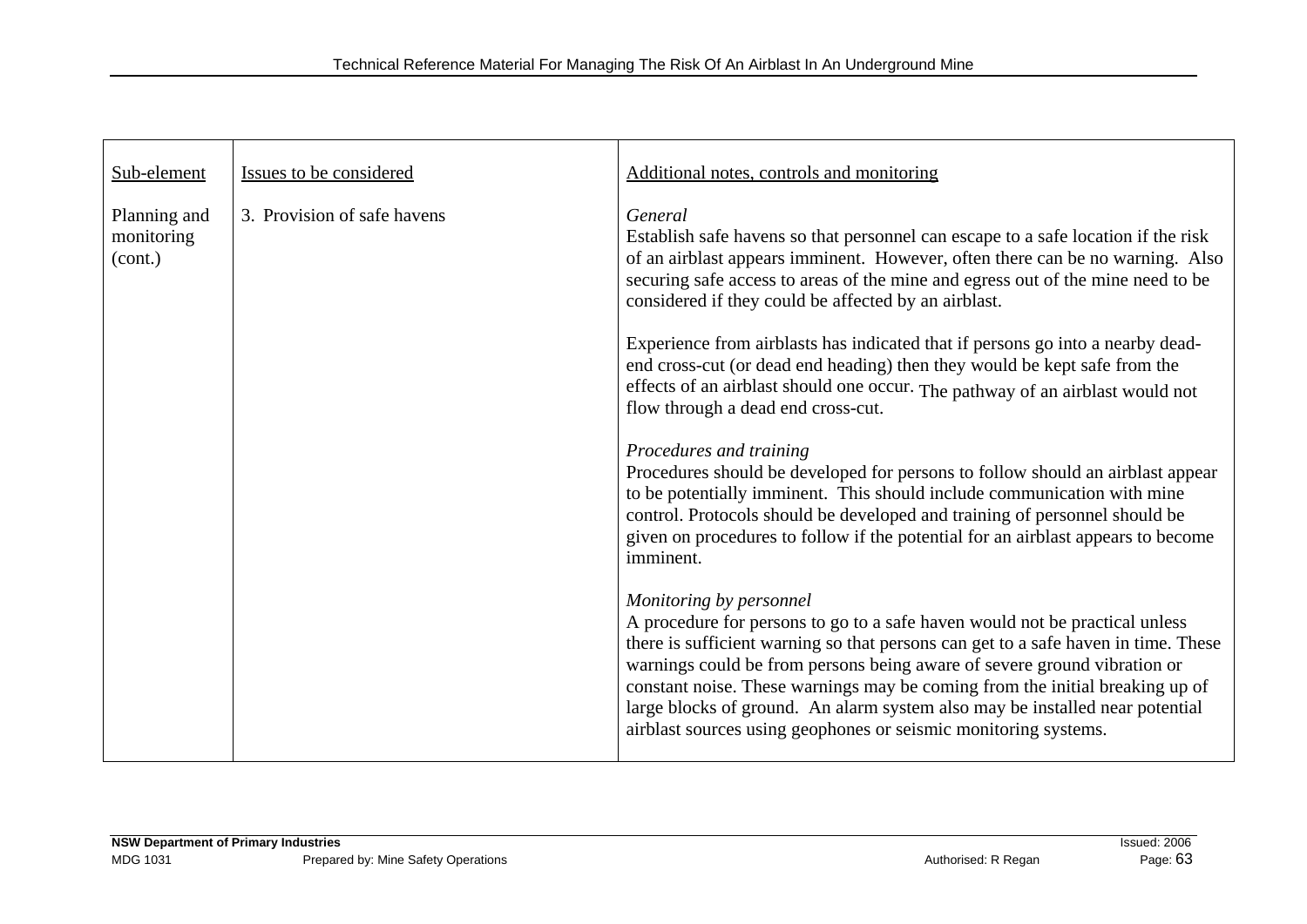| Sub-element                           | Issues to be considered     | Additional notes, controls and monitoring                                                                                                                                                                                                                                                                                                                                                                                                                                                                   |
|---------------------------------------|-----------------------------|-------------------------------------------------------------------------------------------------------------------------------------------------------------------------------------------------------------------------------------------------------------------------------------------------------------------------------------------------------------------------------------------------------------------------------------------------------------------------------------------------------------|
| Planning and<br>monitoring<br>(cont.) | 3. Provision of safe havens | General<br>Establish safe havens so that personnel can escape to a safe location if the risk<br>of an airblast appears imminent. However, often there can be no warning. Also<br>securing safe access to areas of the mine and egress out of the mine need to be<br>considered if they could be affected by an airblast.                                                                                                                                                                                    |
|                                       |                             | Experience from airblasts has indicated that if persons go into a nearby dead-<br>end cross-cut (or dead end heading) then they would be kept safe from the<br>effects of an airblast should one occur. The pathway of an airblast would not<br>flow through a dead end cross-cut.                                                                                                                                                                                                                          |
|                                       |                             | Procedures and training<br>Procedures should be developed for persons to follow should an airblast appear<br>to be potentially imminent. This should include communication with mine<br>control. Protocols should be developed and training of personnel should be<br>given on procedures to follow if the potential for an airblast appears to become<br>imminent.                                                                                                                                         |
|                                       |                             | Monitoring by personnel<br>A procedure for persons to go to a safe haven would not be practical unless<br>there is sufficient warning so that persons can get to a safe haven in time. These<br>warnings could be from persons being aware of severe ground vibration or<br>constant noise. These warnings may be coming from the initial breaking up of<br>large blocks of ground. An alarm system also may be installed near potential<br>airblast sources using geophones or seismic monitoring systems. |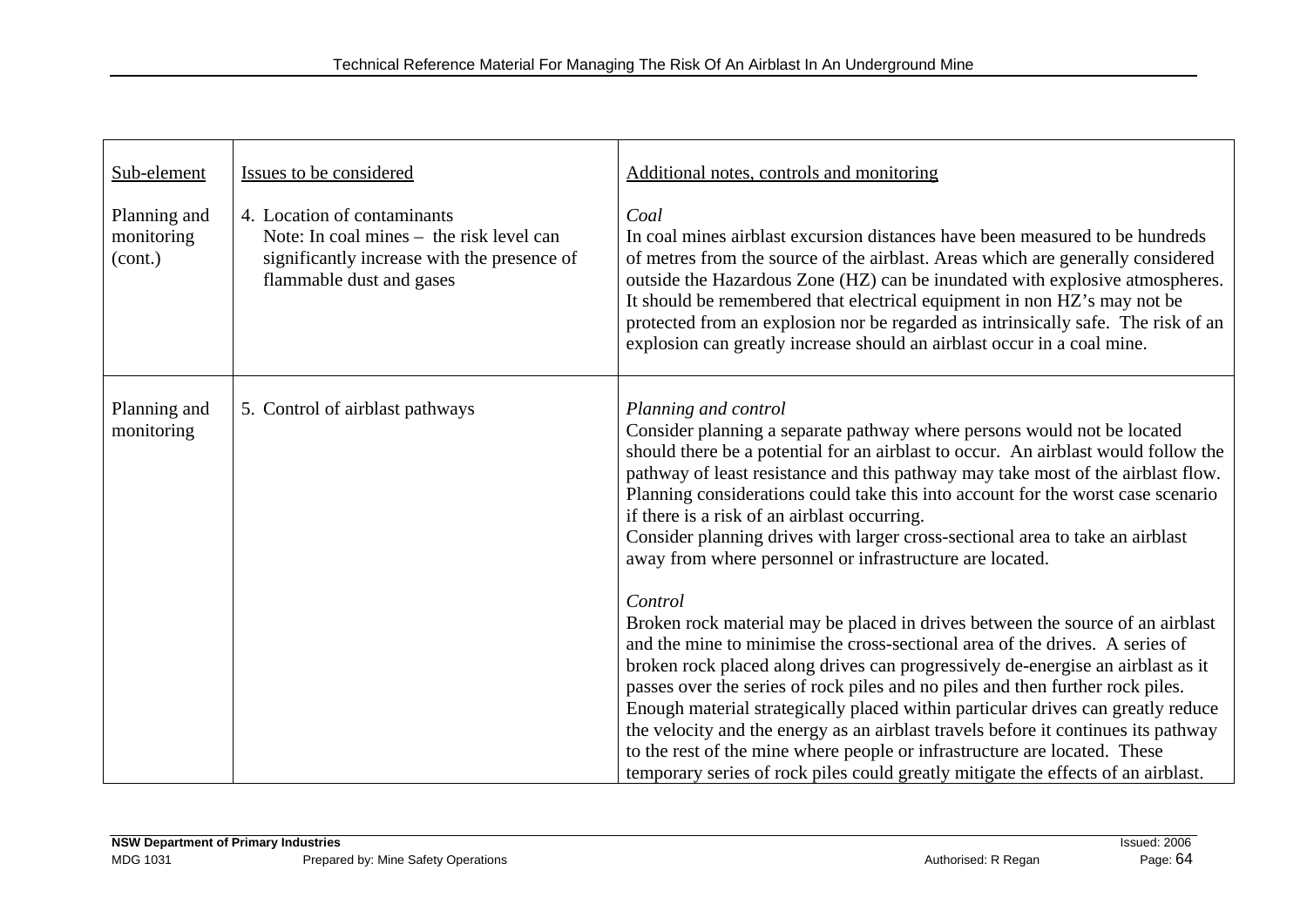| Sub-element<br>Planning and<br>monitoring<br>(cont.) | Issues to be considered<br>4. Location of contaminants<br>Note: In coal mines – the risk level can<br>significantly increase with the presence of<br>flammable dust and gases | Additional notes, controls and monitoring<br>Coal<br>In coal mines airblast excursion distances have been measured to be hundreds<br>of metres from the source of the airblast. Areas which are generally considered<br>outside the Hazardous Zone (HZ) can be inundated with explosive atmospheres.<br>It should be remembered that electrical equipment in non HZ's may not be<br>protected from an explosion nor be regarded as intrinsically safe. The risk of an                                                                                                                                                                                                                      |
|------------------------------------------------------|-------------------------------------------------------------------------------------------------------------------------------------------------------------------------------|--------------------------------------------------------------------------------------------------------------------------------------------------------------------------------------------------------------------------------------------------------------------------------------------------------------------------------------------------------------------------------------------------------------------------------------------------------------------------------------------------------------------------------------------------------------------------------------------------------------------------------------------------------------------------------------------|
| Planning and<br>monitoring                           | 5. Control of airblast pathways                                                                                                                                               | explosion can greatly increase should an airblast occur in a coal mine.<br>Planning and control<br>Consider planning a separate pathway where persons would not be located<br>should there be a potential for an airblast to occur. An airblast would follow the<br>pathway of least resistance and this pathway may take most of the airblast flow.<br>Planning considerations could take this into account for the worst case scenario<br>if there is a risk of an airblast occurring.<br>Consider planning drives with larger cross-sectional area to take an airblast<br>away from where personnel or infrastructure are located.                                                      |
|                                                      |                                                                                                                                                                               | Control<br>Broken rock material may be placed in drives between the source of an airblast<br>and the mine to minimise the cross-sectional area of the drives. A series of<br>broken rock placed along drives can progressively de-energise an airblast as it<br>passes over the series of rock piles and no piles and then further rock piles.<br>Enough material strategically placed within particular drives can greatly reduce<br>the velocity and the energy as an airblast travels before it continues its pathway<br>to the rest of the mine where people or infrastructure are located. These<br>temporary series of rock piles could greatly mitigate the effects of an airblast. |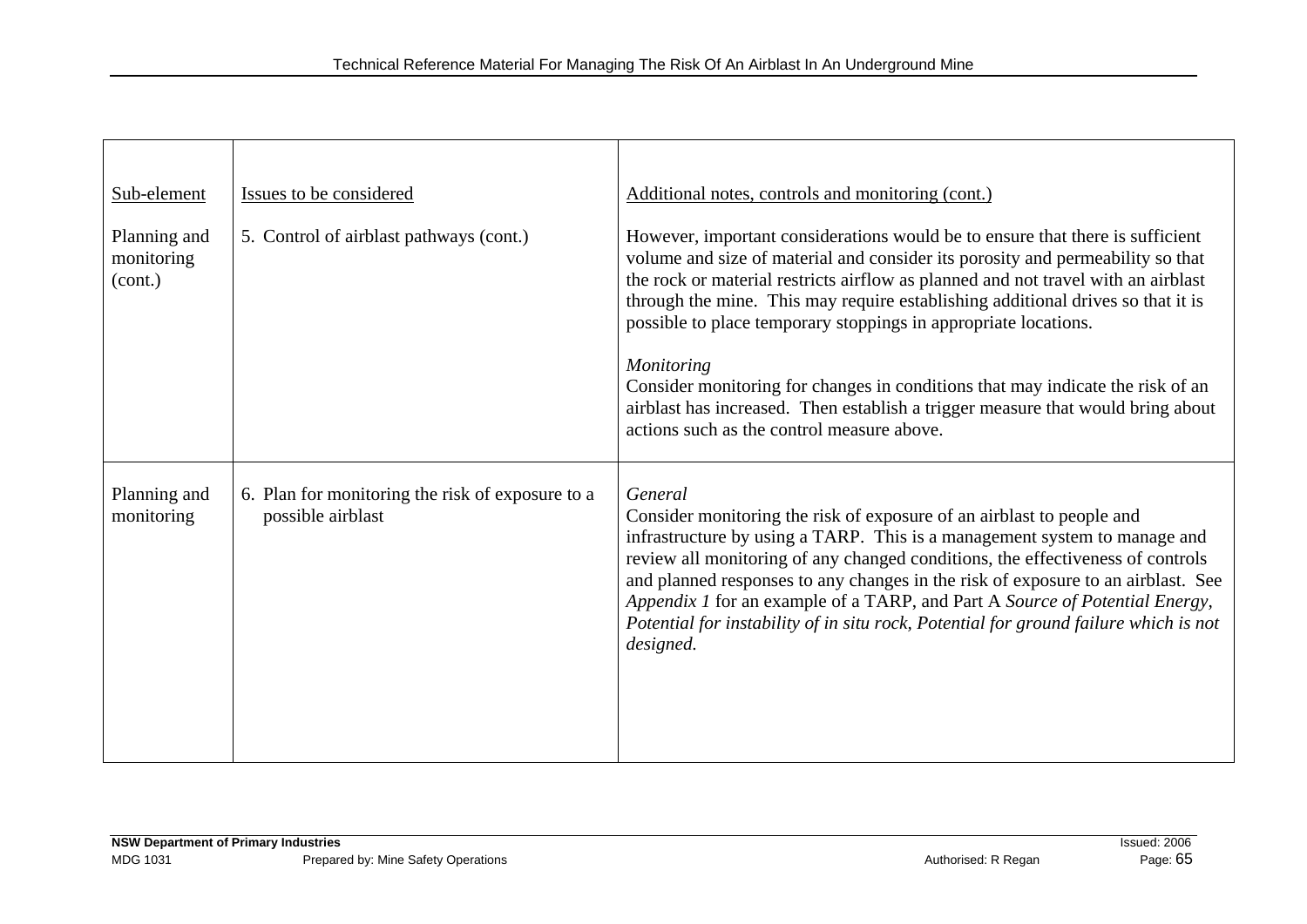| Sub-element                           | Issues to be considered                                               | Additional notes, controls and monitoring (cont.)                                                                                                                                                                                                                                                                                                                                                                                                                                                                                                                                                                                                  |
|---------------------------------------|-----------------------------------------------------------------------|----------------------------------------------------------------------------------------------------------------------------------------------------------------------------------------------------------------------------------------------------------------------------------------------------------------------------------------------------------------------------------------------------------------------------------------------------------------------------------------------------------------------------------------------------------------------------------------------------------------------------------------------------|
| Planning and<br>monitoring<br>(cont.) | 5. Control of airblast pathways (cont.)                               | However, important considerations would be to ensure that there is sufficient<br>volume and size of material and consider its porosity and permeability so that<br>the rock or material restricts airflow as planned and not travel with an airblast<br>through the mine. This may require establishing additional drives so that it is<br>possible to place temporary stoppings in appropriate locations.<br><b>Monitoring</b><br>Consider monitoring for changes in conditions that may indicate the risk of an<br>airblast has increased. Then establish a trigger measure that would bring about<br>actions such as the control measure above. |
| Planning and<br>monitoring            | 6. Plan for monitoring the risk of exposure to a<br>possible airblast | General<br>Consider monitoring the risk of exposure of an airblast to people and<br>infrastructure by using a TARP. This is a management system to manage and<br>review all monitoring of any changed conditions, the effectiveness of controls<br>and planned responses to any changes in the risk of exposure to an airblast. See<br>Appendix 1 for an example of a TARP, and Part A Source of Potential Energy,<br>Potential for instability of in situ rock, Potential for ground failure which is not<br>designed.                                                                                                                            |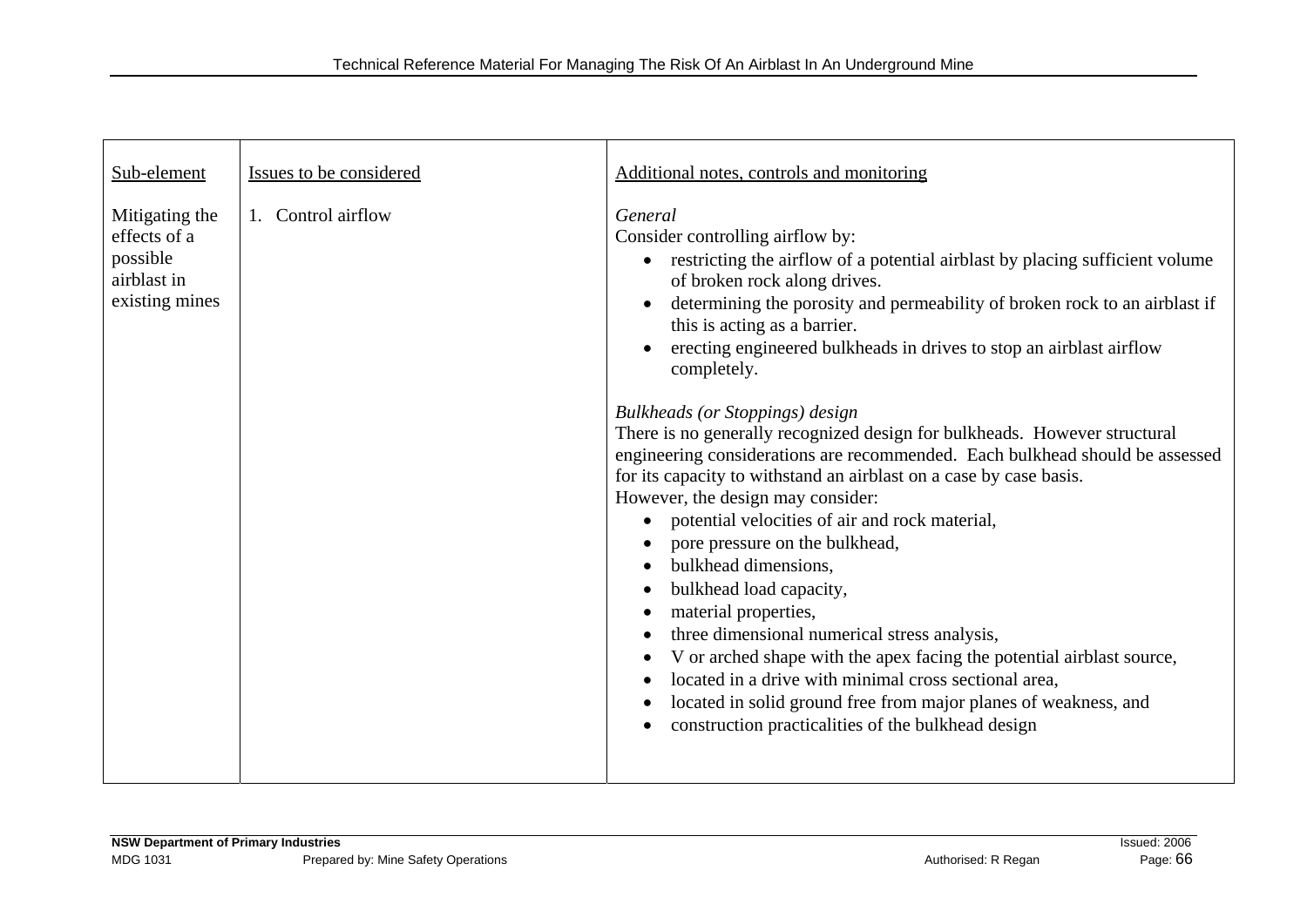| Sub-element                                                                 | Issues to be considered | Additional notes, controls and monitoring                                                                                                                                                                                                                                                                                                                                                                                                                                                                                                                                                                                                                                                                                                                                                                                                                                                                                                                                                                                                                                                                                                                                |
|-----------------------------------------------------------------------------|-------------------------|--------------------------------------------------------------------------------------------------------------------------------------------------------------------------------------------------------------------------------------------------------------------------------------------------------------------------------------------------------------------------------------------------------------------------------------------------------------------------------------------------------------------------------------------------------------------------------------------------------------------------------------------------------------------------------------------------------------------------------------------------------------------------------------------------------------------------------------------------------------------------------------------------------------------------------------------------------------------------------------------------------------------------------------------------------------------------------------------------------------------------------------------------------------------------|
| Mitigating the<br>effects of a<br>possible<br>airblast in<br>existing mines | 1. Control airflow      | General<br>Consider controlling airflow by:<br>restricting the airflow of a potential airblast by placing sufficient volume<br>$\bullet$<br>of broken rock along drives.<br>determining the porosity and permeability of broken rock to an airblast if<br>this is acting as a barrier.<br>erecting engineered bulkheads in drives to stop an airblast airflow<br>completely.<br><b>Bulkheads (or Stoppings) design</b><br>There is no generally recognized design for bulkheads. However structural<br>engineering considerations are recommended. Each bulkhead should be assessed<br>for its capacity to withstand an airblast on a case by case basis.<br>However, the design may consider:<br>potential velocities of air and rock material,<br>pore pressure on the bulkhead,<br>bulkhead dimensions.<br>bulkhead load capacity,<br>material properties,<br>three dimensional numerical stress analysis,<br>V or arched shape with the apex facing the potential airblast source,<br>located in a drive with minimal cross sectional area,<br>located in solid ground free from major planes of weakness, and<br>construction practicalities of the bulkhead design |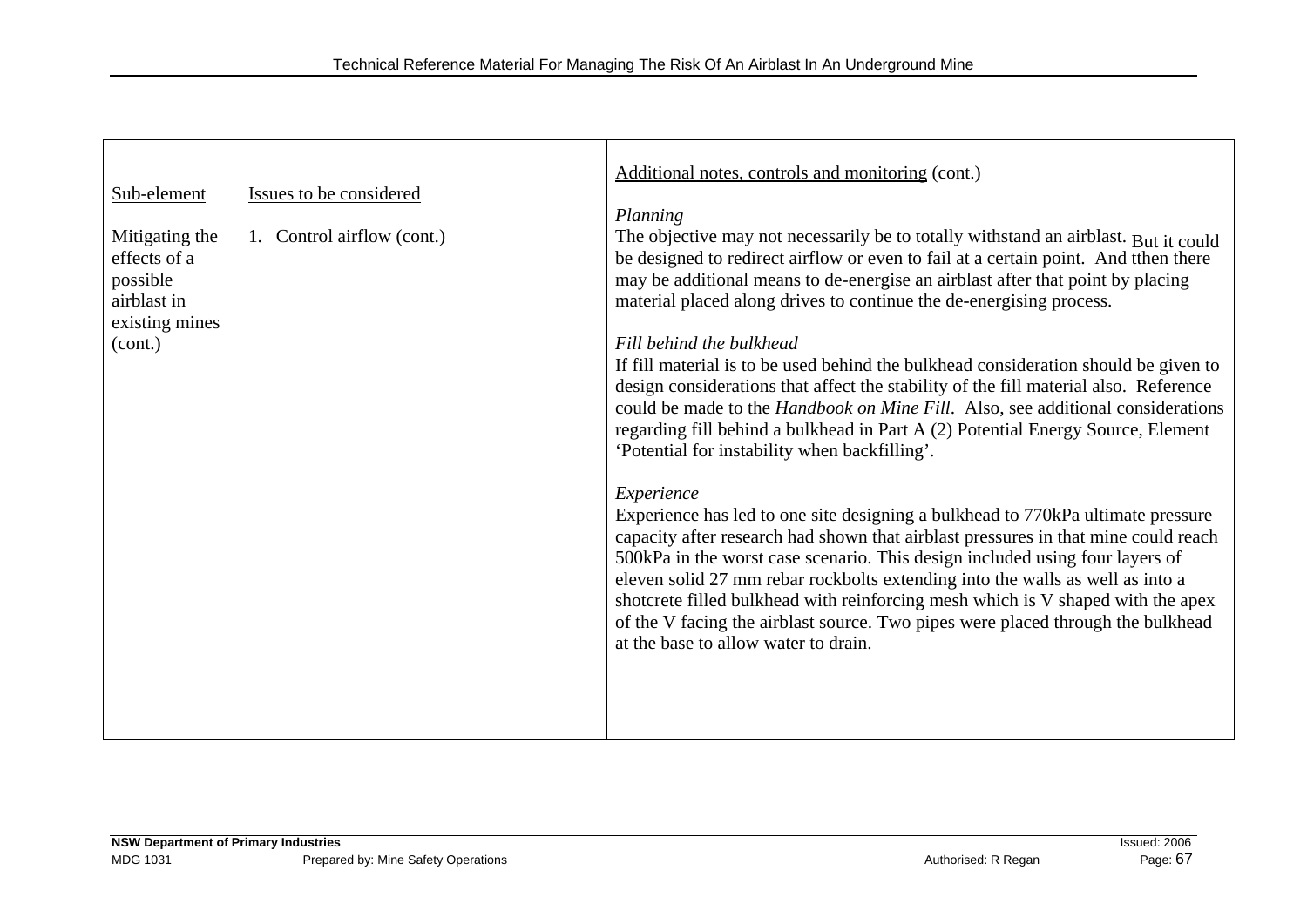|                          |                               | Additional notes, controls and monitoring (cont.)                                                                                                                     |
|--------------------------|-------------------------------|-----------------------------------------------------------------------------------------------------------------------------------------------------------------------|
| Sub-element              | Issues to be considered       |                                                                                                                                                                       |
|                          |                               | Planning                                                                                                                                                              |
| Mitigating the           | Control airflow (cont.)<br>1. | The objective may not necessarily be to totally withstand an airblast. But it could                                                                                   |
| effects of a<br>possible |                               | be designed to redirect airflow or even to fail at a certain point. And tthen there<br>may be additional means to de-energise an airblast after that point by placing |
| airblast in              |                               | material placed along drives to continue the de-energising process.                                                                                                   |
| existing mines           |                               |                                                                                                                                                                       |
| (cont.)                  |                               | Fill behind the bulkhead<br>If fill material is to be used behind the bulkhead consideration should be given to                                                       |
|                          |                               | design considerations that affect the stability of the fill material also. Reference                                                                                  |
|                          |                               | could be made to the Handbook on Mine Fill. Also, see additional considerations                                                                                       |
|                          |                               | regarding fill behind a bulkhead in Part A (2) Potential Energy Source, Element                                                                                       |
|                          |                               | 'Potential for instability when backfilling'.                                                                                                                         |
|                          |                               | Experience                                                                                                                                                            |
|                          |                               | Experience has led to one site designing a bulkhead to 770kPa ultimate pressure                                                                                       |
|                          |                               | capacity after research had shown that airblast pressures in that mine could reach<br>500kPa in the worst case scenario. This design included using four layers of    |
|                          |                               | eleven solid 27 mm rebar rockbolts extending into the walls as well as into a                                                                                         |
|                          |                               | shotcrete filled bulkhead with reinforcing mesh which is V shaped with the apex                                                                                       |
|                          |                               | of the V facing the airblast source. Two pipes were placed through the bulkhead<br>at the base to allow water to drain.                                               |
|                          |                               |                                                                                                                                                                       |
|                          |                               |                                                                                                                                                                       |
|                          |                               |                                                                                                                                                                       |
|                          |                               |                                                                                                                                                                       |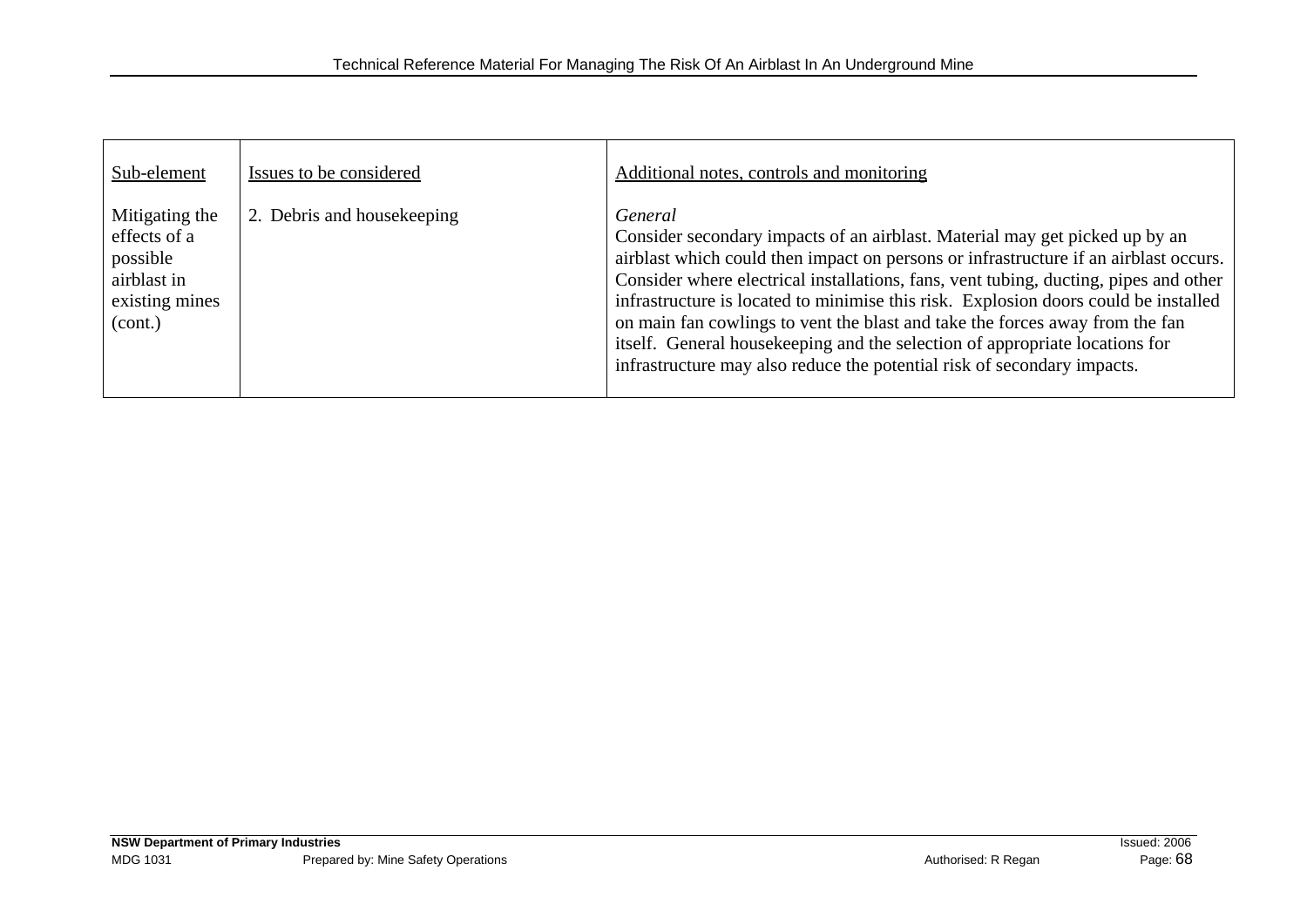| Sub-element                                                                            | Issues to be considered     | Additional notes, controls and monitoring                                                                                                                                                                                                                                                                                                                                                                                                                                                                                                                                                               |
|----------------------------------------------------------------------------------------|-----------------------------|---------------------------------------------------------------------------------------------------------------------------------------------------------------------------------------------------------------------------------------------------------------------------------------------------------------------------------------------------------------------------------------------------------------------------------------------------------------------------------------------------------------------------------------------------------------------------------------------------------|
| Mitigating the<br>effects of a<br>possible<br>airblast in<br>existing mines<br>(cont.) | 2. Debris and house keeping | General<br>Consider secondary impacts of an airblast. Material may get picked up by an<br>airblast which could then impact on persons or infrastructure if an airblast occurs.<br>Consider where electrical installations, fans, vent tubing, ducting, pipes and other<br>infrastructure is located to minimise this risk. Explosion doors could be installed<br>on main fan cowlings to vent the blast and take the forces away from the fan<br>itself. General housekeeping and the selection of appropriate locations for<br>infrastructure may also reduce the potential risk of secondary impacts. |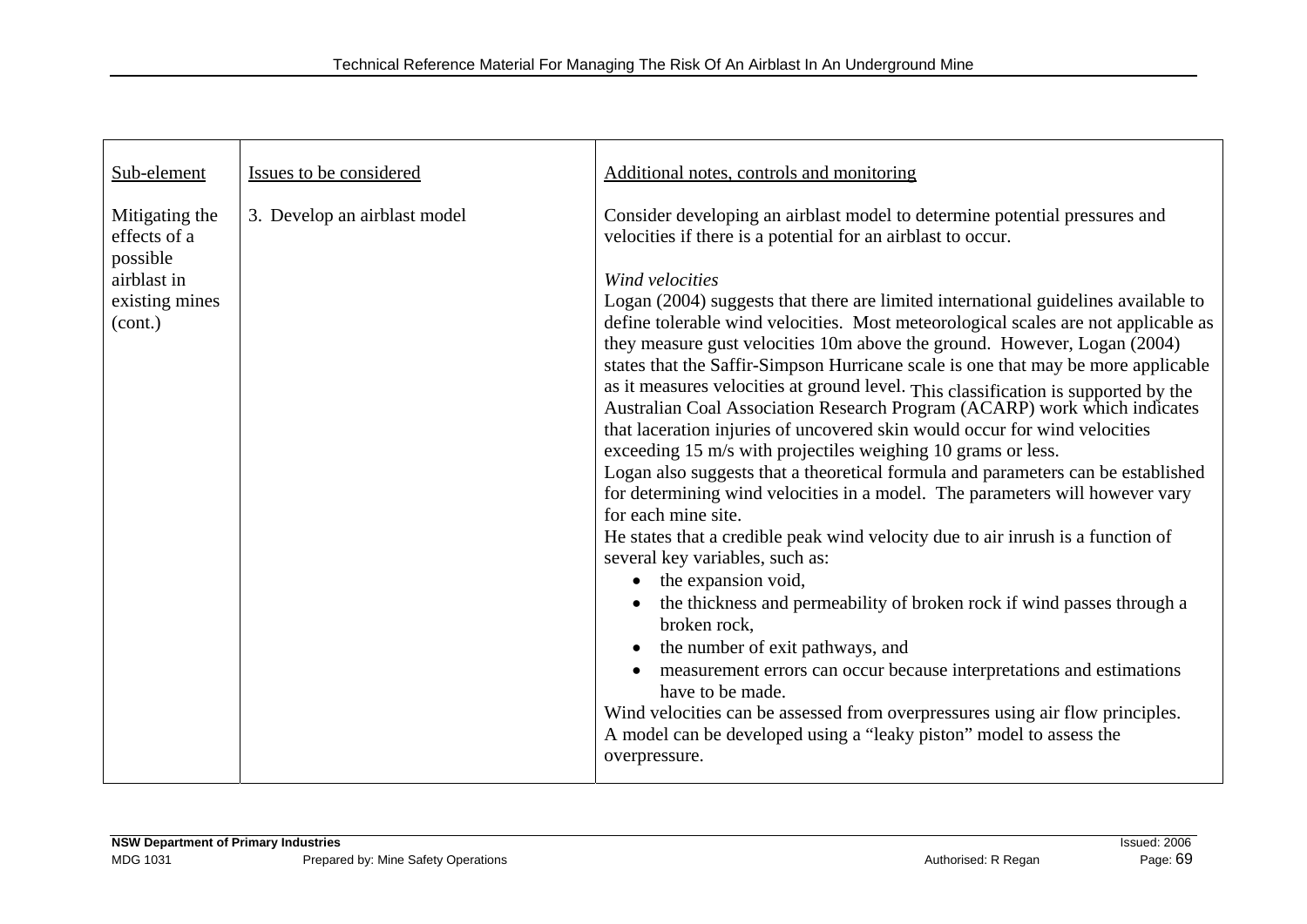| Sub-element                                                                            | Issues to be considered      | Additional notes, controls and monitoring                                                                                                                                                                                                                                                                                                                                                                                                                                                                                                                                                                                                                                                                                                                                                                                                                                                                                                                                                                                                                                                                                                                                                                                                                                                                                                                                                                                                                                                                                                                                           |
|----------------------------------------------------------------------------------------|------------------------------|-------------------------------------------------------------------------------------------------------------------------------------------------------------------------------------------------------------------------------------------------------------------------------------------------------------------------------------------------------------------------------------------------------------------------------------------------------------------------------------------------------------------------------------------------------------------------------------------------------------------------------------------------------------------------------------------------------------------------------------------------------------------------------------------------------------------------------------------------------------------------------------------------------------------------------------------------------------------------------------------------------------------------------------------------------------------------------------------------------------------------------------------------------------------------------------------------------------------------------------------------------------------------------------------------------------------------------------------------------------------------------------------------------------------------------------------------------------------------------------------------------------------------------------------------------------------------------------|
| Mitigating the<br>effects of a<br>possible<br>airblast in<br>existing mines<br>(cont.) | 3. Develop an airblast model | Consider developing an airblast model to determine potential pressures and<br>velocities if there is a potential for an airblast to occur.<br>Wind velocities<br>Logan (2004) suggests that there are limited international guidelines available to<br>define tolerable wind velocities. Most meteorological scales are not applicable as<br>they measure gust velocities 10m above the ground. However, Logan (2004)<br>states that the Saffir-Simpson Hurricane scale is one that may be more applicable<br>as it measures velocities at ground level. This classification is supported by the<br>Australian Coal Association Research Program (ACARP) work which indicates<br>that laceration injuries of uncovered skin would occur for wind velocities<br>exceeding 15 m/s with projectiles weighing 10 grams or less.<br>Logan also suggests that a theoretical formula and parameters can be established<br>for determining wind velocities in a model. The parameters will however vary<br>for each mine site.<br>He states that a credible peak wind velocity due to air inrush is a function of<br>several key variables, such as:<br>the expansion void,<br>$\bullet$<br>the thickness and permeability of broken rock if wind passes through a<br>broken rock,<br>the number of exit pathways, and<br>measurement errors can occur because interpretations and estimations<br>have to be made.<br>Wind velocities can be assessed from overpressures using air flow principles.<br>A model can be developed using a "leaky piston" model to assess the<br>overpressure. |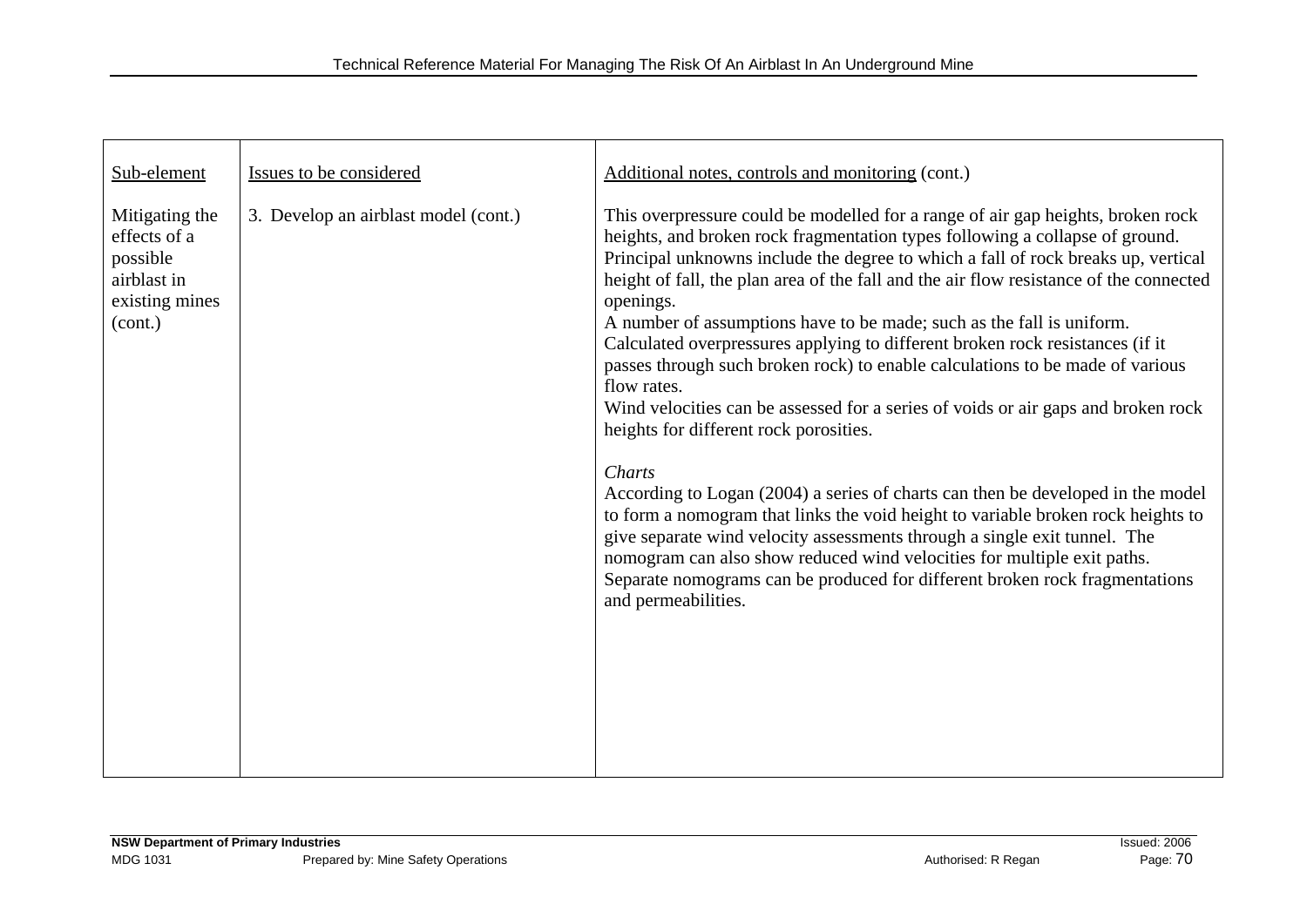| Sub-element                                                                            | Issues to be considered              | Additional notes, controls and monitoring (cont.)                                                                                                                                                                                                                                                                                                                                                                                                                                                                                                                                                                                                                                                                                                                                                                                                                                                                                                                                                                                                                                                                                                                                                   |
|----------------------------------------------------------------------------------------|--------------------------------------|-----------------------------------------------------------------------------------------------------------------------------------------------------------------------------------------------------------------------------------------------------------------------------------------------------------------------------------------------------------------------------------------------------------------------------------------------------------------------------------------------------------------------------------------------------------------------------------------------------------------------------------------------------------------------------------------------------------------------------------------------------------------------------------------------------------------------------------------------------------------------------------------------------------------------------------------------------------------------------------------------------------------------------------------------------------------------------------------------------------------------------------------------------------------------------------------------------|
| Mitigating the<br>effects of a<br>possible<br>airblast in<br>existing mines<br>(cont.) | 3. Develop an airblast model (cont.) | This overpressure could be modelled for a range of air gap heights, broken rock<br>heights, and broken rock fragmentation types following a collapse of ground.<br>Principal unknowns include the degree to which a fall of rock breaks up, vertical<br>height of fall, the plan area of the fall and the air flow resistance of the connected<br>openings.<br>A number of assumptions have to be made; such as the fall is uniform.<br>Calculated overpressures applying to different broken rock resistances (if it<br>passes through such broken rock) to enable calculations to be made of various<br>flow rates.<br>Wind velocities can be assessed for a series of voids or air gaps and broken rock<br>heights for different rock porosities.<br>Charts<br>According to Logan (2004) a series of charts can then be developed in the model<br>to form a nomogram that links the void height to variable broken rock heights to<br>give separate wind velocity assessments through a single exit tunnel. The<br>nomogram can also show reduced wind velocities for multiple exit paths.<br>Separate nomograms can be produced for different broken rock fragmentations<br>and permeabilities. |